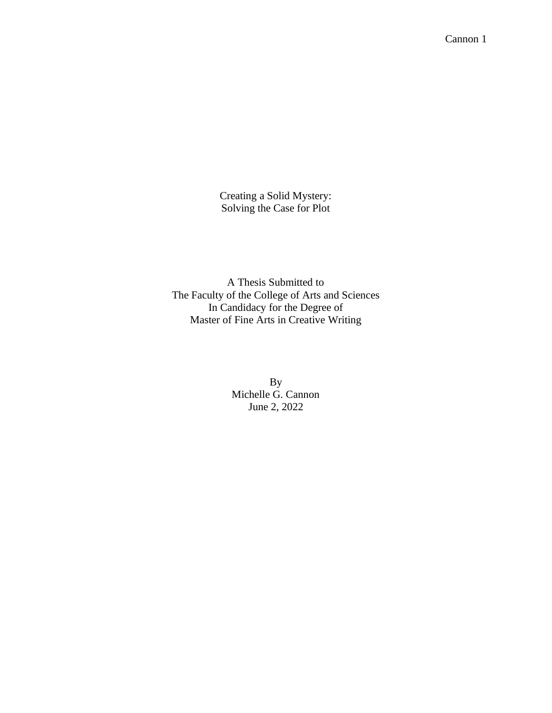Creating a Solid Mystery: Solving the Case for Plot

A Thesis Submitted to The Faculty of the College of Arts and Sciences In Candidacy for the Degree of Master of Fine Arts in Creative Writing

> By Michelle G. Cannon June 2, 2022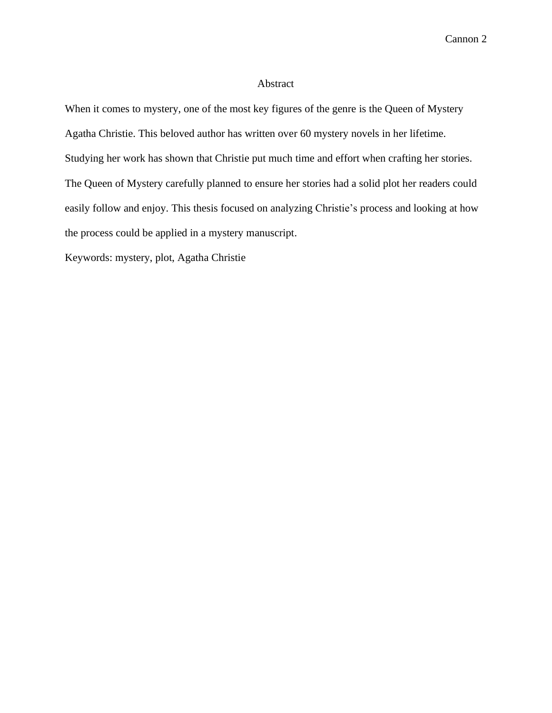## Abstract

When it comes to mystery, one of the most key figures of the genre is the Queen of Mystery Agatha Christie. This beloved author has written over 60 mystery novels in her lifetime. Studying her work has shown that Christie put much time and effort when crafting her stories. The Queen of Mystery carefully planned to ensure her stories had a solid plot her readers could easily follow and enjoy. This thesis focused on analyzing Christie's process and looking at how the process could be applied in a mystery manuscript.

Keywords: mystery, plot, Agatha Christie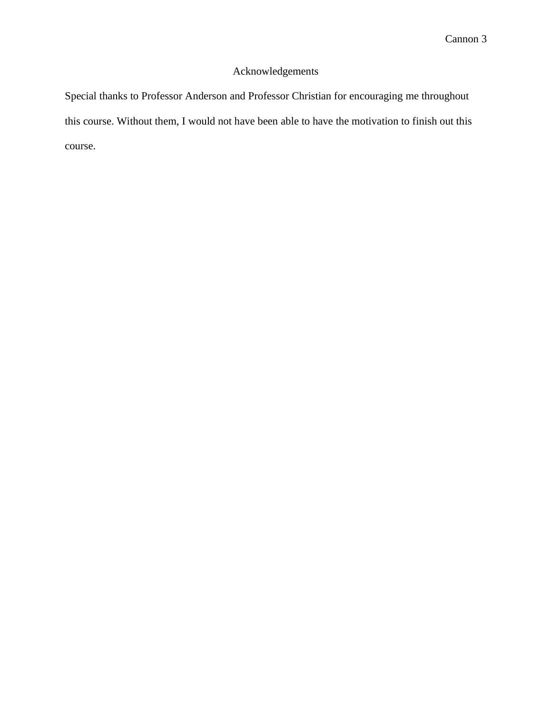# Acknowledgements

Special thanks to Professor Anderson and Professor Christian for encouraging me throughout this course. Without them, I would not have been able to have the motivation to finish out this course.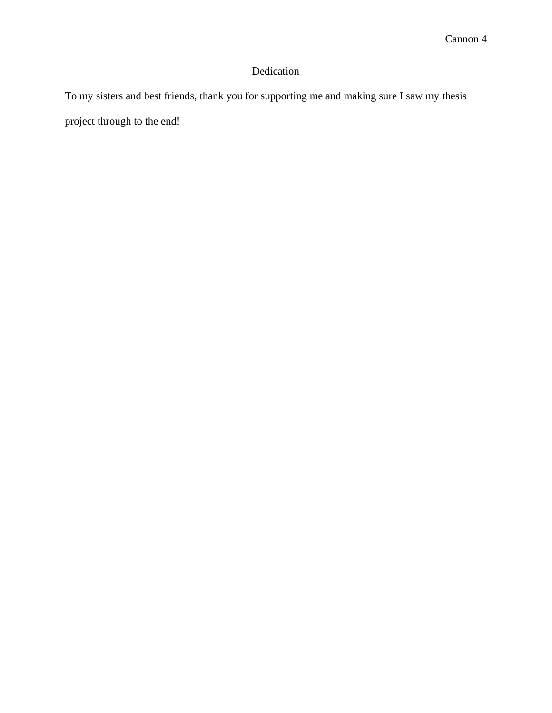# Dedication

To my sisters and best friends, thank you for supporting me and making sure I saw my thesis project through to the end!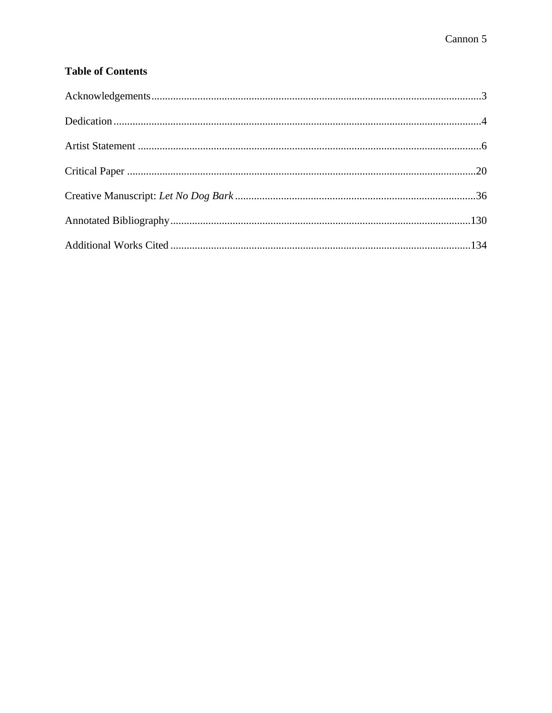# **Table of Contents**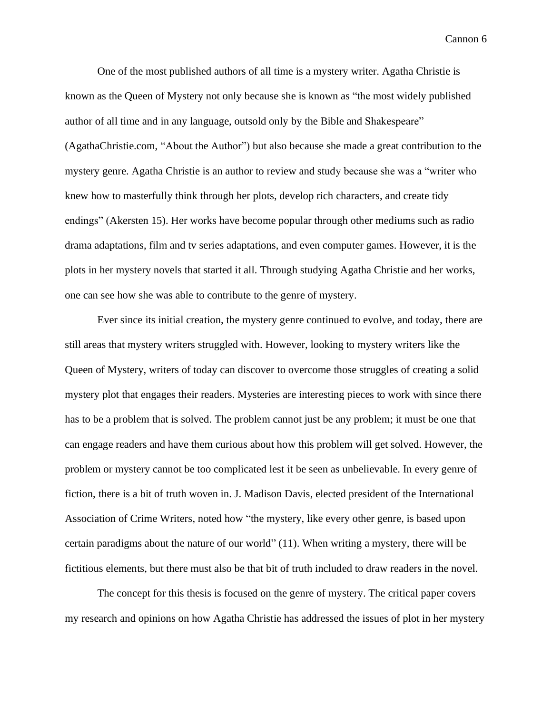One of the most published authors of all time is a mystery writer. Agatha Christie is known as the Queen of Mystery not only because she is known as "the most widely published author of all time and in any language, outsold only by the Bible and Shakespeare" (AgathaChristie.com, "About the Author") but also because she made a great contribution to the mystery genre. Agatha Christie is an author to review and study because she was a "writer who knew how to masterfully think through her plots, develop rich characters, and create tidy endings" (Akersten 15). Her works have become popular through other mediums such as radio drama adaptations, film and tv series adaptations, and even computer games. However, it is the plots in her mystery novels that started it all. Through studying Agatha Christie and her works, one can see how she was able to contribute to the genre of mystery.

Ever since its initial creation, the mystery genre continued to evolve, and today, there are still areas that mystery writers struggled with. However, looking to mystery writers like the Queen of Mystery, writers of today can discover to overcome those struggles of creating a solid mystery plot that engages their readers. Mysteries are interesting pieces to work with since there has to be a problem that is solved. The problem cannot just be any problem; it must be one that can engage readers and have them curious about how this problem will get solved. However, the problem or mystery cannot be too complicated lest it be seen as unbelievable. In every genre of fiction, there is a bit of truth woven in. J. Madison Davis, elected president of the International Association of Crime Writers, noted how "the mystery, like every other genre, is based upon certain paradigms about the nature of our world" (11). When writing a mystery, there will be fictitious elements, but there must also be that bit of truth included to draw readers in the novel.

The concept for this thesis is focused on the genre of mystery. The critical paper covers my research and opinions on how Agatha Christie has addressed the issues of plot in her mystery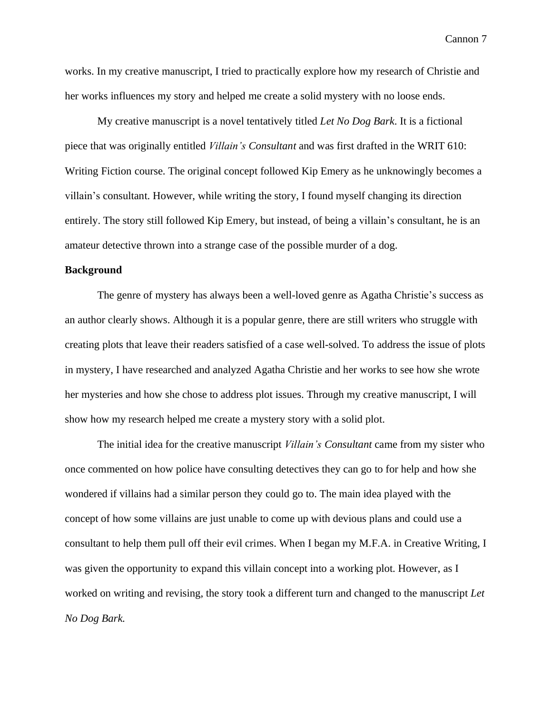works. In my creative manuscript, I tried to practically explore how my research of Christie and her works influences my story and helped me create a solid mystery with no loose ends.

My creative manuscript is a novel tentatively titled *Let No Dog Bark*. It is a fictional piece that was originally entitled *Villain's Consultant* and was first drafted in the WRIT 610: Writing Fiction course. The original concept followed Kip Emery as he unknowingly becomes a villain's consultant. However, while writing the story, I found myself changing its direction entirely. The story still followed Kip Emery, but instead, of being a villain's consultant, he is an amateur detective thrown into a strange case of the possible murder of a dog.

# **Background**

The genre of mystery has always been a well-loved genre as Agatha Christie's success as an author clearly shows. Although it is a popular genre, there are still writers who struggle with creating plots that leave their readers satisfied of a case well-solved. To address the issue of plots in mystery, I have researched and analyzed Agatha Christie and her works to see how she wrote her mysteries and how she chose to address plot issues. Through my creative manuscript, I will show how my research helped me create a mystery story with a solid plot.

The initial idea for the creative manuscript *Villain's Consultant* came from my sister who once commented on how police have consulting detectives they can go to for help and how she wondered if villains had a similar person they could go to. The main idea played with the concept of how some villains are just unable to come up with devious plans and could use a consultant to help them pull off their evil crimes. When I began my M.F.A. in Creative Writing, I was given the opportunity to expand this villain concept into a working plot. However, as I worked on writing and revising, the story took a different turn and changed to the manuscript *Let No Dog Bark.*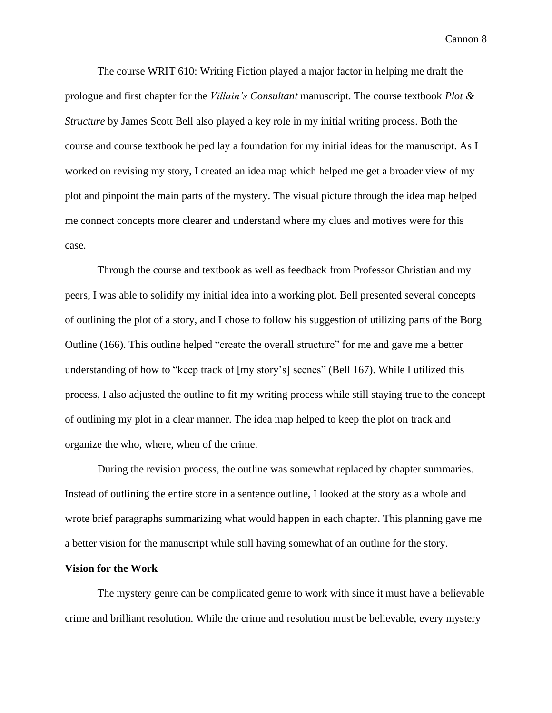The course WRIT 610: Writing Fiction played a major factor in helping me draft the prologue and first chapter for the *Villain's Consultant* manuscript. The course textbook *Plot & Structure* by James Scott Bell also played a key role in my initial writing process. Both the course and course textbook helped lay a foundation for my initial ideas for the manuscript. As I worked on revising my story, I created an idea map which helped me get a broader view of my plot and pinpoint the main parts of the mystery. The visual picture through the idea map helped me connect concepts more clearer and understand where my clues and motives were for this case.

Through the course and textbook as well as feedback from Professor Christian and my peers, I was able to solidify my initial idea into a working plot. Bell presented several concepts of outlining the plot of a story, and I chose to follow his suggestion of utilizing parts of the Borg Outline (166). This outline helped "create the overall structure" for me and gave me a better understanding of how to "keep track of [my story's] scenes" (Bell 167). While I utilized this process, I also adjusted the outline to fit my writing process while still staying true to the concept of outlining my plot in a clear manner. The idea map helped to keep the plot on track and organize the who, where, when of the crime.

During the revision process, the outline was somewhat replaced by chapter summaries. Instead of outlining the entire store in a sentence outline, I looked at the story as a whole and wrote brief paragraphs summarizing what would happen in each chapter. This planning gave me a better vision for the manuscript while still having somewhat of an outline for the story.

#### **Vision for the Work**

The mystery genre can be complicated genre to work with since it must have a believable crime and brilliant resolution. While the crime and resolution must be believable, every mystery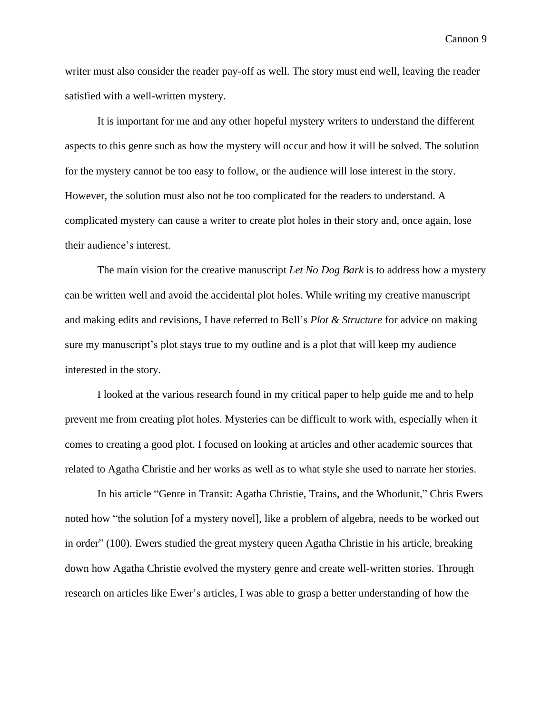writer must also consider the reader pay-off as well. The story must end well, leaving the reader satisfied with a well-written mystery.

It is important for me and any other hopeful mystery writers to understand the different aspects to this genre such as how the mystery will occur and how it will be solved. The solution for the mystery cannot be too easy to follow, or the audience will lose interest in the story. However, the solution must also not be too complicated for the readers to understand. A complicated mystery can cause a writer to create plot holes in their story and, once again, lose their audience's interest.

The main vision for the creative manuscript *Let No Dog Bark* is to address how a mystery can be written well and avoid the accidental plot holes. While writing my creative manuscript and making edits and revisions, I have referred to Bell's *Plot & Structure* for advice on making sure my manuscript's plot stays true to my outline and is a plot that will keep my audience interested in the story.

I looked at the various research found in my critical paper to help guide me and to help prevent me from creating plot holes. Mysteries can be difficult to work with, especially when it comes to creating a good plot. I focused on looking at articles and other academic sources that related to Agatha Christie and her works as well as to what style she used to narrate her stories.

In his article "Genre in Transit: Agatha Christie, Trains, and the Whodunit," Chris Ewers noted how "the solution [of a mystery novel], like a problem of algebra, needs to be worked out in order" (100). Ewers studied the great mystery queen Agatha Christie in his article, breaking down how Agatha Christie evolved the mystery genre and create well-written stories. Through research on articles like Ewer's articles, I was able to grasp a better understanding of how the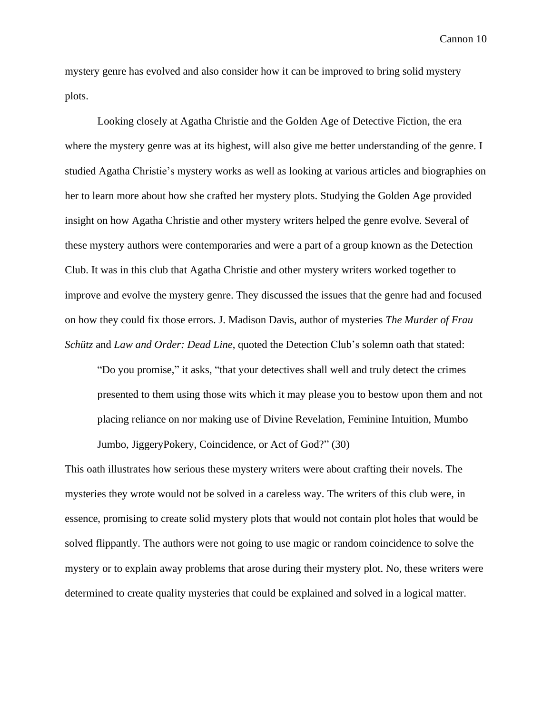mystery genre has evolved and also consider how it can be improved to bring solid mystery plots.

Looking closely at Agatha Christie and the Golden Age of Detective Fiction, the era where the mystery genre was at its highest, will also give me better understanding of the genre. I studied Agatha Christie's mystery works as well as looking at various articles and biographies on her to learn more about how she crafted her mystery plots. Studying the Golden Age provided insight on how Agatha Christie and other mystery writers helped the genre evolve. Several of these mystery authors were contemporaries and were a part of a group known as the Detection Club. It was in this club that Agatha Christie and other mystery writers worked together to improve and evolve the mystery genre. They discussed the issues that the genre had and focused on how they could fix those errors. J. Madison Davis, author of mysteries *The Murder of Frau Schütz* and *Law and Order: Dead Line*, quoted the Detection Club's solemn oath that stated:

"Do you promise," it asks, "that your detectives shall well and truly detect the crimes presented to them using those wits which it may please you to bestow upon them and not placing reliance on nor making use of Divine Revelation, Feminine Intuition, Mumbo Jumbo, JiggeryPokery, Coincidence, or Act of God?" (30)

This oath illustrates how serious these mystery writers were about crafting their novels. The mysteries they wrote would not be solved in a careless way. The writers of this club were, in essence, promising to create solid mystery plots that would not contain plot holes that would be solved flippantly. The authors were not going to use magic or random coincidence to solve the mystery or to explain away problems that arose during their mystery plot. No, these writers were determined to create quality mysteries that could be explained and solved in a logical matter.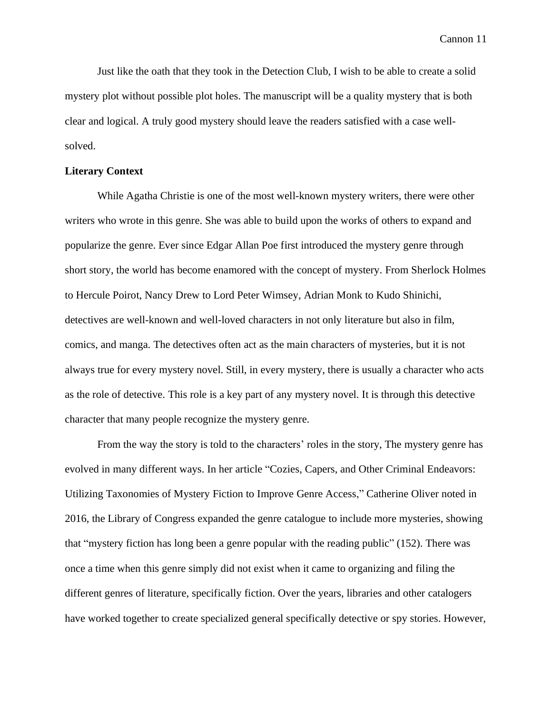Just like the oath that they took in the Detection Club, I wish to be able to create a solid mystery plot without possible plot holes. The manuscript will be a quality mystery that is both clear and logical. A truly good mystery should leave the readers satisfied with a case wellsolved.

## **Literary Context**

While Agatha Christie is one of the most well-known mystery writers, there were other writers who wrote in this genre. She was able to build upon the works of others to expand and popularize the genre. Ever since Edgar Allan Poe first introduced the mystery genre through short story, the world has become enamored with the concept of mystery. From Sherlock Holmes to Hercule Poirot, Nancy Drew to Lord Peter Wimsey, Adrian Monk to Kudo Shinichi, detectives are well-known and well-loved characters in not only literature but also in film, comics, and manga. The detectives often act as the main characters of mysteries, but it is not always true for every mystery novel. Still, in every mystery, there is usually a character who acts as the role of detective. This role is a key part of any mystery novel. It is through this detective character that many people recognize the mystery genre.

From the way the story is told to the characters' roles in the story, The mystery genre has evolved in many different ways. In her article "Cozies, Capers, and Other Criminal Endeavors: Utilizing Taxonomies of Mystery Fiction to Improve Genre Access," Catherine Oliver noted in 2016, the Library of Congress expanded the genre catalogue to include more mysteries, showing that "mystery fiction has long been a genre popular with the reading public" (152). There was once a time when this genre simply did not exist when it came to organizing and filing the different genres of literature, specifically fiction. Over the years, libraries and other catalogers have worked together to create specialized general specifically detective or spy stories. However,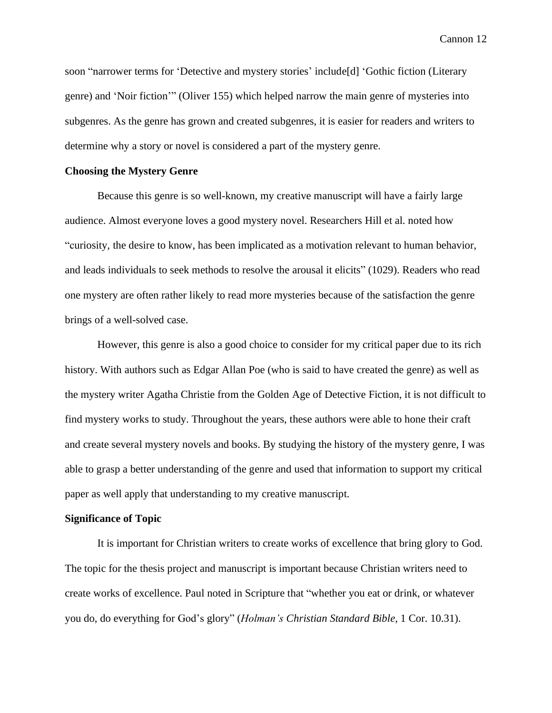soon "narrower terms for 'Detective and mystery stories' include[d] 'Gothic fiction (Literary genre) and 'Noir fiction'" (Oliver 155) which helped narrow the main genre of mysteries into subgenres. As the genre has grown and created subgenres, it is easier for readers and writers to determine why a story or novel is considered a part of the mystery genre.

# **Choosing the Mystery Genre**

Because this genre is so well-known, my creative manuscript will have a fairly large audience. Almost everyone loves a good mystery novel. Researchers Hill et al. noted how "curiosity, the desire to know, has been implicated as a motivation relevant to human behavior, and leads individuals to seek methods to resolve the arousal it elicits" (1029). Readers who read one mystery are often rather likely to read more mysteries because of the satisfaction the genre brings of a well-solved case.

However, this genre is also a good choice to consider for my critical paper due to its rich history. With authors such as Edgar Allan Poe (who is said to have created the genre) as well as the mystery writer Agatha Christie from the Golden Age of Detective Fiction, it is not difficult to find mystery works to study. Throughout the years, these authors were able to hone their craft and create several mystery novels and books. By studying the history of the mystery genre, I was able to grasp a better understanding of the genre and used that information to support my critical paper as well apply that understanding to my creative manuscript.

### **Significance of Topic**

It is important for Christian writers to create works of excellence that bring glory to God. The topic for the thesis project and manuscript is important because Christian writers need to create works of excellence. Paul noted in Scripture that "whether you eat or drink, or whatever you do, do everything for God's glory" (*Holman's Christian Standard Bible*, 1 Cor. 10.31).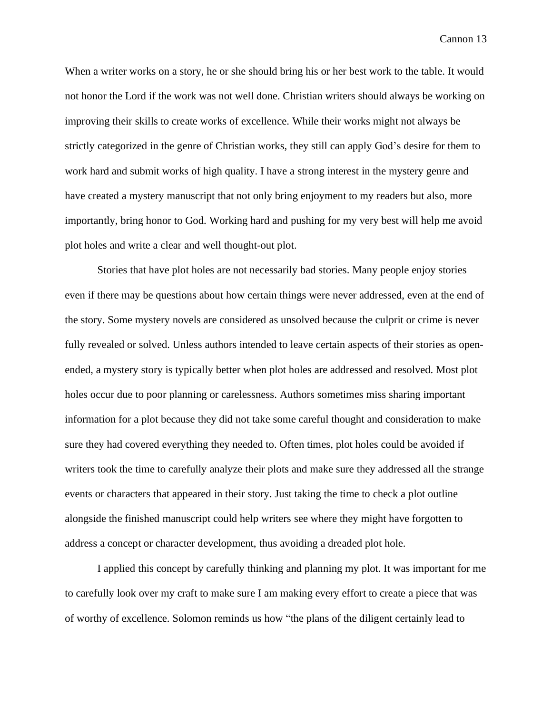When a writer works on a story, he or she should bring his or her best work to the table. It would not honor the Lord if the work was not well done. Christian writers should always be working on improving their skills to create works of excellence. While their works might not always be strictly categorized in the genre of Christian works, they still can apply God's desire for them to work hard and submit works of high quality. I have a strong interest in the mystery genre and have created a mystery manuscript that not only bring enjoyment to my readers but also, more importantly, bring honor to God. Working hard and pushing for my very best will help me avoid plot holes and write a clear and well thought-out plot.

Stories that have plot holes are not necessarily bad stories. Many people enjoy stories even if there may be questions about how certain things were never addressed, even at the end of the story. Some mystery novels are considered as unsolved because the culprit or crime is never fully revealed or solved. Unless authors intended to leave certain aspects of their stories as openended, a mystery story is typically better when plot holes are addressed and resolved. Most plot holes occur due to poor planning or carelessness. Authors sometimes miss sharing important information for a plot because they did not take some careful thought and consideration to make sure they had covered everything they needed to. Often times, plot holes could be avoided if writers took the time to carefully analyze their plots and make sure they addressed all the strange events or characters that appeared in their story. Just taking the time to check a plot outline alongside the finished manuscript could help writers see where they might have forgotten to address a concept or character development, thus avoiding a dreaded plot hole.

I applied this concept by carefully thinking and planning my plot. It was important for me to carefully look over my craft to make sure I am making every effort to create a piece that was of worthy of excellence. Solomon reminds us how "the plans of the diligent certainly lead to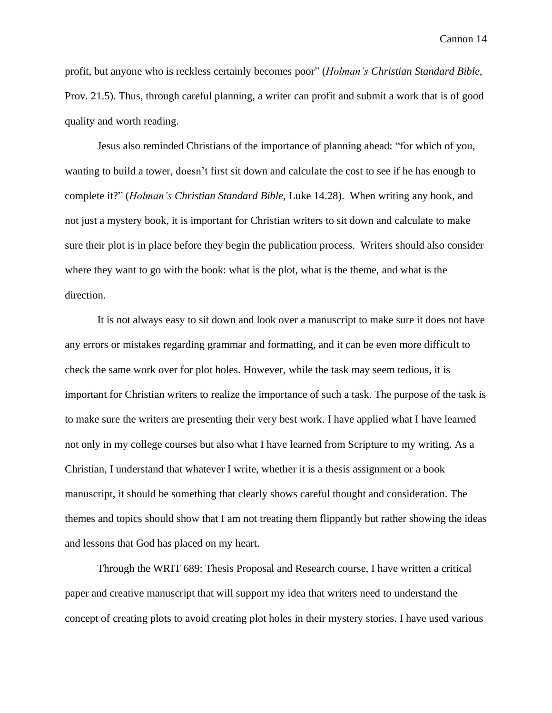profit, but anyone who is reckless certainly becomes poor" (*Holman's Christian Standard Bible,* Prov. 21.5). Thus, through careful planning, a writer can profit and submit a work that is of good quality and worth reading.

Jesus also reminded Christians of the importance of planning ahead: "for which of you, wanting to build a tower, doesn't first sit down and calculate the cost to see if he has enough to complete it?" (*Holman's Christian Standard Bible,* Luke 14.28). When writing any book, and not just a mystery book, it is important for Christian writers to sit down and calculate to make sure their plot is in place before they begin the publication process. Writers should also consider where they want to go with the book: what is the plot, what is the theme, and what is the direction.

It is not always easy to sit down and look over a manuscript to make sure it does not have any errors or mistakes regarding grammar and formatting, and it can be even more difficult to check the same work over for plot holes. However, while the task may seem tedious, it is important for Christian writers to realize the importance of such a task. The purpose of the task is to make sure the writers are presenting their very best work. I have applied what I have learned not only in my college courses but also what I have learned from Scripture to my writing. As a Christian, I understand that whatever I write, whether it is a thesis assignment or a book manuscript, it should be something that clearly shows careful thought and consideration. The themes and topics should show that I am not treating them flippantly but rather showing the ideas and lessons that God has placed on my heart.

Through the WRIT 689: Thesis Proposal and Research course, I have written a critical paper and creative manuscript that will support my idea that writers need to understand the concept of creating plots to avoid creating plot holes in their mystery stories. I have used various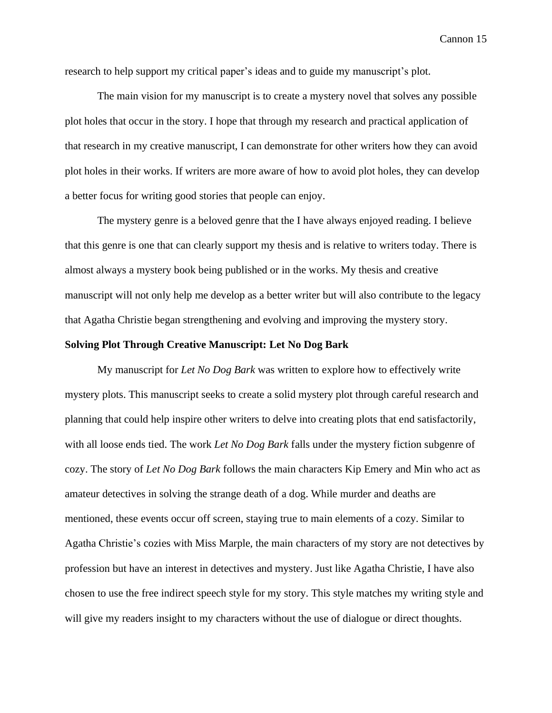research to help support my critical paper's ideas and to guide my manuscript's plot.

The main vision for my manuscript is to create a mystery novel that solves any possible plot holes that occur in the story. I hope that through my research and practical application of that research in my creative manuscript, I can demonstrate for other writers how they can avoid plot holes in their works. If writers are more aware of how to avoid plot holes, they can develop a better focus for writing good stories that people can enjoy.

The mystery genre is a beloved genre that the I have always enjoyed reading. I believe that this genre is one that can clearly support my thesis and is relative to writers today. There is almost always a mystery book being published or in the works. My thesis and creative manuscript will not only help me develop as a better writer but will also contribute to the legacy that Agatha Christie began strengthening and evolving and improving the mystery story.

## **Solving Plot Through Creative Manuscript: Let No Dog Bark**

My manuscript for *Let No Dog Bark* was written to explore how to effectively write mystery plots. This manuscript seeks to create a solid mystery plot through careful research and planning that could help inspire other writers to delve into creating plots that end satisfactorily, with all loose ends tied. The work *Let No Dog Bark* falls under the mystery fiction subgenre of cozy. The story of *Let No Dog Bark* follows the main characters Kip Emery and Min who act as amateur detectives in solving the strange death of a dog. While murder and deaths are mentioned, these events occur off screen, staying true to main elements of a cozy. Similar to Agatha Christie's cozies with Miss Marple, the main characters of my story are not detectives by profession but have an interest in detectives and mystery. Just like Agatha Christie, I have also chosen to use the free indirect speech style for my story. This style matches my writing style and will give my readers insight to my characters without the use of dialogue or direct thoughts.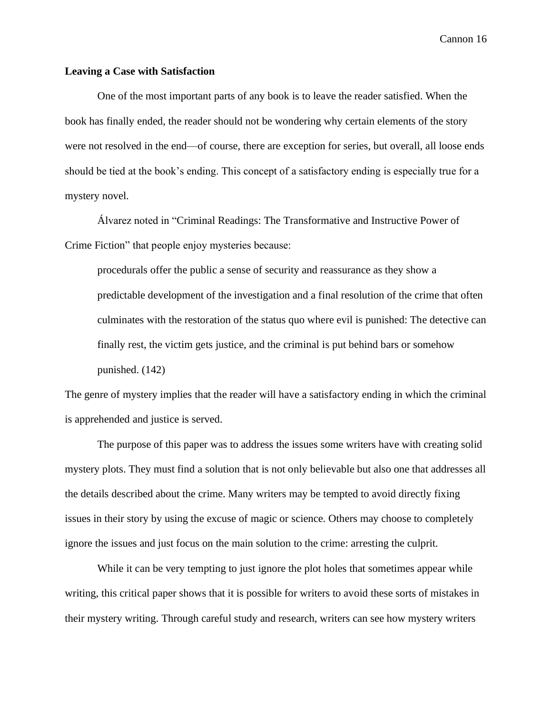# **Leaving a Case with Satisfaction**

One of the most important parts of any book is to leave the reader satisfied. When the book has finally ended, the reader should not be wondering why certain elements of the story were not resolved in the end—of course, there are exception for series, but overall, all loose ends should be tied at the book's ending. This concept of a satisfactory ending is especially true for a mystery novel.

Álvarez noted in "Criminal Readings: The Transformative and Instructive Power of Crime Fiction" that people enjoy mysteries because:

procedurals offer the public a sense of security and reassurance as they show a predictable development of the investigation and a final resolution of the crime that often culminates with the restoration of the status quo where evil is punished: The detective can finally rest, the victim gets justice, and the criminal is put behind bars or somehow punished. (142)

The genre of mystery implies that the reader will have a satisfactory ending in which the criminal is apprehended and justice is served.

The purpose of this paper was to address the issues some writers have with creating solid mystery plots. They must find a solution that is not only believable but also one that addresses all the details described about the crime. Many writers may be tempted to avoid directly fixing issues in their story by using the excuse of magic or science. Others may choose to completely ignore the issues and just focus on the main solution to the crime: arresting the culprit.

While it can be very tempting to just ignore the plot holes that sometimes appear while writing, this critical paper shows that it is possible for writers to avoid these sorts of mistakes in their mystery writing. Through careful study and research, writers can see how mystery writers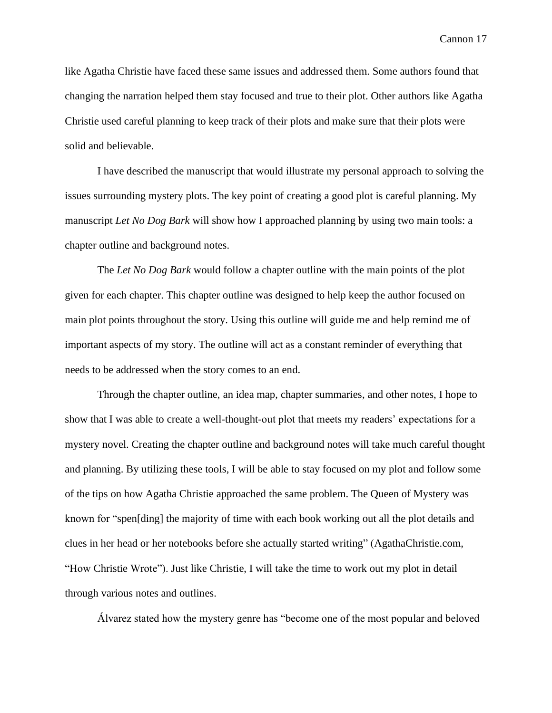like Agatha Christie have faced these same issues and addressed them. Some authors found that changing the narration helped them stay focused and true to their plot. Other authors like Agatha Christie used careful planning to keep track of their plots and make sure that their plots were solid and believable.

I have described the manuscript that would illustrate my personal approach to solving the issues surrounding mystery plots. The key point of creating a good plot is careful planning. My manuscript *Let No Dog Bark* will show how I approached planning by using two main tools: a chapter outline and background notes.

The *Let No Dog Bark* would follow a chapter outline with the main points of the plot given for each chapter. This chapter outline was designed to help keep the author focused on main plot points throughout the story. Using this outline will guide me and help remind me of important aspects of my story. The outline will act as a constant reminder of everything that needs to be addressed when the story comes to an end.

Through the chapter outline, an idea map, chapter summaries, and other notes, I hope to show that I was able to create a well-thought-out plot that meets my readers' expectations for a mystery novel. Creating the chapter outline and background notes will take much careful thought and planning. By utilizing these tools, I will be able to stay focused on my plot and follow some of the tips on how Agatha Christie approached the same problem. The Queen of Mystery was known for "spen[ding] the majority of time with each book working out all the plot details and clues in her head or her notebooks before she actually started writing" (AgathaChristie.com, "How Christie Wrote"). Just like Christie, I will take the time to work out my plot in detail through various notes and outlines.

Álvarez stated how the mystery genre has "become one of the most popular and beloved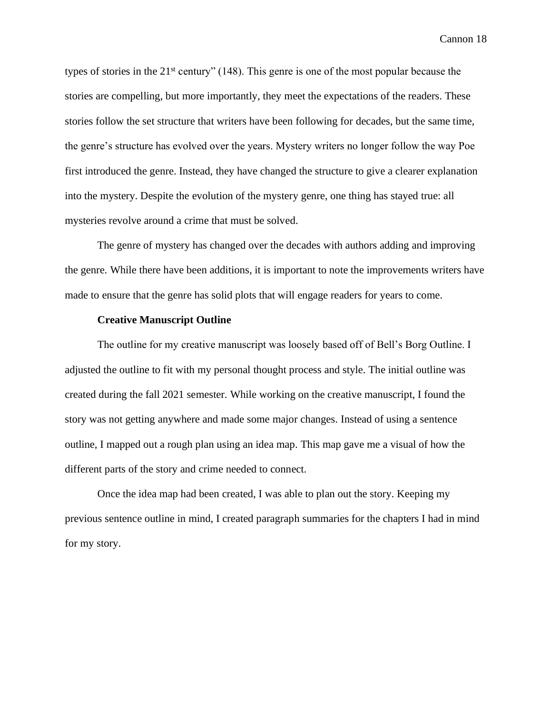types of stories in the  $21<sup>st</sup>$  century" (148). This genre is one of the most popular because the stories are compelling, but more importantly, they meet the expectations of the readers. These stories follow the set structure that writers have been following for decades, but the same time, the genre's structure has evolved over the years. Mystery writers no longer follow the way Poe first introduced the genre. Instead, they have changed the structure to give a clearer explanation into the mystery. Despite the evolution of the mystery genre, one thing has stayed true: all mysteries revolve around a crime that must be solved.

The genre of mystery has changed over the decades with authors adding and improving the genre. While there have been additions, it is important to note the improvements writers have made to ensure that the genre has solid plots that will engage readers for years to come.

## **Creative Manuscript Outline**

The outline for my creative manuscript was loosely based off of Bell's Borg Outline. I adjusted the outline to fit with my personal thought process and style. The initial outline was created during the fall 2021 semester. While working on the creative manuscript, I found the story was not getting anywhere and made some major changes. Instead of using a sentence outline, I mapped out a rough plan using an idea map. This map gave me a visual of how the different parts of the story and crime needed to connect.

Once the idea map had been created, I was able to plan out the story. Keeping my previous sentence outline in mind, I created paragraph summaries for the chapters I had in mind for my story.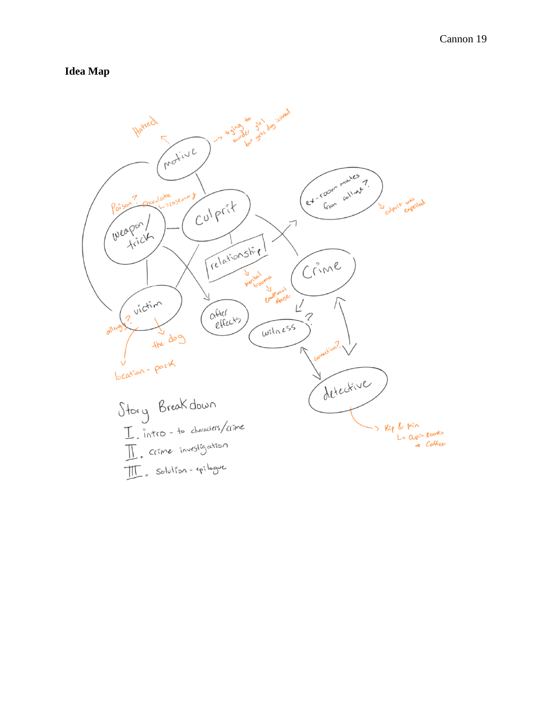# **Idea Map**

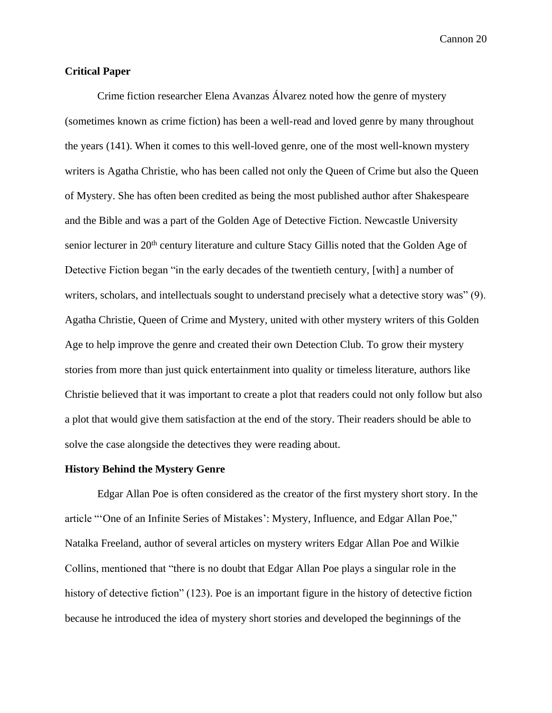# **Critical Paper**

Crime fiction researcher Elena Avanzas Álvarez noted how the genre of mystery (sometimes known as crime fiction) has been a well-read and loved genre by many throughout the years (141). When it comes to this well-loved genre, one of the most well-known mystery writers is Agatha Christie, who has been called not only the Queen of Crime but also the Queen of Mystery. She has often been credited as being the most published author after Shakespeare and the Bible and was a part of the Golden Age of Detective Fiction. Newcastle University senior lecturer in 20<sup>th</sup> century literature and culture Stacy Gillis noted that the Golden Age of Detective Fiction began "in the early decades of the twentieth century, [with] a number of writers, scholars, and intellectuals sought to understand precisely what a detective story was" (9). Agatha Christie, Queen of Crime and Mystery, united with other mystery writers of this Golden Age to help improve the genre and created their own Detection Club. To grow their mystery stories from more than just quick entertainment into quality or timeless literature, authors like Christie believed that it was important to create a plot that readers could not only follow but also a plot that would give them satisfaction at the end of the story. Their readers should be able to solve the case alongside the detectives they were reading about.

#### **History Behind the Mystery Genre**

Edgar Allan Poe is often considered as the creator of the first mystery short story. In the article "'One of an Infinite Series of Mistakes': Mystery, Influence, and Edgar Allan Poe," Natalka Freeland, author of several articles on mystery writers Edgar Allan Poe and Wilkie Collins, mentioned that "there is no doubt that Edgar Allan Poe plays a singular role in the history of detective fiction" (123). Poe is an important figure in the history of detective fiction because he introduced the idea of mystery short stories and developed the beginnings of the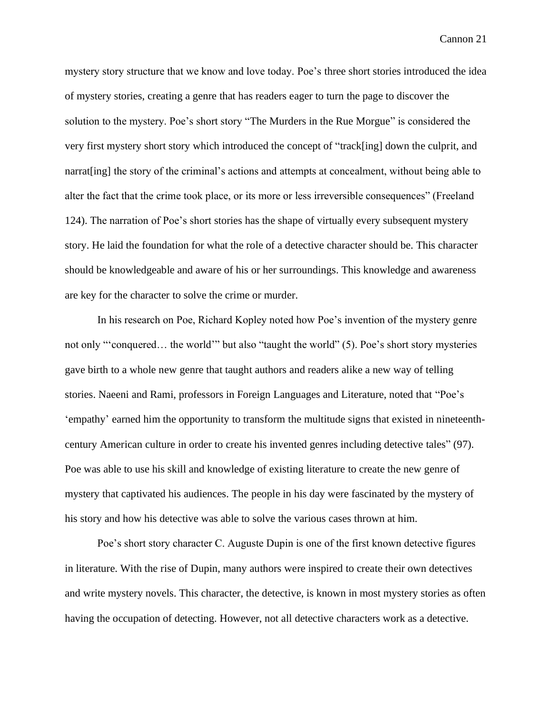mystery story structure that we know and love today. Poe's three short stories introduced the idea of mystery stories, creating a genre that has readers eager to turn the page to discover the solution to the mystery. Poe's short story "The Murders in the Rue Morgue" is considered the very first mystery short story which introduced the concept of "track[ing] down the culprit, and narrat[ing] the story of the criminal's actions and attempts at concealment, without being able to alter the fact that the crime took place, or its more or less irreversible consequences" (Freeland 124). The narration of Poe's short stories has the shape of virtually every subsequent mystery story. He laid the foundation for what the role of a detective character should be. This character should be knowledgeable and aware of his or her surroundings. This knowledge and awareness are key for the character to solve the crime or murder.

In his research on Poe, Richard Kopley noted how Poe's invention of the mystery genre not only "'conquered… the world'" but also "taught the world" (5). Poe's short story mysteries gave birth to a whole new genre that taught authors and readers alike a new way of telling stories. Naeeni and Rami, professors in Foreign Languages and Literature, noted that "Poe's 'empathy' earned him the opportunity to transform the multitude signs that existed in nineteenthcentury American culture in order to create his invented genres including detective tales" (97). Poe was able to use his skill and knowledge of existing literature to create the new genre of mystery that captivated his audiences. The people in his day were fascinated by the mystery of his story and how his detective was able to solve the various cases thrown at him.

Poe's short story character C. Auguste Dupin is one of the first known detective figures in literature. With the rise of Dupin, many authors were inspired to create their own detectives and write mystery novels. This character, the detective, is known in most mystery stories as often having the occupation of detecting. However, not all detective characters work as a detective.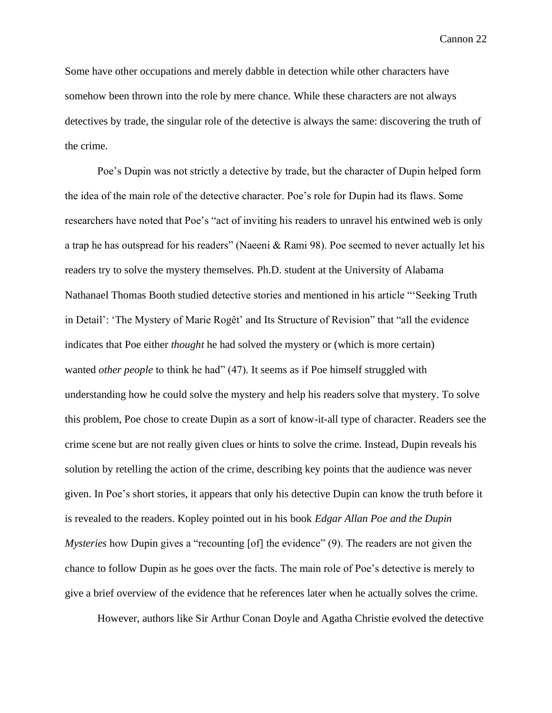Some have other occupations and merely dabble in detection while other characters have somehow been thrown into the role by mere chance. While these characters are not always detectives by trade, the singular role of the detective is always the same: discovering the truth of the crime.

Poe's Dupin was not strictly a detective by trade, but the character of Dupin helped form the idea of the main role of the detective character. Poe's role for Dupin had its flaws. Some researchers have noted that Poe's "act of inviting his readers to unravel his entwined web is only a trap he has outspread for his readers" (Naeeni & Rami 98). Poe seemed to never actually let his readers try to solve the mystery themselves. Ph.D. student at the University of Alabama Nathanael Thomas Booth studied detective stories and mentioned in his article "'Seeking Truth in Detail': 'The Mystery of Marie Rogêt' and Its Structure of Revision" that "all the evidence indicates that Poe either *thought* he had solved the mystery or (which is more certain) wanted *other people* to think he had" (47). It seems as if Poe himself struggled with understanding how he could solve the mystery and help his readers solve that mystery. To solve this problem, Poe chose to create Dupin as a sort of know-it-all type of character. Readers see the crime scene but are not really given clues or hints to solve the crime. Instead, Dupin reveals his solution by retelling the action of the crime, describing key points that the audience was never given. In Poe's short stories, it appears that only his detective Dupin can know the truth before it is revealed to the readers. Kopley pointed out in his book *Edgar Allan Poe and the Dupin Mysteries* how Dupin gives a "recounting [of] the evidence" (9). The readers are not given the chance to follow Dupin as he goes over the facts. The main role of Poe's detective is merely to give a brief overview of the evidence that he references later when he actually solves the crime.

However, authors like Sir Arthur Conan Doyle and Agatha Christie evolved the detective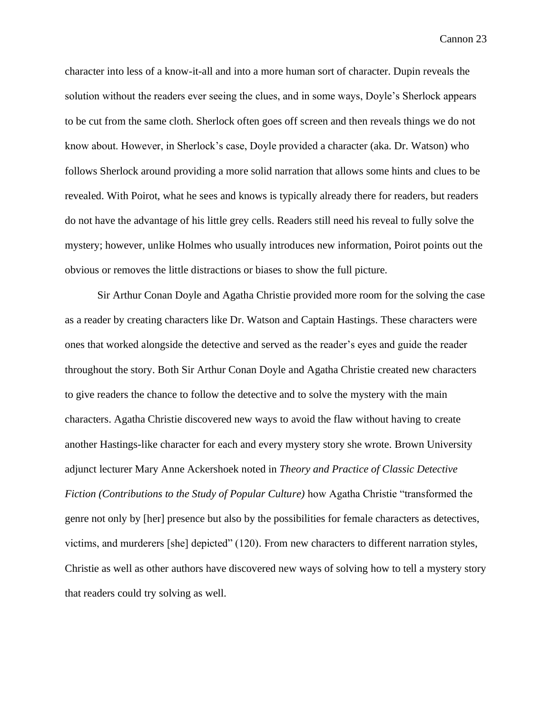character into less of a know-it-all and into a more human sort of character. Dupin reveals the solution without the readers ever seeing the clues, and in some ways, Doyle's Sherlock appears to be cut from the same cloth. Sherlock often goes off screen and then reveals things we do not know about. However, in Sherlock's case, Doyle provided a character (aka. Dr. Watson) who follows Sherlock around providing a more solid narration that allows some hints and clues to be revealed. With Poirot, what he sees and knows is typically already there for readers, but readers do not have the advantage of his little grey cells. Readers still need his reveal to fully solve the mystery; however, unlike Holmes who usually introduces new information, Poirot points out the obvious or removes the little distractions or biases to show the full picture.

Sir Arthur Conan Doyle and Agatha Christie provided more room for the solving the case as a reader by creating characters like Dr. Watson and Captain Hastings. These characters were ones that worked alongside the detective and served as the reader's eyes and guide the reader throughout the story. Both Sir Arthur Conan Doyle and Agatha Christie created new characters to give readers the chance to follow the detective and to solve the mystery with the main characters. Agatha Christie discovered new ways to avoid the flaw without having to create another Hastings-like character for each and every mystery story she wrote. Brown University adjunct lecturer Mary Anne Ackershoek noted in *Theory and Practice of Classic Detective Fiction (Contributions to the Study of Popular Culture)* how Agatha Christie "transformed the genre not only by [her] presence but also by the possibilities for female characters as detectives, victims, and murderers [she] depicted" (120). From new characters to different narration styles, Christie as well as other authors have discovered new ways of solving how to tell a mystery story that readers could try solving as well.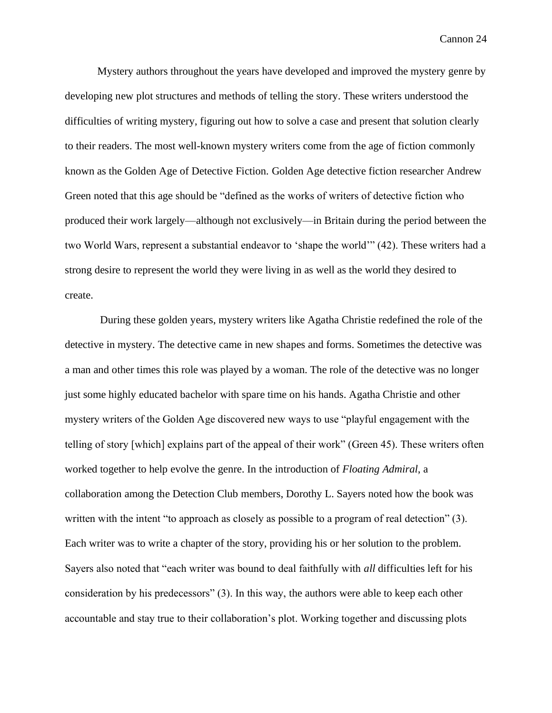Mystery authors throughout the years have developed and improved the mystery genre by developing new plot structures and methods of telling the story. These writers understood the difficulties of writing mystery, figuring out how to solve a case and present that solution clearly to their readers. The most well-known mystery writers come from the age of fiction commonly known as the Golden Age of Detective Fiction. Golden Age detective fiction researcher Andrew Green noted that this age should be "defined as the works of writers of detective fiction who produced their work largely—although not exclusively—in Britain during the period between the two World Wars, represent a substantial endeavor to 'shape the world'" (42). These writers had a strong desire to represent the world they were living in as well as the world they desired to create.

During these golden years, mystery writers like Agatha Christie redefined the role of the detective in mystery. The detective came in new shapes and forms. Sometimes the detective was a man and other times this role was played by a woman. The role of the detective was no longer just some highly educated bachelor with spare time on his hands. Agatha Christie and other mystery writers of the Golden Age discovered new ways to use "playful engagement with the telling of story [which] explains part of the appeal of their work" (Green 45). These writers often worked together to help evolve the genre. In the introduction of *Floating Admiral*, a collaboration among the Detection Club members, Dorothy L. Sayers noted how the book was written with the intent "to approach as closely as possible to a program of real detection" (3). Each writer was to write a chapter of the story, providing his or her solution to the problem. Sayers also noted that "each writer was bound to deal faithfully with *all* difficulties left for his consideration by his predecessors" (3). In this way, the authors were able to keep each other accountable and stay true to their collaboration's plot. Working together and discussing plots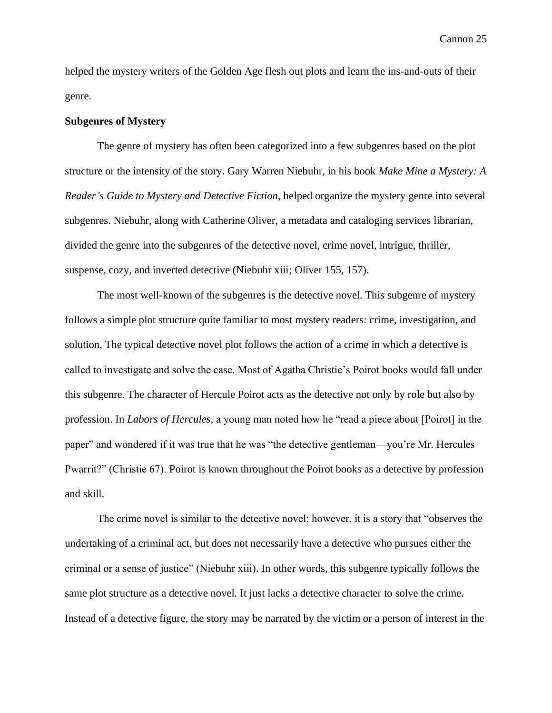helped the mystery writers of the Golden Age flesh out plots and learn the ins-and-outs of their genre.

## **Subgenres of Mystery**

The genre of mystery has often been categorized into a few subgenres based on the plot structure or the intensity of the story. Gary Warren Niebuhr, in his book *Make Mine a Mystery: A Reader's Guide to Mystery and Detective Fiction*, helped organize the mystery genre into several subgenres. Niebuhr, along with Catherine Oliver, a metadata and cataloging services librarian, divided the genre into the subgenres of the detective novel, crime novel, intrigue, thriller, suspense, cozy, and inverted detective (Niebuhr xiii; Oliver 155, 157).

The most well-known of the subgenres is the detective novel. This subgenre of mystery follows a simple plot structure quite familiar to most mystery readers: crime, investigation, and solution. The typical detective novel plot follows the action of a crime in which a detective is called to investigate and solve the case. Most of Agatha Christie's Poirot books would fall under this subgenre. The character of Hercule Poirot acts as the detective not only by role but also by profession. In *Labors of Hercules,* a young man noted how he "read a piece about [Poirot] in the paper" and wondered if it was true that he was "the detective gentleman—you're Mr. Hercules Pwarrit?" (Christie 67). Poirot is known throughout the Poirot books as a detective by profession and skill.

The crime novel is similar to the detective novel; however, it is a story that "observes the undertaking of a criminal act, but does not necessarily have a detective who pursues either the criminal or a sense of justice" (Niebuhr xiii). In other words, this subgenre typically follows the same plot structure as a detective novel. It just lacks a detective character to solve the crime. Instead of a detective figure, the story may be narrated by the victim or a person of interest in the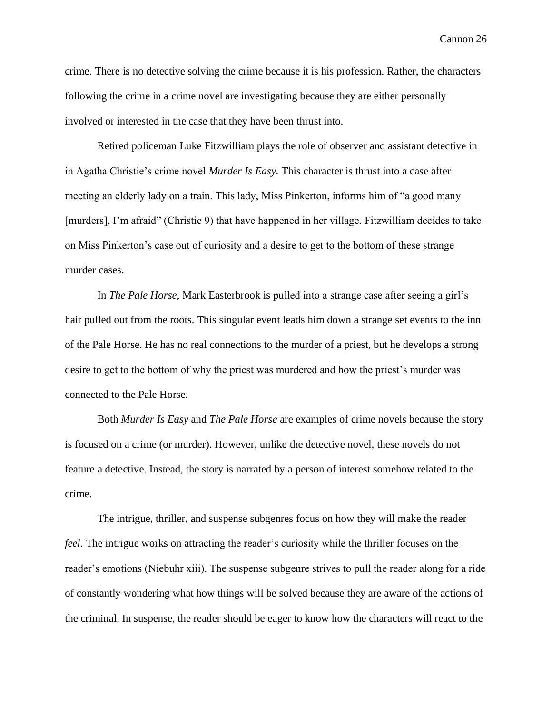crime. There is no detective solving the crime because it is his profession. Rather, the characters following the crime in a crime novel are investigating because they are either personally involved or interested in the case that they have been thrust into.

Retired policeman Luke Fitzwilliam plays the role of observer and assistant detective in in Agatha Christie's crime novel *Murder Is Easy.* This character is thrust into a case after meeting an elderly lady on a train. This lady, Miss Pinkerton, informs him of "a good many [murders], I'm afraid" (Christie 9) that have happened in her village. Fitzwilliam decides to take on Miss Pinkerton's case out of curiosity and a desire to get to the bottom of these strange murder cases.

In *The Pale Horse*, Mark Easterbrook is pulled into a strange case after seeing a girl's hair pulled out from the roots. This singular event leads him down a strange set events to the inn of the Pale Horse. He has no real connections to the murder of a priest, but he develops a strong desire to get to the bottom of why the priest was murdered and how the priest's murder was connected to the Pale Horse.

Both *Murder Is Easy* and *The Pale Horse* are examples of crime novels because the story is focused on a crime (or murder). However, unlike the detective novel, these novels do not feature a detective. Instead, the story is narrated by a person of interest somehow related to the crime.

The intrigue, thriller, and suspense subgenres focus on how they will make the reader *feel*. The intrigue works on attracting the reader's curiosity while the thriller focuses on the reader's emotions (Niebuhr xiii). The suspense subgenre strives to pull the reader along for a ride of constantly wondering what how things will be solved because they are aware of the actions of the criminal. In suspense, the reader should be eager to know how the characters will react to the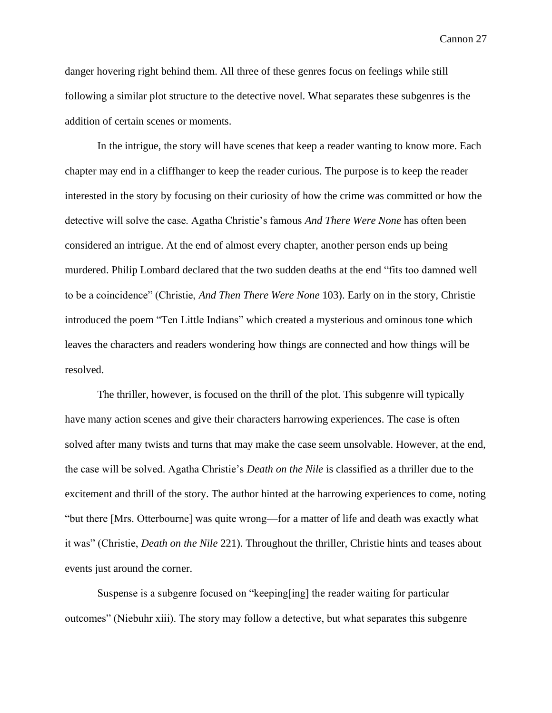danger hovering right behind them. All three of these genres focus on feelings while still following a similar plot structure to the detective novel. What separates these subgenres is the addition of certain scenes or moments.

In the intrigue, the story will have scenes that keep a reader wanting to know more. Each chapter may end in a cliffhanger to keep the reader curious. The purpose is to keep the reader interested in the story by focusing on their curiosity of how the crime was committed or how the detective will solve the case. Agatha Christie's famous *And There Were None* has often been considered an intrigue. At the end of almost every chapter, another person ends up being murdered. Philip Lombard declared that the two sudden deaths at the end "fits too damned well to be a coincidence" (Christie, *And Then There Were None* 103). Early on in the story, Christie introduced the poem "Ten Little Indians" which created a mysterious and ominous tone which leaves the characters and readers wondering how things are connected and how things will be resolved.

The thriller, however, is focused on the thrill of the plot. This subgenre will typically have many action scenes and give their characters harrowing experiences. The case is often solved after many twists and turns that may make the case seem unsolvable. However, at the end, the case will be solved. Agatha Christie's *Death on the Nile* is classified as a thriller due to the excitement and thrill of the story. The author hinted at the harrowing experiences to come, noting "but there [Mrs. Otterbourne] was quite wrong—for a matter of life and death was exactly what it was" (Christie, *Death on the Nile* 221). Throughout the thriller, Christie hints and teases about events just around the corner.

Suspense is a subgenre focused on "keeping[ing] the reader waiting for particular outcomes" (Niebuhr xiii). The story may follow a detective, but what separates this subgenre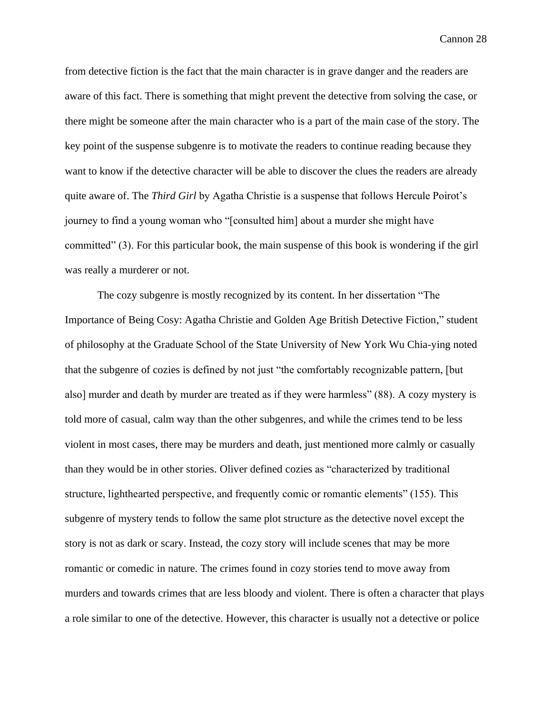from detective fiction is the fact that the main character is in grave danger and the readers are aware of this fact. There is something that might prevent the detective from solving the case, or there might be someone after the main character who is a part of the main case of the story. The key point of the suspense subgenre is to motivate the readers to continue reading because they want to know if the detective character will be able to discover the clues the readers are already quite aware of. The *Third Girl* by Agatha Christie is a suspense that follows Hercule Poirot's journey to find a young woman who "[consulted him] about a murder she might have committed" (3). For this particular book, the main suspense of this book is wondering if the girl was really a murderer or not.

The cozy subgenre is mostly recognized by its content. In her dissertation "The Importance of Being Cosy: Agatha Christie and Golden Age British Detective Fiction," student of philosophy at the Graduate School of the State University of New York Wu Chia-ying noted that the subgenre of cozies is defined by not just "the comfortably recognizable pattern, [but also] murder and death by murder are treated as if they were harmless" (88). A cozy mystery is told more of casual, calm way than the other subgenres, and while the crimes tend to be less violent in most cases, there may be murders and death, just mentioned more calmly or casually than they would be in other stories. Oliver defined cozies as "characterized by traditional structure, lighthearted perspective, and frequently comic or romantic elements" (155). This subgenre of mystery tends to follow the same plot structure as the detective novel except the story is not as dark or scary. Instead, the cozy story will include scenes that may be more romantic or comedic in nature. The crimes found in cozy stories tend to move away from murders and towards crimes that are less bloody and violent. There is often a character that plays a role similar to one of the detective. However, this character is usually not a detective or police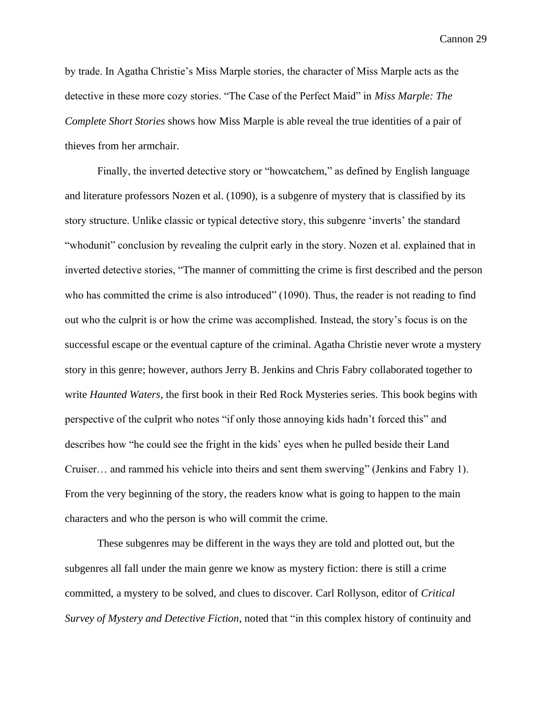by trade. In Agatha Christie's Miss Marple stories, the character of Miss Marple acts as the detective in these more cozy stories. "The Case of the Perfect Maid" in *Miss Marple: The Complete Short Stories* shows how Miss Marple is able reveal the true identities of a pair of thieves from her armchair.

Finally, the inverted detective story or "howcatchem," as defined by English language and literature professors Nozen et al. (1090), is a subgenre of mystery that is classified by its story structure. Unlike classic or typical detective story, this subgenre 'inverts' the standard "whodunit" conclusion by revealing the culprit early in the story. Nozen et al. explained that in inverted detective stories, "The manner of committing the crime is first described and the person who has committed the crime is also introduced" (1090). Thus, the reader is not reading to find out who the culprit is or how the crime was accomplished. Instead, the story's focus is on the successful escape or the eventual capture of the criminal. Agatha Christie never wrote a mystery story in this genre; however, authors Jerry B. Jenkins and Chris Fabry collaborated together to write *Haunted Waters*, the first book in their Red Rock Mysteries series. This book begins with perspective of the culprit who notes "if only those annoying kids hadn't forced this" and describes how "he could see the fright in the kids' eyes when he pulled beside their Land Cruiser… and rammed his vehicle into theirs and sent them swerving" (Jenkins and Fabry 1). From the very beginning of the story, the readers know what is going to happen to the main characters and who the person is who will commit the crime.

These subgenres may be different in the ways they are told and plotted out, but the subgenres all fall under the main genre we know as mystery fiction: there is still a crime committed, a mystery to be solved, and clues to discover. Carl Rollyson, editor of *Critical Survey of Mystery and Detective Fiction*, noted that "in this complex history of continuity and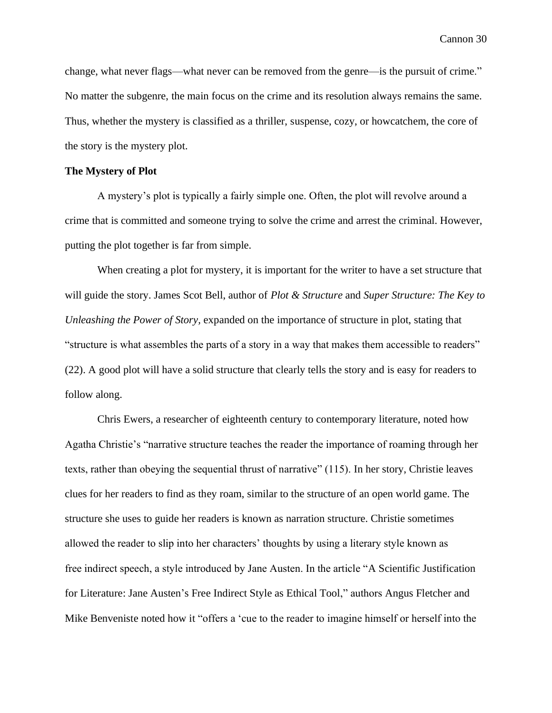change, what never flags—what never can be removed from the genre—is the pursuit of crime." No matter the subgenre, the main focus on the crime and its resolution always remains the same. Thus, whether the mystery is classified as a thriller, suspense, cozy, or howcatchem, the core of the story is the mystery plot.

# **The Mystery of Plot**

A mystery's plot is typically a fairly simple one. Often, the plot will revolve around a crime that is committed and someone trying to solve the crime and arrest the criminal. However, putting the plot together is far from simple.

When creating a plot for mystery, it is important for the writer to have a set structure that will guide the story. James Scot Bell, author of *Plot & Structure* and *Super Structure: The Key to Unleashing the Power of Story,* expanded on the importance of structure in plot, stating that "structure is what assembles the parts of a story in a way that makes them accessible to readers" (22). A good plot will have a solid structure that clearly tells the story and is easy for readers to follow along.

Chris Ewers, a researcher of eighteenth century to contemporary literature, noted how Agatha Christie's "narrative structure teaches the reader the importance of roaming through her texts, rather than obeying the sequential thrust of narrative" (115). In her story, Christie leaves clues for her readers to find as they roam, similar to the structure of an open world game. The structure she uses to guide her readers is known as narration structure. Christie sometimes allowed the reader to slip into her characters' thoughts by using a literary style known as free indirect speech, a style introduced by Jane Austen. In the article "A Scientific Justification for Literature: Jane Austen's Free Indirect Style as Ethical Tool," authors Angus Fletcher and Mike Benveniste noted how it "offers a 'cue to the reader to imagine himself or herself into the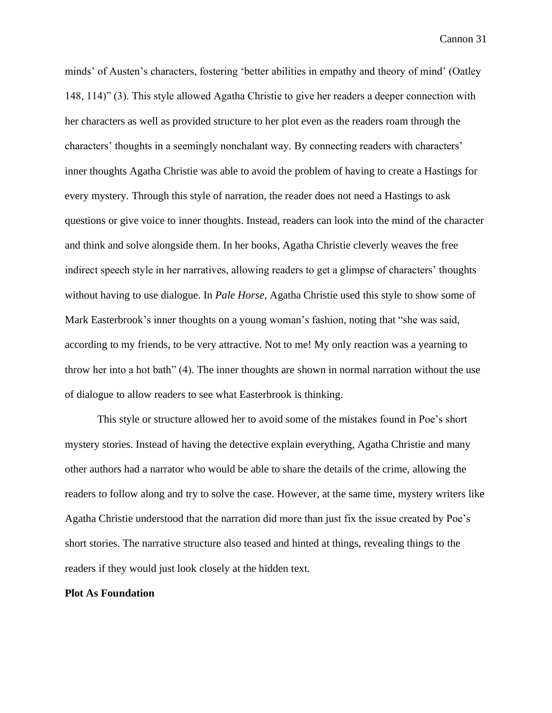minds' of Austen's characters, fostering 'better abilities in empathy and theory of mind' (Oatley 148, 114)" (3). This style allowed Agatha Christie to give her readers a deeper connection with her characters as well as provided structure to her plot even as the readers roam through the characters' thoughts in a seemingly nonchalant way. By connecting readers with characters' inner thoughts Agatha Christie was able to avoid the problem of having to create a Hastings for every mystery. Through this style of narration, the reader does not need a Hastings to ask questions or give voice to inner thoughts. Instead, readers can look into the mind of the character and think and solve alongside them. In her books, Agatha Christie cleverly weaves the free indirect speech style in her narratives, allowing readers to get a glimpse of characters' thoughts without having to use dialogue. In *Pale Horse,* Agatha Christie used this style to show some of Mark Easterbrook's inner thoughts on a young woman's fashion, noting that "she was said, according to my friends, to be very attractive. Not to me! My only reaction was a yearning to throw her into a hot bath" (4). The inner thoughts are shown in normal narration without the use of dialogue to allow readers to see what Easterbrook is thinking.

This style or structure allowed her to avoid some of the mistakes found in Poe's short mystery stories. Instead of having the detective explain everything, Agatha Christie and many other authors had a narrator who would be able to share the details of the crime, allowing the readers to follow along and try to solve the case. However, at the same time, mystery writers like Agatha Christie understood that the narration did more than just fix the issue created by Poe's short stories. The narrative structure also teased and hinted at things, revealing things to the readers if they would just look closely at the hidden text.

#### **Plot As Foundation**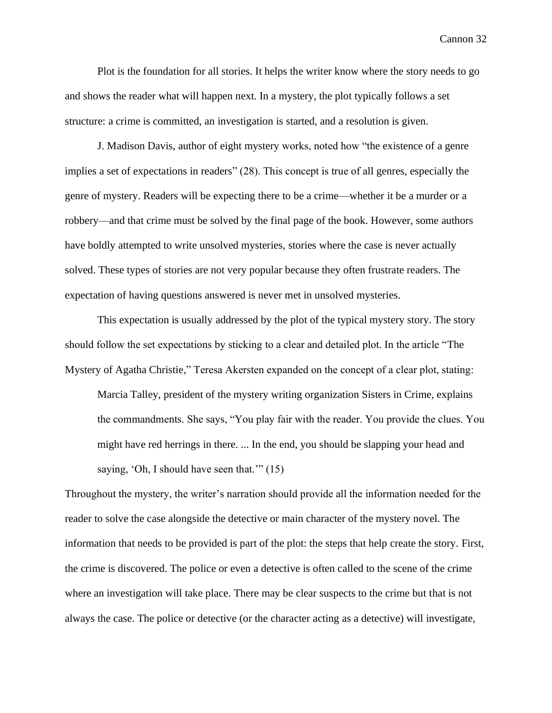Plot is the foundation for all stories. It helps the writer know where the story needs to go and shows the reader what will happen next. In a mystery, the plot typically follows a set structure: a crime is committed, an investigation is started, and a resolution is given.

J. Madison Davis, author of eight mystery works, noted how "the existence of a genre implies a set of expectations in readers" (28). This concept is true of all genres, especially the genre of mystery. Readers will be expecting there to be a crime—whether it be a murder or a robbery—and that crime must be solved by the final page of the book. However, some authors have boldly attempted to write unsolved mysteries, stories where the case is never actually solved. These types of stories are not very popular because they often frustrate readers. The expectation of having questions answered is never met in unsolved mysteries.

This expectation is usually addressed by the plot of the typical mystery story. The story should follow the set expectations by sticking to a clear and detailed plot. In the article "The Mystery of Agatha Christie," Teresa Akersten expanded on the concept of a clear plot, stating:

Marcia Talley, president of the mystery writing organization Sisters in Crime, explains the commandments. She says, "You play fair with the reader. You provide the clues. You might have red herrings in there. ... In the end, you should be slapping your head and saying, 'Oh, I should have seen that.'" (15)

Throughout the mystery, the writer's narration should provide all the information needed for the reader to solve the case alongside the detective or main character of the mystery novel. The information that needs to be provided is part of the plot: the steps that help create the story. First, the crime is discovered. The police or even a detective is often called to the scene of the crime where an investigation will take place. There may be clear suspects to the crime but that is not always the case. The police or detective (or the character acting as a detective) will investigate,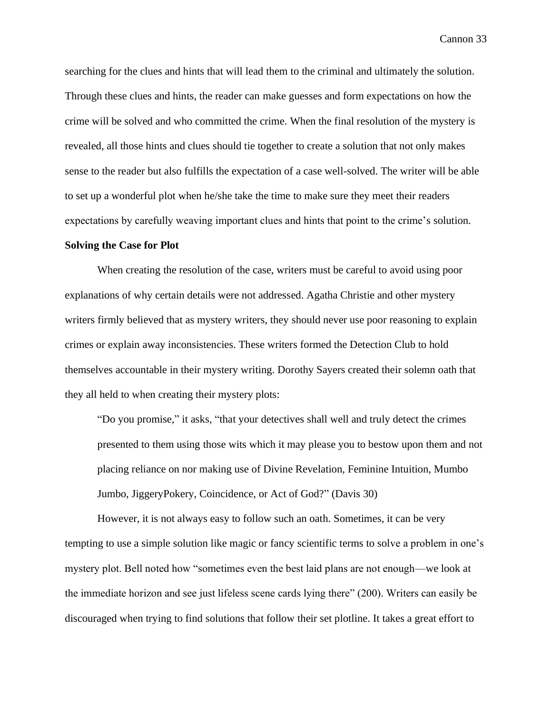searching for the clues and hints that will lead them to the criminal and ultimately the solution. Through these clues and hints, the reader can make guesses and form expectations on how the crime will be solved and who committed the crime. When the final resolution of the mystery is revealed, all those hints and clues should tie together to create a solution that not only makes sense to the reader but also fulfills the expectation of a case well-solved. The writer will be able to set up a wonderful plot when he/she take the time to make sure they meet their readers expectations by carefully weaving important clues and hints that point to the crime's solution.

#### **Solving the Case for Plot**

When creating the resolution of the case, writers must be careful to avoid using poor explanations of why certain details were not addressed. Agatha Christie and other mystery writers firmly believed that as mystery writers, they should never use poor reasoning to explain crimes or explain away inconsistencies. These writers formed the Detection Club to hold themselves accountable in their mystery writing. Dorothy Sayers created their solemn oath that they all held to when creating their mystery plots:

"Do you promise," it asks, "that your detectives shall well and truly detect the crimes presented to them using those wits which it may please you to bestow upon them and not placing reliance on nor making use of Divine Revelation, Feminine Intuition, Mumbo Jumbo, JiggeryPokery, Coincidence, or Act of God?" (Davis 30)

However, it is not always easy to follow such an oath. Sometimes, it can be very tempting to use a simple solution like magic or fancy scientific terms to solve a problem in one's mystery plot. Bell noted how "sometimes even the best laid plans are not enough—we look at the immediate horizon and see just lifeless scene cards lying there" (200). Writers can easily be discouraged when trying to find solutions that follow their set plotline. It takes a great effort to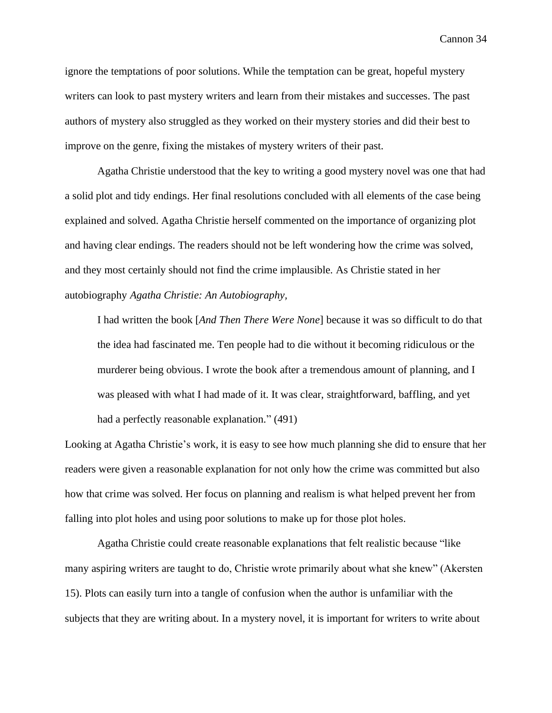ignore the temptations of poor solutions. While the temptation can be great, hopeful mystery writers can look to past mystery writers and learn from their mistakes and successes. The past authors of mystery also struggled as they worked on their mystery stories and did their best to improve on the genre, fixing the mistakes of mystery writers of their past.

Agatha Christie understood that the key to writing a good mystery novel was one that had a solid plot and tidy endings. Her final resolutions concluded with all elements of the case being explained and solved. Agatha Christie herself commented on the importance of organizing plot and having clear endings. The readers should not be left wondering how the crime was solved, and they most certainly should not find the crime implausible. As Christie stated in her autobiography *Agatha Christie: An Autobiography,*

I had written the book [*And Then There Were None*] because it was so difficult to do that the idea had fascinated me. Ten people had to die without it becoming ridiculous or the murderer being obvious. I wrote the book after a tremendous amount of planning, and I was pleased with what I had made of it. It was clear, straightforward, baffling, and yet had a perfectly reasonable explanation." (491)

Looking at Agatha Christie's work, it is easy to see how much planning she did to ensure that her readers were given a reasonable explanation for not only how the crime was committed but also how that crime was solved. Her focus on planning and realism is what helped prevent her from falling into plot holes and using poor solutions to make up for those plot holes.

Agatha Christie could create reasonable explanations that felt realistic because "like many aspiring writers are taught to do, Christie wrote primarily about what she knew" (Akersten 15). Plots can easily turn into a tangle of confusion when the author is unfamiliar with the subjects that they are writing about. In a mystery novel, it is important for writers to write about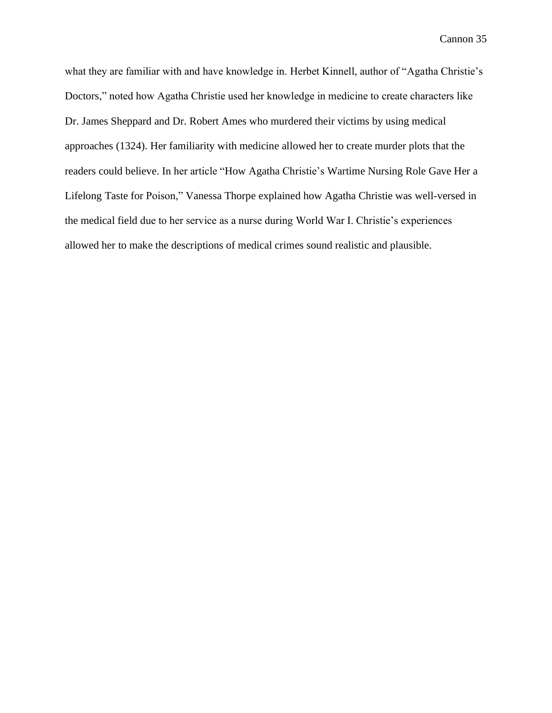what they are familiar with and have knowledge in. Herbet Kinnell, author of "Agatha Christie's Doctors," noted how Agatha Christie used her knowledge in medicine to create characters like Dr. James Sheppard and Dr. Robert Ames who murdered their victims by using medical approaches (1324). Her familiarity with medicine allowed her to create murder plots that the readers could believe. In her article "How Agatha Christie's Wartime Nursing Role Gave Her a Lifelong Taste for Poison," Vanessa Thorpe explained how Agatha Christie was well-versed in the medical field due to her service as a nurse during World War I. Christie's experiences allowed her to make the descriptions of medical crimes sound realistic and plausible.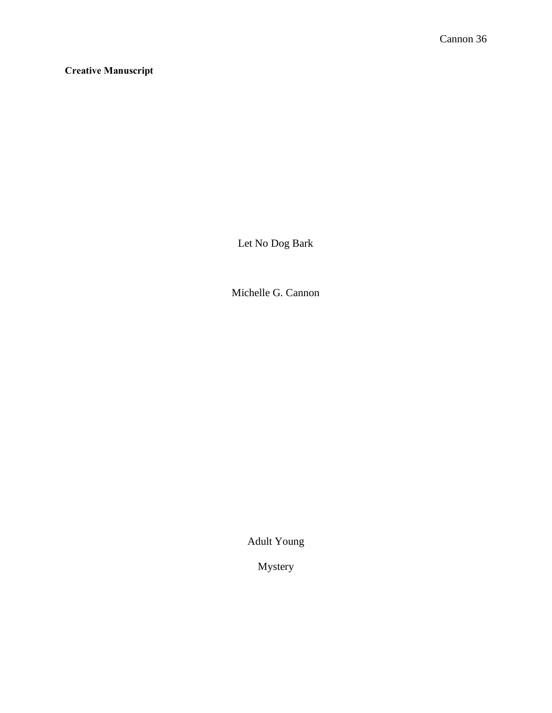**Creative Manuscript**

Let No Dog Bark

Michelle G. Cannon

Adult Young

Mystery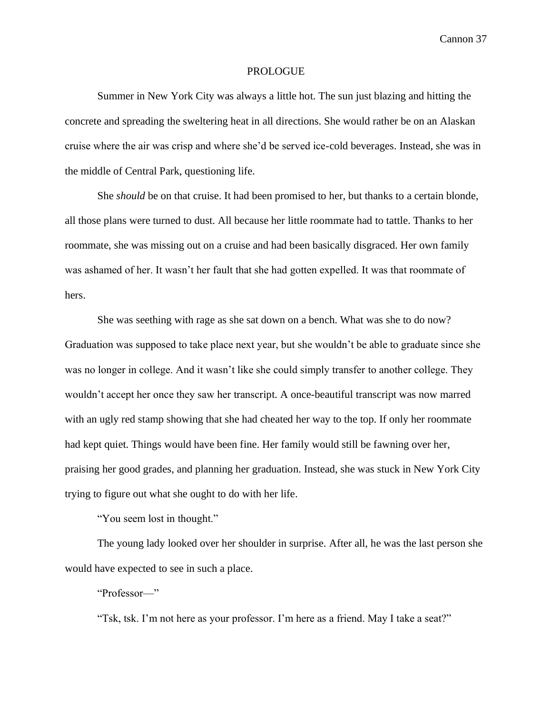### PROLOGUE

Summer in New York City was always a little hot. The sun just blazing and hitting the concrete and spreading the sweltering heat in all directions. She would rather be on an Alaskan cruise where the air was crisp and where she'd be served ice-cold beverages. Instead, she was in the middle of Central Park, questioning life.

She *should* be on that cruise. It had been promised to her, but thanks to a certain blonde, all those plans were turned to dust. All because her little roommate had to tattle. Thanks to her roommate, she was missing out on a cruise and had been basically disgraced. Her own family was ashamed of her. It wasn't her fault that she had gotten expelled. It was that roommate of hers.

She was seething with rage as she sat down on a bench. What was she to do now? Graduation was supposed to take place next year, but she wouldn't be able to graduate since she was no longer in college. And it wasn't like she could simply transfer to another college. They wouldn't accept her once they saw her transcript. A once-beautiful transcript was now marred with an ugly red stamp showing that she had cheated her way to the top. If only her roommate had kept quiet. Things would have been fine. Her family would still be fawning over her, praising her good grades, and planning her graduation. Instead, she was stuck in New York City trying to figure out what she ought to do with her life.

"You seem lost in thought."

The young lady looked over her shoulder in surprise. After all, he was the last person she would have expected to see in such a place.

"Professor—"

"Tsk, tsk. I'm not here as your professor. I'm here as a friend. May I take a seat?"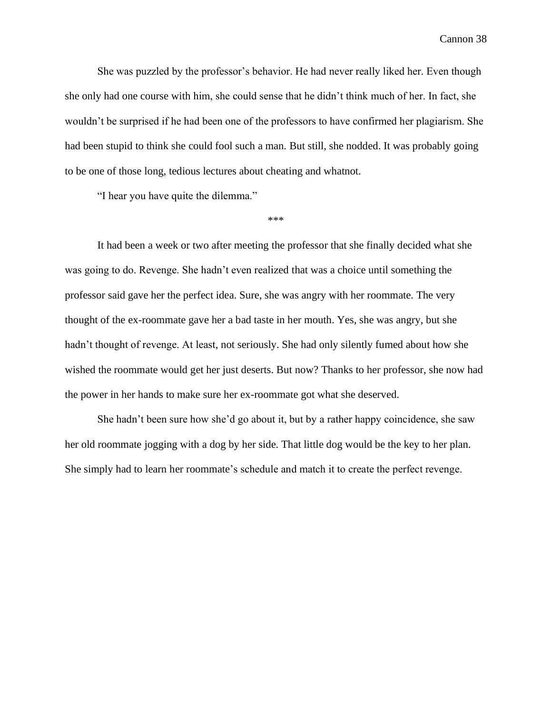She was puzzled by the professor's behavior. He had never really liked her. Even though she only had one course with him, she could sense that he didn't think much of her. In fact, she wouldn't be surprised if he had been one of the professors to have confirmed her plagiarism. She had been stupid to think she could fool such a man. But still, she nodded. It was probably going to be one of those long, tedious lectures about cheating and whatnot.

"I hear you have quite the dilemma."

\*\*\*

It had been a week or two after meeting the professor that she finally decided what she was going to do. Revenge. She hadn't even realized that was a choice until something the professor said gave her the perfect idea. Sure, she was angry with her roommate. The very thought of the ex-roommate gave her a bad taste in her mouth. Yes, she was angry, but she hadn't thought of revenge. At least, not seriously. She had only silently fumed about how she wished the roommate would get her just deserts. But now? Thanks to her professor, she now had the power in her hands to make sure her ex-roommate got what she deserved.

She hadn't been sure how she'd go about it, but by a rather happy coincidence, she saw her old roommate jogging with a dog by her side. That little dog would be the key to her plan. She simply had to learn her roommate's schedule and match it to create the perfect revenge.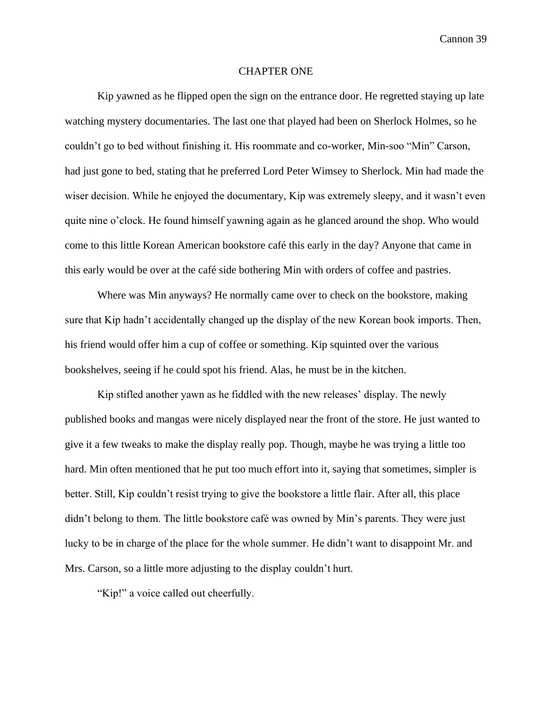## CHAPTER ONE

Kip yawned as he flipped open the sign on the entrance door. He regretted staying up late watching mystery documentaries. The last one that played had been on Sherlock Holmes, so he couldn't go to bed without finishing it. His roommate and co-worker, Min-soo "Min" Carson, had just gone to bed, stating that he preferred Lord Peter Wimsey to Sherlock. Min had made the wiser decision. While he enjoyed the documentary, Kip was extremely sleepy, and it wasn't even quite nine o'clock. He found himself yawning again as he glanced around the shop. Who would come to this little Korean American bookstore café this early in the day? Anyone that came in this early would be over at the café side bothering Min with orders of coffee and pastries.

Where was Min anyways? He normally came over to check on the bookstore, making sure that Kip hadn't accidentally changed up the display of the new Korean book imports. Then, his friend would offer him a cup of coffee or something. Kip squinted over the various bookshelves, seeing if he could spot his friend. Alas, he must be in the kitchen.

Kip stifled another yawn as he fiddled with the new releases' display. The newly published books and mangas were nicely displayed near the front of the store. He just wanted to give it a few tweaks to make the display really pop. Though, maybe he was trying a little too hard. Min often mentioned that he put too much effort into it, saying that sometimes, simpler is better. Still, Kip couldn't resist trying to give the bookstore a little flair. After all, this place didn't belong to them. The little bookstore café was owned by Min's parents. They were just lucky to be in charge of the place for the whole summer. He didn't want to disappoint Mr. and Mrs. Carson, so a little more adjusting to the display couldn't hurt.

"Kip!" a voice called out cheerfully.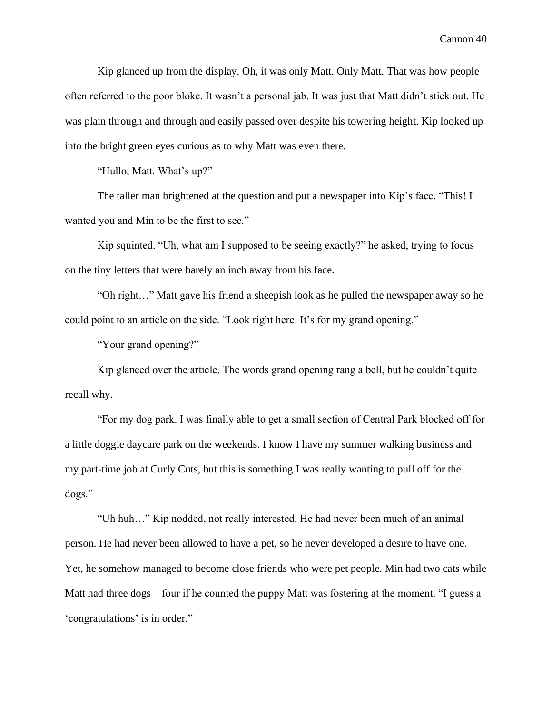Kip glanced up from the display. Oh, it was only Matt. Only Matt. That was how people often referred to the poor bloke. It wasn't a personal jab. It was just that Matt didn't stick out. He was plain through and through and easily passed over despite his towering height. Kip looked up into the bright green eyes curious as to why Matt was even there.

"Hullo, Matt. What's up?"

The taller man brightened at the question and put a newspaper into Kip's face. "This! I wanted you and Min to be the first to see."

Kip squinted. "Uh, what am I supposed to be seeing exactly?" he asked, trying to focus on the tiny letters that were barely an inch away from his face.

"Oh right…" Matt gave his friend a sheepish look as he pulled the newspaper away so he could point to an article on the side. "Look right here. It's for my grand opening."

"Your grand opening?"

Kip glanced over the article. The words grand opening rang a bell, but he couldn't quite recall why.

"For my dog park. I was finally able to get a small section of Central Park blocked off for a little doggie daycare park on the weekends. I know I have my summer walking business and my part-time job at Curly Cuts, but this is something I was really wanting to pull off for the dogs."

"Uh huh…" Kip nodded, not really interested. He had never been much of an animal person. He had never been allowed to have a pet, so he never developed a desire to have one. Yet, he somehow managed to become close friends who were pet people. Min had two cats while Matt had three dogs—four if he counted the puppy Matt was fostering at the moment. "I guess a 'congratulations' is in order."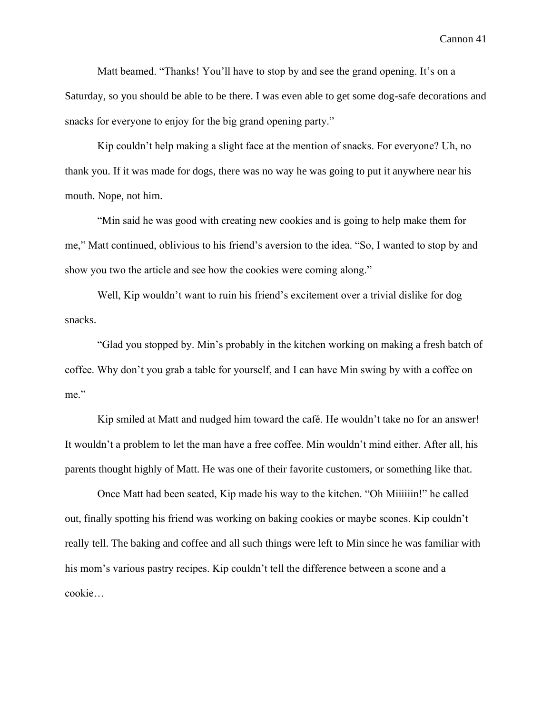Matt beamed. "Thanks! You'll have to stop by and see the grand opening. It's on a Saturday, so you should be able to be there. I was even able to get some dog-safe decorations and snacks for everyone to enjoy for the big grand opening party."

Kip couldn't help making a slight face at the mention of snacks. For everyone? Uh, no thank you. If it was made for dogs, there was no way he was going to put it anywhere near his mouth. Nope, not him.

"Min said he was good with creating new cookies and is going to help make them for me," Matt continued, oblivious to his friend's aversion to the idea. "So, I wanted to stop by and show you two the article and see how the cookies were coming along."

Well, Kip wouldn't want to ruin his friend's excitement over a trivial dislike for dog snacks.

"Glad you stopped by. Min's probably in the kitchen working on making a fresh batch of coffee. Why don't you grab a table for yourself, and I can have Min swing by with a coffee on me."

Kip smiled at Matt and nudged him toward the café. He wouldn't take no for an answer! It wouldn't a problem to let the man have a free coffee. Min wouldn't mind either. After all, his parents thought highly of Matt. He was one of their favorite customers, or something like that.

Once Matt had been seated, Kip made his way to the kitchen. "Oh Miiiiiin!" he called out, finally spotting his friend was working on baking cookies or maybe scones. Kip couldn't really tell. The baking and coffee and all such things were left to Min since he was familiar with his mom's various pastry recipes. Kip couldn't tell the difference between a scone and a cookie…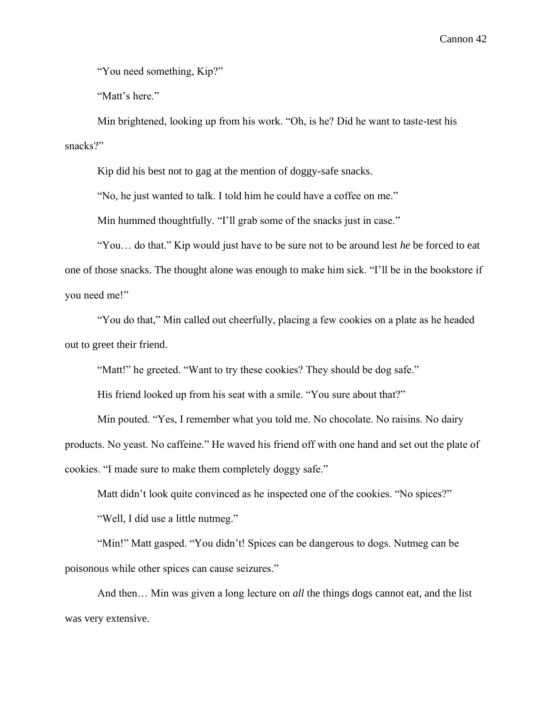"You need something, Kip?"

"Matt's here."

Min brightened, looking up from his work. "Oh, is he? Did he want to taste-test his snacks?"

Kip did his best not to gag at the mention of doggy-safe snacks.

"No, he just wanted to talk. I told him he could have a coffee on me."

Min hummed thoughtfully. "I'll grab some of the snacks just in case."

"You… do that." Kip would just have to be sure not to be around lest *he* be forced to eat one of those snacks. The thought alone was enough to make him sick. "I'll be in the bookstore if you need me!"

"You do that," Min called out cheerfully, placing a few cookies on a plate as he headed out to greet their friend.

"Matt!" he greeted. "Want to try these cookies? They should be dog safe."

His friend looked up from his seat with a smile. "You sure about that?"

Min pouted. "Yes, I remember what you told me. No chocolate. No raisins. No dairy products. No yeast. No caffeine." He waved his friend off with one hand and set out the plate of cookies. "I made sure to make them completely doggy safe."

Matt didn't look quite convinced as he inspected one of the cookies. "No spices?"

"Well, I did use a little nutmeg."

"Min!" Matt gasped. "You didn't! Spices can be dangerous to dogs. Nutmeg can be poisonous while other spices can cause seizures."

And then… Min was given a long lecture on *all* the things dogs cannot eat, and the list was very extensive.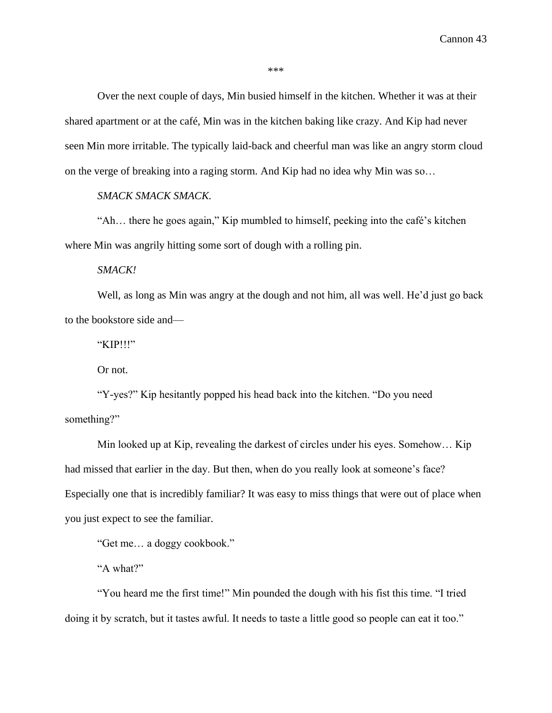Over the next couple of days, Min busied himself in the kitchen. Whether it was at their shared apartment or at the café, Min was in the kitchen baking like crazy. And Kip had never seen Min more irritable. The typically laid-back and cheerful man was like an angry storm cloud on the verge of breaking into a raging storm. And Kip had no idea why Min was so…

# *SMACK SMACK SMACK.*

"Ah… there he goes again," Kip mumbled to himself, peeking into the café's kitchen where Min was angrily hitting some sort of dough with a rolling pin.

*SMACK!*

Well, as long as Min was angry at the dough and not him, all was well. He'd just go back to the bookstore side and—

"KIP!!!"

Or not.

"Y-yes?" Kip hesitantly popped his head back into the kitchen. "Do you need something?"

Min looked up at Kip, revealing the darkest of circles under his eyes. Somehow… Kip had missed that earlier in the day. But then, when do you really look at someone's face? Especially one that is incredibly familiar? It was easy to miss things that were out of place when you just expect to see the familiar.

"Get me… a doggy cookbook."

"A what?"

"You heard me the first time!" Min pounded the dough with his fist this time. "I tried doing it by scratch, but it tastes awful. It needs to taste a little good so people can eat it too."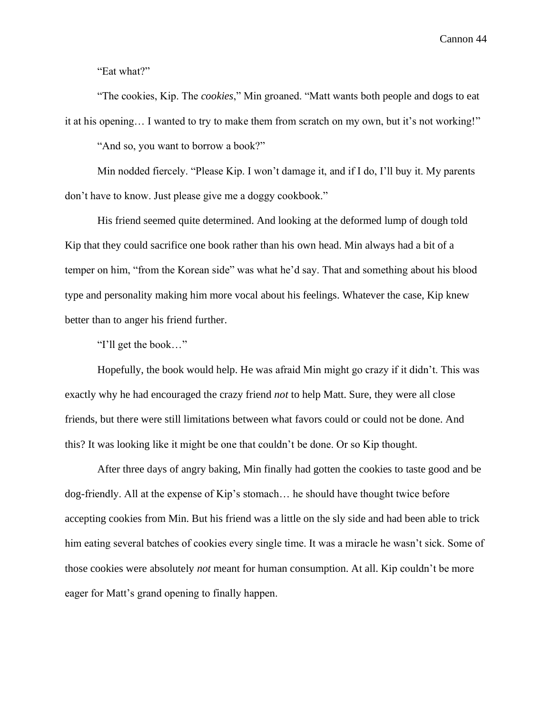"Eat what?"

"The cookies, Kip. The *cookies*," Min groaned. "Matt wants both people and dogs to eat it at his opening… I wanted to try to make them from scratch on my own, but it's not working!"

"And so, you want to borrow a book?"

Min nodded fiercely. "Please Kip. I won't damage it, and if I do, I'll buy it. My parents don't have to know. Just please give me a doggy cookbook."

His friend seemed quite determined. And looking at the deformed lump of dough told Kip that they could sacrifice one book rather than his own head. Min always had a bit of a temper on him, "from the Korean side" was what he'd say. That and something about his blood type and personality making him more vocal about his feelings. Whatever the case, Kip knew better than to anger his friend further.

"I'll get the book…"

Hopefully, the book would help. He was afraid Min might go crazy if it didn't. This was exactly why he had encouraged the crazy friend *not* to help Matt. Sure, they were all close friends, but there were still limitations between what favors could or could not be done. And this? It was looking like it might be one that couldn't be done. Or so Kip thought.

After three days of angry baking, Min finally had gotten the cookies to taste good and be dog-friendly. All at the expense of Kip's stomach… he should have thought twice before accepting cookies from Min. But his friend was a little on the sly side and had been able to trick him eating several batches of cookies every single time. It was a miracle he wasn't sick. Some of those cookies were absolutely *not* meant for human consumption. At all. Kip couldn't be more eager for Matt's grand opening to finally happen.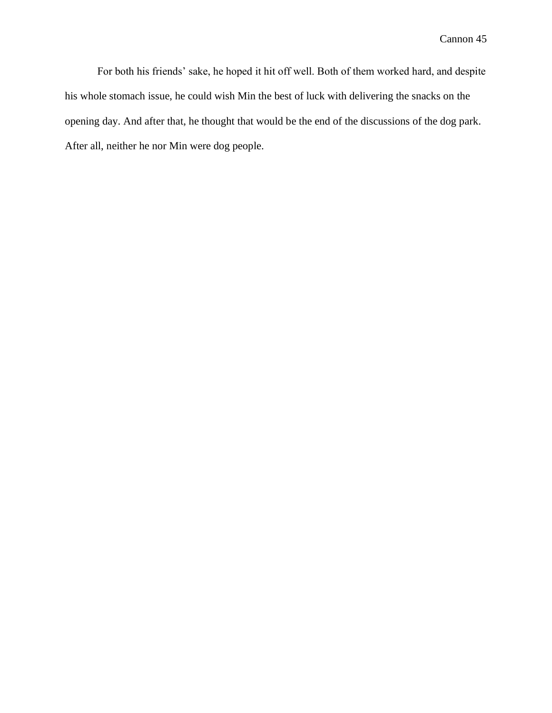For both his friends' sake, he hoped it hit off well. Both of them worked hard, and despite his whole stomach issue, he could wish Min the best of luck with delivering the snacks on the opening day. And after that, he thought that would be the end of the discussions of the dog park. After all, neither he nor Min were dog people.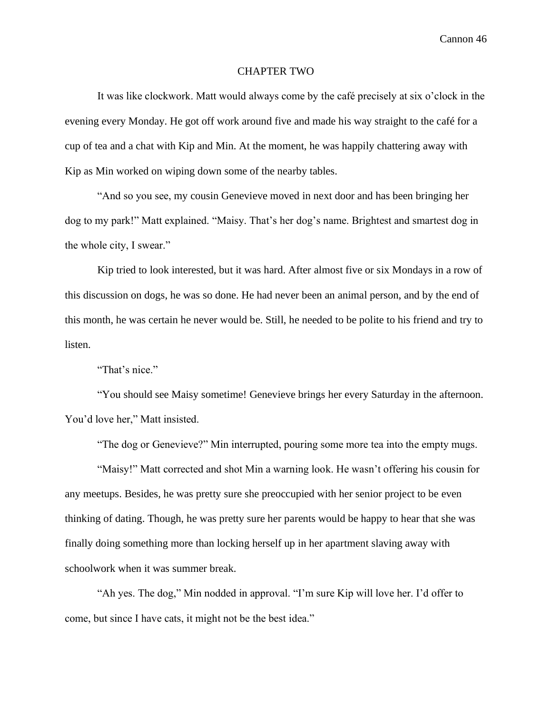## CHAPTER TWO

It was like clockwork. Matt would always come by the café precisely at six o'clock in the evening every Monday. He got off work around five and made his way straight to the café for a cup of tea and a chat with Kip and Min. At the moment, he was happily chattering away with Kip as Min worked on wiping down some of the nearby tables.

"And so you see, my cousin Genevieve moved in next door and has been bringing her dog to my park!" Matt explained. "Maisy. That's her dog's name. Brightest and smartest dog in the whole city, I swear."

Kip tried to look interested, but it was hard. After almost five or six Mondays in a row of this discussion on dogs, he was so done. He had never been an animal person, and by the end of this month, he was certain he never would be. Still, he needed to be polite to his friend and try to listen.

"That's nice."

"You should see Maisy sometime! Genevieve brings her every Saturday in the afternoon. You'd love her," Matt insisted.

"The dog or Genevieve?" Min interrupted, pouring some more tea into the empty mugs.

"Maisy!" Matt corrected and shot Min a warning look. He wasn't offering his cousin for any meetups. Besides, he was pretty sure she preoccupied with her senior project to be even thinking of dating. Though, he was pretty sure her parents would be happy to hear that she was finally doing something more than locking herself up in her apartment slaving away with schoolwork when it was summer break.

"Ah yes. The dog," Min nodded in approval. "I'm sure Kip will love her. I'd offer to come, but since I have cats, it might not be the best idea."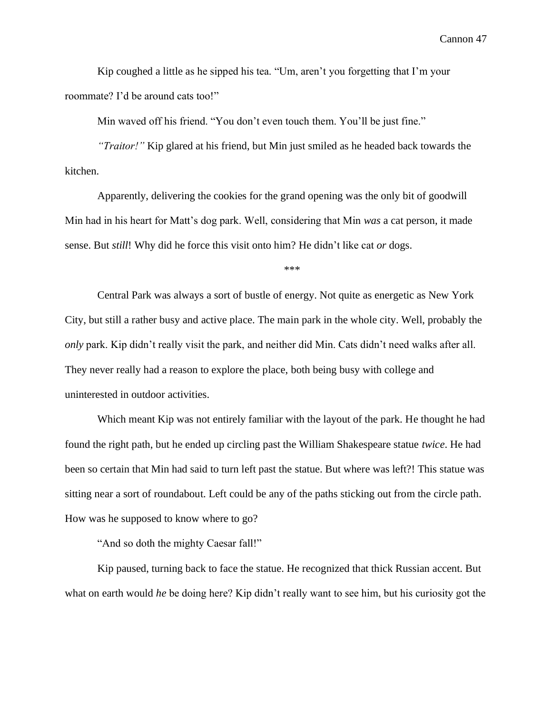Kip coughed a little as he sipped his tea. "Um, aren't you forgetting that I'm your roommate? I'd be around cats too!"

Min waved off his friend. "You don't even touch them. You'll be just fine."

*"Traitor!"* Kip glared at his friend, but Min just smiled as he headed back towards the kitchen.

Apparently, delivering the cookies for the grand opening was the only bit of goodwill Min had in his heart for Matt's dog park. Well, considering that Min *was* a cat person, it made sense. But *still*! Why did he force this visit onto him? He didn't like cat *or* dogs.

\*\*\*

Central Park was always a sort of bustle of energy. Not quite as energetic as New York City, but still a rather busy and active place. The main park in the whole city. Well, probably the *only* park. Kip didn't really visit the park, and neither did Min. Cats didn't need walks after all. They never really had a reason to explore the place, both being busy with college and uninterested in outdoor activities.

Which meant Kip was not entirely familiar with the layout of the park. He thought he had found the right path, but he ended up circling past the William Shakespeare statue *twice*. He had been so certain that Min had said to turn left past the statue. But where was left?! This statue was sitting near a sort of roundabout. Left could be any of the paths sticking out from the circle path. How was he supposed to know where to go?

"And so doth the mighty Caesar fall!"

Kip paused, turning back to face the statue. He recognized that thick Russian accent. But what on earth would *he* be doing here? Kip didn't really want to see him, but his curiosity got the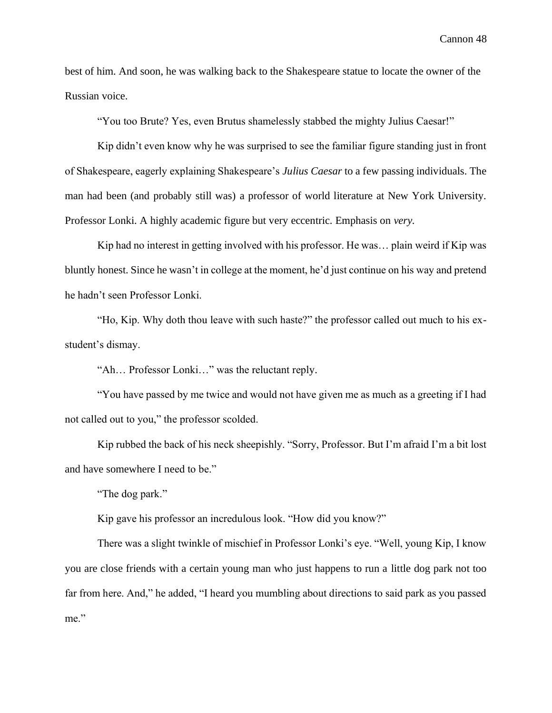best of him. And soon, he was walking back to the Shakespeare statue to locate the owner of the Russian voice.

"You too Brute? Yes, even Brutus shamelessly stabbed the mighty Julius Caesar!"

Kip didn't even know why he was surprised to see the familiar figure standing just in front of Shakespeare, eagerly explaining Shakespeare's *Julius Caesar* to a few passing individuals. The man had been (and probably still was) a professor of world literature at New York University. Professor Lonki. A highly academic figure but very eccentric. Emphasis on *very.*

Kip had no interest in getting involved with his professor. He was… plain weird if Kip was bluntly honest. Since he wasn't in college at the moment, he'd just continue on his way and pretend he hadn't seen Professor Lonki.

"Ho, Kip. Why doth thou leave with such haste?" the professor called out much to his exstudent's dismay.

"Ah… Professor Lonki…" was the reluctant reply.

"You have passed by me twice and would not have given me as much as a greeting if I had not called out to you," the professor scolded.

Kip rubbed the back of his neck sheepishly. "Sorry, Professor. But I'm afraid I'm a bit lost and have somewhere I need to be."

"The dog park."

Kip gave his professor an incredulous look. "How did you know?"

There was a slight twinkle of mischief in Professor Lonki's eye. "Well, young Kip, I know you are close friends with a certain young man who just happens to run a little dog park not too far from here. And," he added, "I heard you mumbling about directions to said park as you passed me."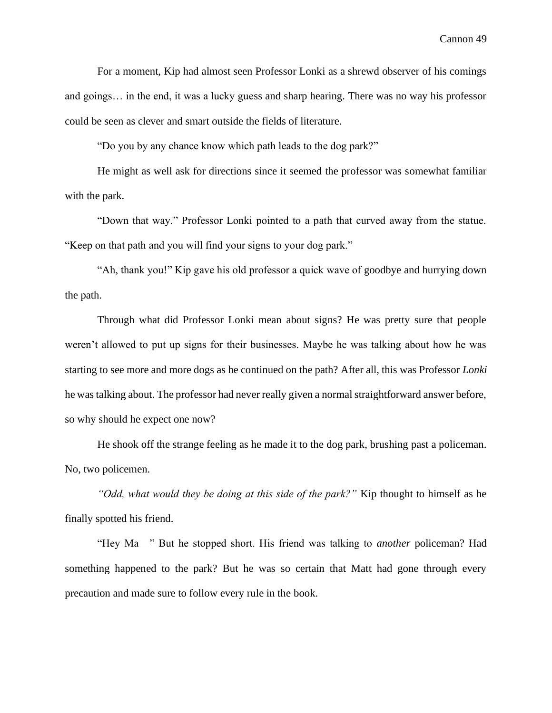For a moment, Kip had almost seen Professor Lonki as a shrewd observer of his comings and goings… in the end, it was a lucky guess and sharp hearing. There was no way his professor could be seen as clever and smart outside the fields of literature.

"Do you by any chance know which path leads to the dog park?"

He might as well ask for directions since it seemed the professor was somewhat familiar with the park.

"Down that way." Professor Lonki pointed to a path that curved away from the statue. "Keep on that path and you will find your signs to your dog park."

"Ah, thank you!" Kip gave his old professor a quick wave of goodbye and hurrying down the path.

Through what did Professor Lonki mean about signs? He was pretty sure that people weren't allowed to put up signs for their businesses. Maybe he was talking about how he was starting to see more and more dogs as he continued on the path? After all, this was Professor *Lonki* he was talking about. The professor had never really given a normal straightforward answer before, so why should he expect one now?

He shook off the strange feeling as he made it to the dog park, brushing past a policeman. No, two policemen.

*"Odd, what would they be doing at this side of the park?"* Kip thought to himself as he finally spotted his friend.

"Hey Ma—" But he stopped short. His friend was talking to *another* policeman? Had something happened to the park? But he was so certain that Matt had gone through every precaution and made sure to follow every rule in the book.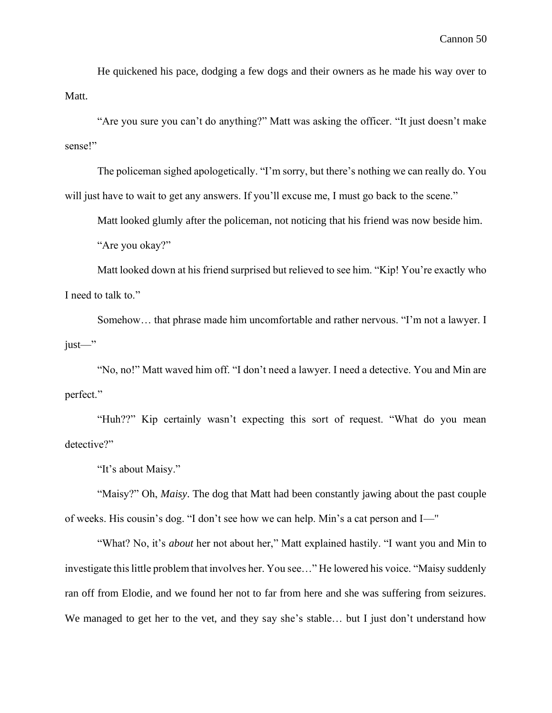He quickened his pace, dodging a few dogs and their owners as he made his way over to Matt.

"Are you sure you can't do anything?" Matt was asking the officer. "It just doesn't make sense!"

The policeman sighed apologetically. "I'm sorry, but there's nothing we can really do. You will just have to wait to get any answers. If you'll excuse me, I must go back to the scene."

Matt looked glumly after the policeman, not noticing that his friend was now beside him.

"Are you okay?"

Matt looked down at his friend surprised but relieved to see him. "Kip! You're exactly who I need to talk to."

Somehow… that phrase made him uncomfortable and rather nervous. "I'm not a lawyer. I just—"

"No, no!" Matt waved him off. "I don't need a lawyer. I need a detective. You and Min are perfect."

"Huh??" Kip certainly wasn't expecting this sort of request. "What do you mean detective?"

"It's about Maisy."

"Maisy?" Oh, *Maisy*. The dog that Matt had been constantly jawing about the past couple of weeks. His cousin's dog. "I don't see how we can help. Min's a cat person and I—"

"What? No, it's *about* her not about her," Matt explained hastily. "I want you and Min to investigate this little problem that involves her. You see…" He lowered his voice. "Maisy suddenly ran off from Elodie, and we found her not to far from here and she was suffering from seizures. We managed to get her to the vet, and they say she's stable... but I just don't understand how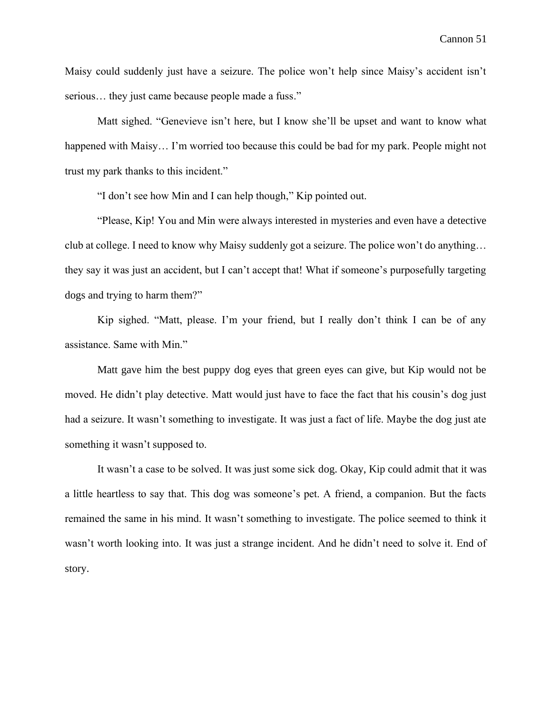Maisy could suddenly just have a seizure. The police won't help since Maisy's accident isn't serious… they just came because people made a fuss."

Matt sighed. "Genevieve isn't here, but I know she'll be upset and want to know what happened with Maisy... I'm worried too because this could be bad for my park. People might not trust my park thanks to this incident."

"I don't see how Min and I can help though," Kip pointed out.

"Please, Kip! You and Min were always interested in mysteries and even have a detective club at college. I need to know why Maisy suddenly got a seizure. The police won't do anything… they say it was just an accident, but I can't accept that! What if someone's purposefully targeting dogs and trying to harm them?"

Kip sighed. "Matt, please. I'm your friend, but I really don't think I can be of any assistance. Same with Min."

Matt gave him the best puppy dog eyes that green eyes can give, but Kip would not be moved. He didn't play detective. Matt would just have to face the fact that his cousin's dog just had a seizure. It wasn't something to investigate. It was just a fact of life. Maybe the dog just ate something it wasn't supposed to.

It wasn't a case to be solved. It was just some sick dog. Okay, Kip could admit that it was a little heartless to say that. This dog was someone's pet. A friend, a companion. But the facts remained the same in his mind. It wasn't something to investigate. The police seemed to think it wasn't worth looking into. It was just a strange incident. And he didn't need to solve it. End of story.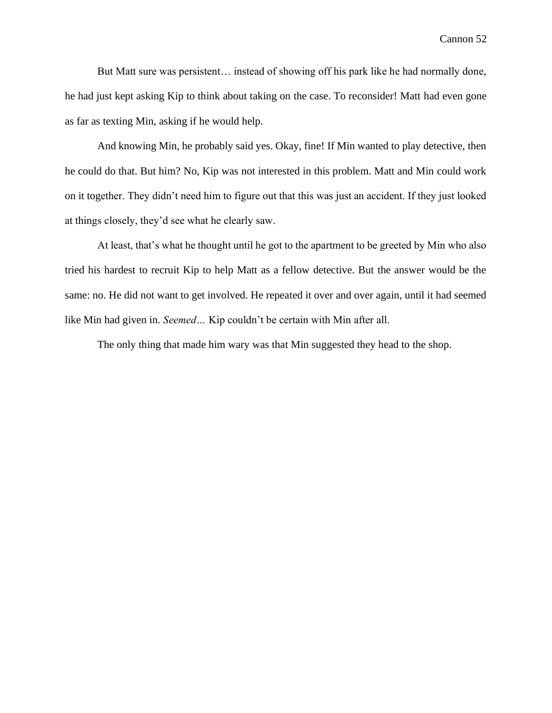But Matt sure was persistent… instead of showing off his park like he had normally done, he had just kept asking Kip to think about taking on the case. To reconsider! Matt had even gone as far as texting Min, asking if he would help.

And knowing Min, he probably said yes. Okay, fine! If Min wanted to play detective, then he could do that. But him? No, Kip was not interested in this problem. Matt and Min could work on it together. They didn't need him to figure out that this was just an accident. If they just looked at things closely, they'd see what he clearly saw.

At least, that's what he thought until he got to the apartment to be greeted by Min who also tried his hardest to recruit Kip to help Matt as a fellow detective. But the answer would be the same: no. He did not want to get involved. He repeated it over and over again, until it had seemed like Min had given in. *Seemed…* Kip couldn't be certain with Min after all.

The only thing that made him wary was that Min suggested they head to the shop.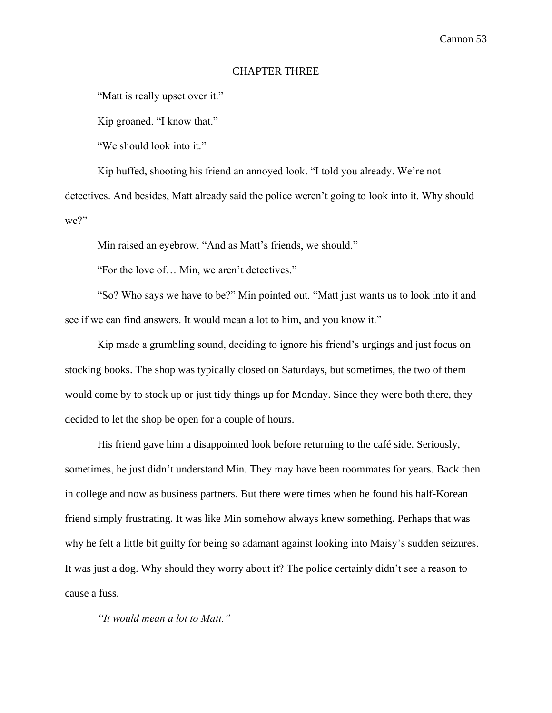# CHAPTER THREE

"Matt is really upset over it."

Kip groaned. "I know that."

"We should look into it."

Kip huffed, shooting his friend an annoyed look. "I told you already. We're not detectives. And besides, Matt already said the police weren't going to look into it. Why should we?"

Min raised an eyebrow. "And as Matt's friends, we should."

"For the love of… Min, we aren't detectives."

"So? Who says we have to be?" Min pointed out. "Matt just wants us to look into it and see if we can find answers. It would mean a lot to him, and you know it."

Kip made a grumbling sound, deciding to ignore his friend's urgings and just focus on stocking books. The shop was typically closed on Saturdays, but sometimes, the two of them would come by to stock up or just tidy things up for Monday. Since they were both there, they decided to let the shop be open for a couple of hours.

His friend gave him a disappointed look before returning to the café side. Seriously, sometimes, he just didn't understand Min. They may have been roommates for years. Back then in college and now as business partners. But there were times when he found his half-Korean friend simply frustrating. It was like Min somehow always knew something. Perhaps that was why he felt a little bit guilty for being so adamant against looking into Maisy's sudden seizures. It was just a dog. Why should they worry about it? The police certainly didn't see a reason to cause a fuss.

*"It would mean a lot to Matt."*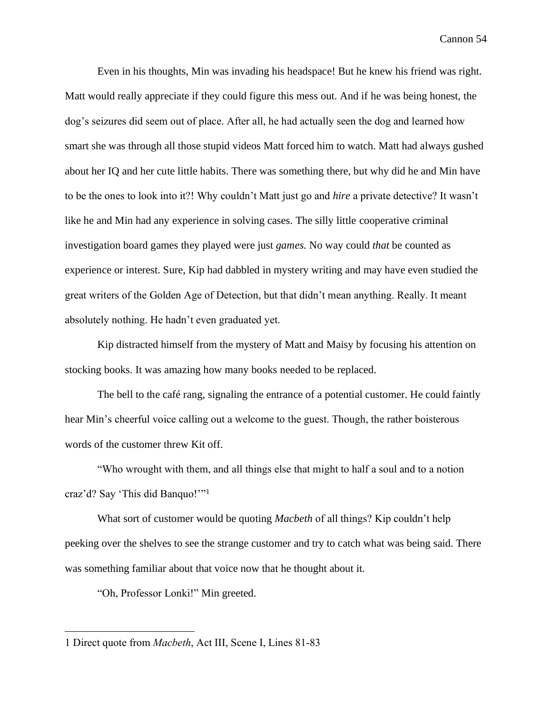Even in his thoughts, Min was invading his headspace! But he knew his friend was right. Matt would really appreciate if they could figure this mess out. And if he was being honest, the dog's seizures did seem out of place. After all, he had actually seen the dog and learned how smart she was through all those stupid videos Matt forced him to watch. Matt had always gushed about her IQ and her cute little habits. There was something there, but why did he and Min have to be the ones to look into it?! Why couldn't Matt just go and *hire* a private detective? It wasn't like he and Min had any experience in solving cases. The silly little cooperative criminal investigation board games they played were just *games.* No way could *that* be counted as experience or interest. Sure, Kip had dabbled in mystery writing and may have even studied the great writers of the Golden Age of Detection, but that didn't mean anything. Really. It meant absolutely nothing. He hadn't even graduated yet.

Kip distracted himself from the mystery of Matt and Maisy by focusing his attention on stocking books. It was amazing how many books needed to be replaced.

The bell to the café rang, signaling the entrance of a potential customer. He could faintly hear Min's cheerful voice calling out a welcome to the guest. Though, the rather boisterous words of the customer threw Kit off.

"Who wrought with them, and all things else that might to half a soul and to a notion craz'd? Say 'This did Banquo!'"<sup>1</sup>

What sort of customer would be quoting *Macbeth* of all things? Kip couldn't help peeking over the shelves to see the strange customer and try to catch what was being said. There was something familiar about that voice now that he thought about it.

"Oh, Professor Lonki!" Min greeted.

<sup>1</sup> Direct quote from *Macbeth*, Act III, Scene I, Lines 81-83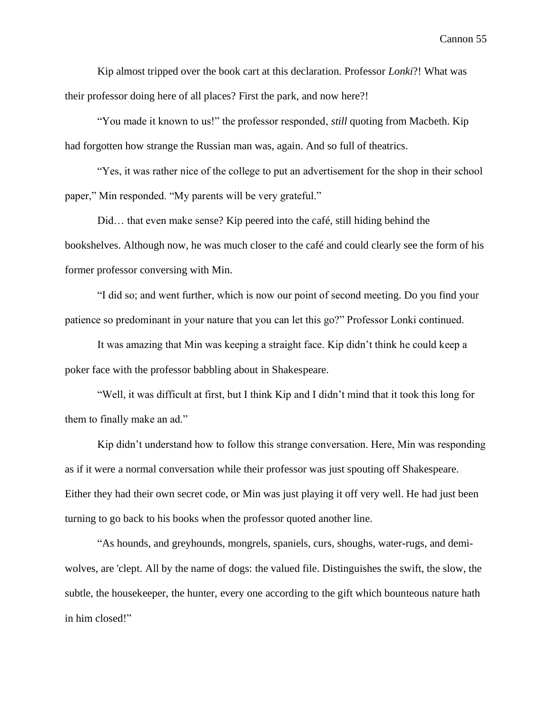Kip almost tripped over the book cart at this declaration. Professor *Lonki*?! What was their professor doing here of all places? First the park, and now here?!

"You made it known to us!" the professor responded, *still* quoting from Macbeth. Kip had forgotten how strange the Russian man was, again. And so full of theatrics.

"Yes, it was rather nice of the college to put an advertisement for the shop in their school paper," Min responded. "My parents will be very grateful."

Did… that even make sense? Kip peered into the café, still hiding behind the bookshelves. Although now, he was much closer to the café and could clearly see the form of his former professor conversing with Min.

"I did so; and went further, which is now our point of second meeting. Do you find your patience so predominant in your nature that you can let this go?" Professor Lonki continued.

It was amazing that Min was keeping a straight face. Kip didn't think he could keep a poker face with the professor babbling about in Shakespeare.

"Well, it was difficult at first, but I think Kip and I didn't mind that it took this long for them to finally make an ad."

Kip didn't understand how to follow this strange conversation. Here, Min was responding as if it were a normal conversation while their professor was just spouting off Shakespeare. Either they had their own secret code, or Min was just playing it off very well. He had just been turning to go back to his books when the professor quoted another line.

"As hounds, and greyhounds, mongrels, spaniels, curs, shoughs, water-rugs, and demiwolves, are 'clept. All by the name of dogs: the valued file. Distinguishes the swift, the slow, the subtle, the housekeeper, the hunter, every one according to the gift which bounteous nature hath in him closed!"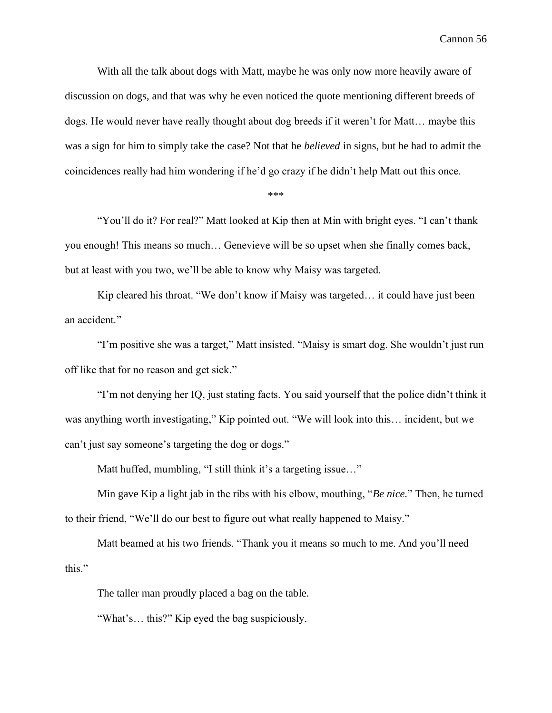With all the talk about dogs with Matt, maybe he was only now more heavily aware of discussion on dogs, and that was why he even noticed the quote mentioning different breeds of dogs. He would never have really thought about dog breeds if it weren't for Matt… maybe this was a sign for him to simply take the case? Not that he *believed* in signs, but he had to admit the coincidences really had him wondering if he'd go crazy if he didn't help Matt out this once.

\*\*\*

"You'll do it? For real?" Matt looked at Kip then at Min with bright eyes. "I can't thank you enough! This means so much… Genevieve will be so upset when she finally comes back, but at least with you two, we'll be able to know why Maisy was targeted.

Kip cleared his throat. "We don't know if Maisy was targeted… it could have just been an accident."

"I'm positive she was a target," Matt insisted. "Maisy is smart dog. She wouldn't just run off like that for no reason and get sick."

"I'm not denying her IQ, just stating facts. You said yourself that the police didn't think it was anything worth investigating," Kip pointed out. "We will look into this… incident, but we can't just say someone's targeting the dog or dogs."

Matt huffed, mumbling, "I still think it's a targeting issue..."

Min gave Kip a light jab in the ribs with his elbow, mouthing, "*Be nice.*" Then, he turned to their friend, "We'll do our best to figure out what really happened to Maisy."

Matt beamed at his two friends. "Thank you it means so much to me. And you'll need this."

The taller man proudly placed a bag on the table.

"What's… this?" Kip eyed the bag suspiciously.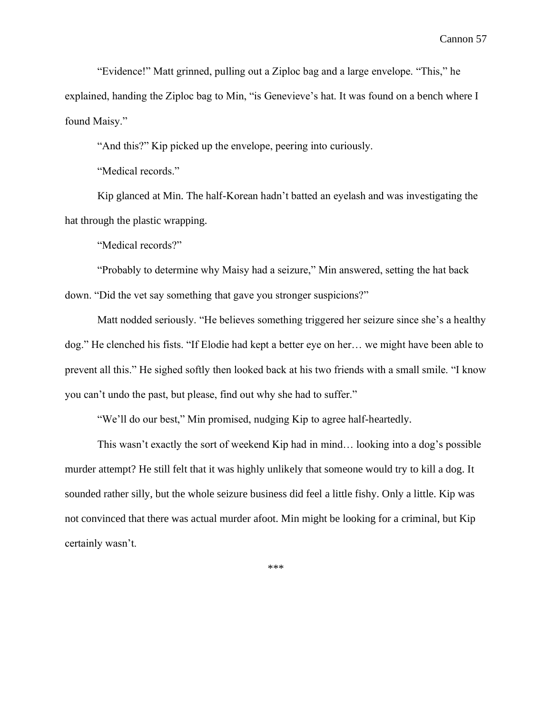"Evidence!" Matt grinned, pulling out a Ziploc bag and a large envelope. "This," he explained, handing the Ziploc bag to Min, "is Genevieve's hat. It was found on a bench where I found Maisy."

"And this?" Kip picked up the envelope, peering into curiously.

"Medical records."

Kip glanced at Min. The half-Korean hadn't batted an eyelash and was investigating the hat through the plastic wrapping.

"Medical records?"

"Probably to determine why Maisy had a seizure," Min answered, setting the hat back down. "Did the vet say something that gave you stronger suspicions?"

Matt nodded seriously. "He believes something triggered her seizure since she's a healthy dog." He clenched his fists. "If Elodie had kept a better eye on her… we might have been able to prevent all this." He sighed softly then looked back at his two friends with a small smile. "I know you can't undo the past, but please, find out why she had to suffer."

"We'll do our best," Min promised, nudging Kip to agree half-heartedly.

This wasn't exactly the sort of weekend Kip had in mind… looking into a dog's possible murder attempt? He still felt that it was highly unlikely that someone would try to kill a dog. It sounded rather silly, but the whole seizure business did feel a little fishy. Only a little. Kip was not convinced that there was actual murder afoot. Min might be looking for a criminal, but Kip certainly wasn't.

\*\*\*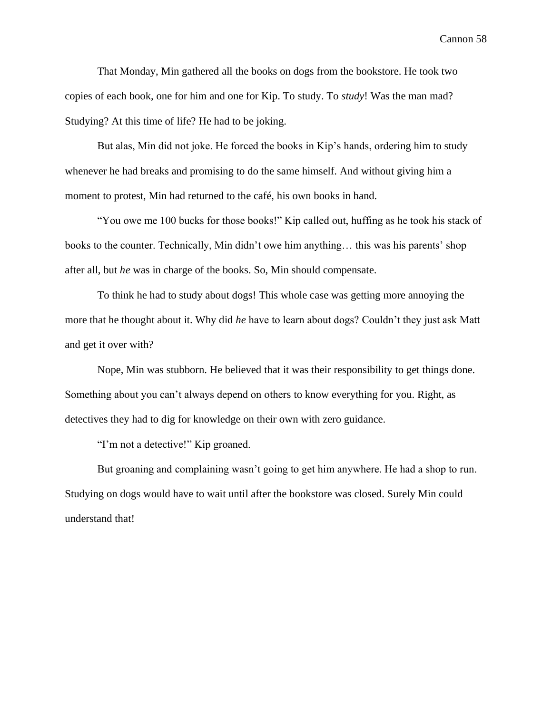That Monday, Min gathered all the books on dogs from the bookstore. He took two copies of each book, one for him and one for Kip. To study. To *study*! Was the man mad? Studying? At this time of life? He had to be joking.

But alas, Min did not joke. He forced the books in Kip's hands, ordering him to study whenever he had breaks and promising to do the same himself. And without giving him a moment to protest, Min had returned to the café, his own books in hand.

"You owe me 100 bucks for those books!" Kip called out, huffing as he took his stack of books to the counter. Technically, Min didn't owe him anything… this was his parents' shop after all, but *he* was in charge of the books. So, Min should compensate.

To think he had to study about dogs! This whole case was getting more annoying the more that he thought about it. Why did *he* have to learn about dogs? Couldn't they just ask Matt and get it over with?

Nope, Min was stubborn. He believed that it was their responsibility to get things done. Something about you can't always depend on others to know everything for you. Right, as detectives they had to dig for knowledge on their own with zero guidance.

"I'm not a detective!" Kip groaned.

But groaning and complaining wasn't going to get him anywhere. He had a shop to run. Studying on dogs would have to wait until after the bookstore was closed. Surely Min could understand that!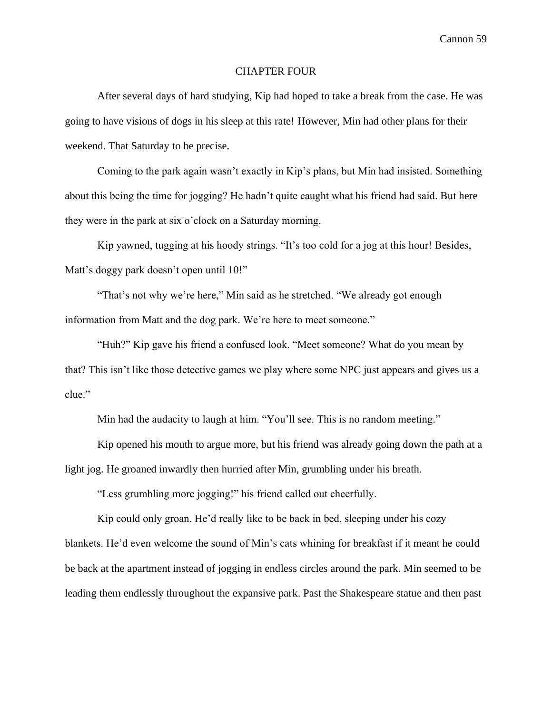## CHAPTER FOUR

After several days of hard studying, Kip had hoped to take a break from the case. He was going to have visions of dogs in his sleep at this rate! However, Min had other plans for their weekend. That Saturday to be precise.

Coming to the park again wasn't exactly in Kip's plans, but Min had insisted. Something about this being the time for jogging? He hadn't quite caught what his friend had said. But here they were in the park at six o'clock on a Saturday morning.

Kip yawned, tugging at his hoody strings. "It's too cold for a jog at this hour! Besides, Matt's doggy park doesn't open until 10!"

"That's not why we're here," Min said as he stretched. "We already got enough information from Matt and the dog park. We're here to meet someone."

"Huh?" Kip gave his friend a confused look. "Meet someone? What do you mean by that? This isn't like those detective games we play where some NPC just appears and gives us a clue."

Min had the audacity to laugh at him. "You'll see. This is no random meeting."

Kip opened his mouth to argue more, but his friend was already going down the path at a light jog. He groaned inwardly then hurried after Min, grumbling under his breath.

"Less grumbling more jogging!" his friend called out cheerfully.

Kip could only groan. He'd really like to be back in bed, sleeping under his cozy blankets. He'd even welcome the sound of Min's cats whining for breakfast if it meant he could be back at the apartment instead of jogging in endless circles around the park. Min seemed to be leading them endlessly throughout the expansive park. Past the Shakespeare statue and then past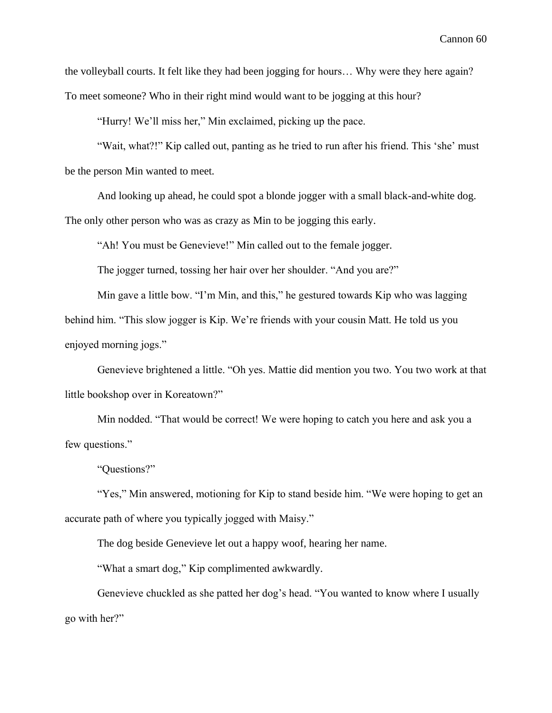the volleyball courts. It felt like they had been jogging for hours… Why were they here again? To meet someone? Who in their right mind would want to be jogging at this hour?

"Hurry! We'll miss her," Min exclaimed, picking up the pace.

"Wait, what?!" Kip called out, panting as he tried to run after his friend. This 'she' must be the person Min wanted to meet.

And looking up ahead, he could spot a blonde jogger with a small black-and-white dog. The only other person who was as crazy as Min to be jogging this early.

"Ah! You must be Genevieve!" Min called out to the female jogger.

The jogger turned, tossing her hair over her shoulder. "And you are?"

Min gave a little bow. "I'm Min, and this," he gestured towards Kip who was lagging behind him. "This slow jogger is Kip. We're friends with your cousin Matt. He told us you enjoyed morning jogs."

Genevieve brightened a little. "Oh yes. Mattie did mention you two. You two work at that little bookshop over in Koreatown?"

Min nodded. "That would be correct! We were hoping to catch you here and ask you a few questions."

"Questions?"

"Yes," Min answered, motioning for Kip to stand beside him. "We were hoping to get an accurate path of where you typically jogged with Maisy."

The dog beside Genevieve let out a happy woof, hearing her name.

"What a smart dog," Kip complimented awkwardly.

Genevieve chuckled as she patted her dog's head. "You wanted to know where I usually go with her?"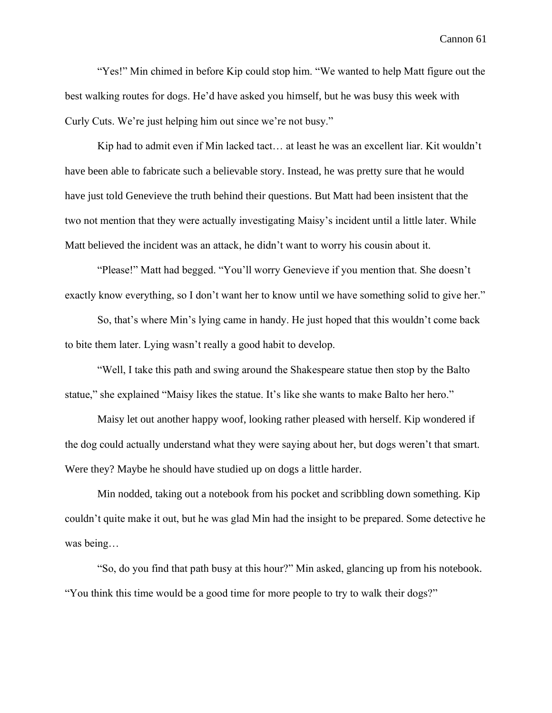"Yes!" Min chimed in before Kip could stop him. "We wanted to help Matt figure out the best walking routes for dogs. He'd have asked you himself, but he was busy this week with Curly Cuts. We're just helping him out since we're not busy."

Kip had to admit even if Min lacked tact… at least he was an excellent liar. Kit wouldn't have been able to fabricate such a believable story. Instead, he was pretty sure that he would have just told Genevieve the truth behind their questions. But Matt had been insistent that the two not mention that they were actually investigating Maisy's incident until a little later. While Matt believed the incident was an attack, he didn't want to worry his cousin about it.

"Please!" Matt had begged. "You'll worry Genevieve if you mention that. She doesn't exactly know everything, so I don't want her to know until we have something solid to give her."

So, that's where Min's lying came in handy. He just hoped that this wouldn't come back to bite them later. Lying wasn't really a good habit to develop.

"Well, I take this path and swing around the Shakespeare statue then stop by the Balto statue," she explained "Maisy likes the statue. It's like she wants to make Balto her hero."

Maisy let out another happy woof, looking rather pleased with herself. Kip wondered if the dog could actually understand what they were saying about her, but dogs weren't that smart. Were they? Maybe he should have studied up on dogs a little harder.

Min nodded, taking out a notebook from his pocket and scribbling down something. Kip couldn't quite make it out, but he was glad Min had the insight to be prepared. Some detective he was being…

"So, do you find that path busy at this hour?" Min asked, glancing up from his notebook. "You think this time would be a good time for more people to try to walk their dogs?"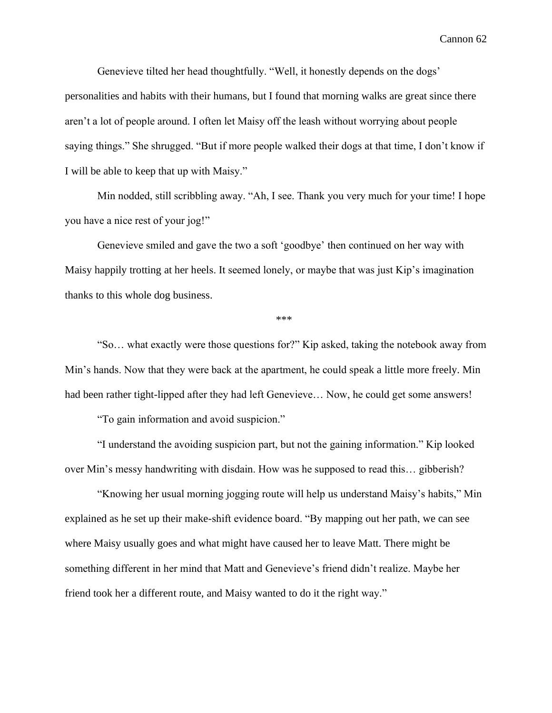Genevieve tilted her head thoughtfully. "Well, it honestly depends on the dogs' personalities and habits with their humans, but I found that morning walks are great since there aren't a lot of people around. I often let Maisy off the leash without worrying about people saying things." She shrugged. "But if more people walked their dogs at that time, I don't know if I will be able to keep that up with Maisy."

Min nodded, still scribbling away. "Ah, I see. Thank you very much for your time! I hope you have a nice rest of your jog!"

Genevieve smiled and gave the two a soft 'goodbye' then continued on her way with Maisy happily trotting at her heels. It seemed lonely, or maybe that was just Kip's imagination thanks to this whole dog business.

\*\*\*

"So… what exactly were those questions for?" Kip asked, taking the notebook away from Min's hands. Now that they were back at the apartment, he could speak a little more freely. Min had been rather tight-lipped after they had left Genevieve… Now, he could get some answers!

"To gain information and avoid suspicion."

"I understand the avoiding suspicion part, but not the gaining information." Kip looked over Min's messy handwriting with disdain. How was he supposed to read this… gibberish?

"Knowing her usual morning jogging route will help us understand Maisy's habits," Min explained as he set up their make-shift evidence board. "By mapping out her path, we can see where Maisy usually goes and what might have caused her to leave Matt. There might be something different in her mind that Matt and Genevieve's friend didn't realize. Maybe her friend took her a different route, and Maisy wanted to do it the right way."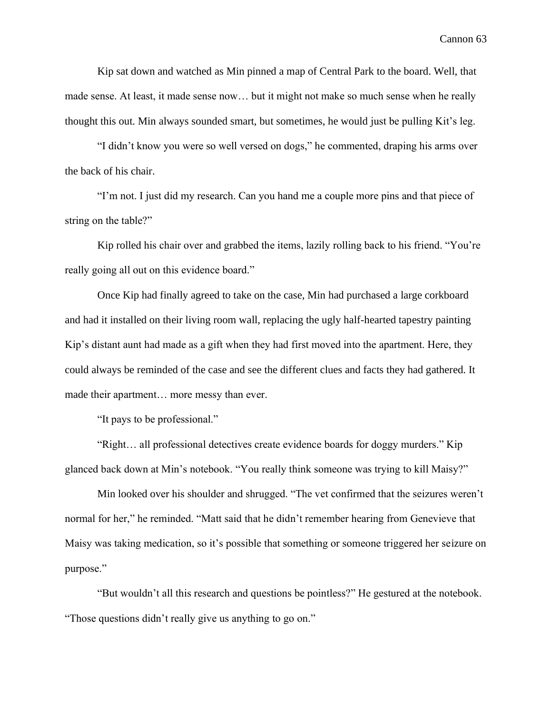Kip sat down and watched as Min pinned a map of Central Park to the board. Well, that made sense. At least, it made sense now… but it might not make so much sense when he really thought this out. Min always sounded smart, but sometimes, he would just be pulling Kit's leg.

"I didn't know you were so well versed on dogs," he commented, draping his arms over the back of his chair.

"I'm not. I just did my research. Can you hand me a couple more pins and that piece of string on the table?"

Kip rolled his chair over and grabbed the items, lazily rolling back to his friend. "You're really going all out on this evidence board."

Once Kip had finally agreed to take on the case, Min had purchased a large corkboard and had it installed on their living room wall, replacing the ugly half-hearted tapestry painting Kip's distant aunt had made as a gift when they had first moved into the apartment. Here, they could always be reminded of the case and see the different clues and facts they had gathered. It made their apartment… more messy than ever.

"It pays to be professional."

"Right… all professional detectives create evidence boards for doggy murders." Kip glanced back down at Min's notebook. "You really think someone was trying to kill Maisy?"

Min looked over his shoulder and shrugged. "The vet confirmed that the seizures weren't normal for her," he reminded. "Matt said that he didn't remember hearing from Genevieve that Maisy was taking medication, so it's possible that something or someone triggered her seizure on purpose."

"But wouldn't all this research and questions be pointless?" He gestured at the notebook. "Those questions didn't really give us anything to go on."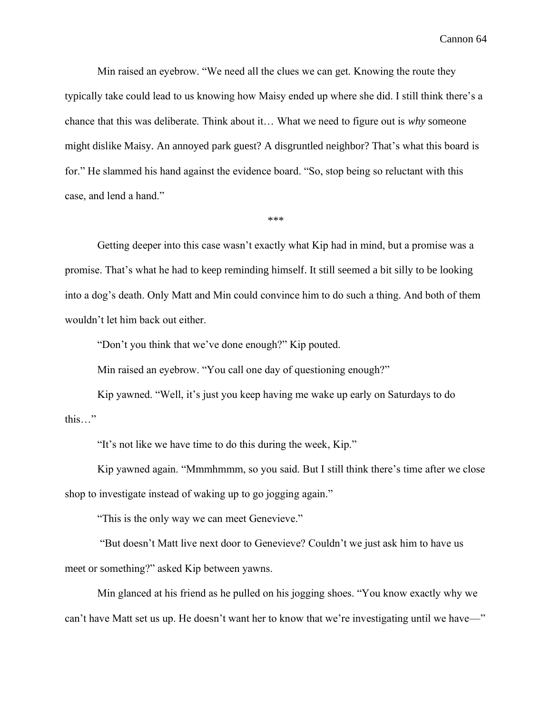Min raised an eyebrow. "We need all the clues we can get. Knowing the route they typically take could lead to us knowing how Maisy ended up where she did. I still think there's a chance that this was deliberate. Think about it… What we need to figure out is *why* someone might dislike Maisy. An annoyed park guest? A disgruntled neighbor? That's what this board is for." He slammed his hand against the evidence board. "So, stop being so reluctant with this case, and lend a hand."

\*\*\*

Getting deeper into this case wasn't exactly what Kip had in mind, but a promise was a promise. That's what he had to keep reminding himself. It still seemed a bit silly to be looking into a dog's death. Only Matt and Min could convince him to do such a thing. And both of them wouldn't let him back out either.

"Don't you think that we've done enough?" Kip pouted.

Min raised an eyebrow. "You call one day of questioning enough?"

Kip yawned. "Well, it's just you keep having me wake up early on Saturdays to do this…"

"It's not like we have time to do this during the week, Kip."

Kip yawned again. "Mmmhmmm, so you said. But I still think there's time after we close shop to investigate instead of waking up to go jogging again."

"This is the only way we can meet Genevieve."

"But doesn't Matt live next door to Genevieve? Couldn't we just ask him to have us meet or something?" asked Kip between yawns.

Min glanced at his friend as he pulled on his jogging shoes. "You know exactly why we can't have Matt set us up. He doesn't want her to know that we're investigating until we have—"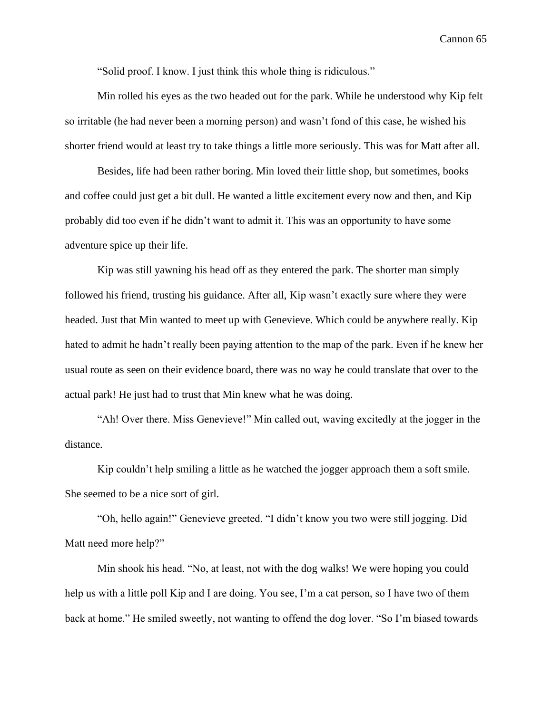"Solid proof. I know. I just think this whole thing is ridiculous."

Min rolled his eyes as the two headed out for the park. While he understood why Kip felt so irritable (he had never been a morning person) and wasn't fond of this case, he wished his shorter friend would at least try to take things a little more seriously. This was for Matt after all.

Besides, life had been rather boring. Min loved their little shop, but sometimes, books and coffee could just get a bit dull. He wanted a little excitement every now and then, and Kip probably did too even if he didn't want to admit it. This was an opportunity to have some adventure spice up their life.

Kip was still yawning his head off as they entered the park. The shorter man simply followed his friend, trusting his guidance. After all, Kip wasn't exactly sure where they were headed. Just that Min wanted to meet up with Genevieve. Which could be anywhere really. Kip hated to admit he hadn't really been paying attention to the map of the park. Even if he knew her usual route as seen on their evidence board, there was no way he could translate that over to the actual park! He just had to trust that Min knew what he was doing.

"Ah! Over there. Miss Genevieve!" Min called out, waving excitedly at the jogger in the distance.

Kip couldn't help smiling a little as he watched the jogger approach them a soft smile. She seemed to be a nice sort of girl.

"Oh, hello again!" Genevieve greeted. "I didn't know you two were still jogging. Did Matt need more help?"

Min shook his head. "No, at least, not with the dog walks! We were hoping you could help us with a little poll Kip and I are doing. You see, I'm a cat person, so I have two of them back at home." He smiled sweetly, not wanting to offend the dog lover. "So I'm biased towards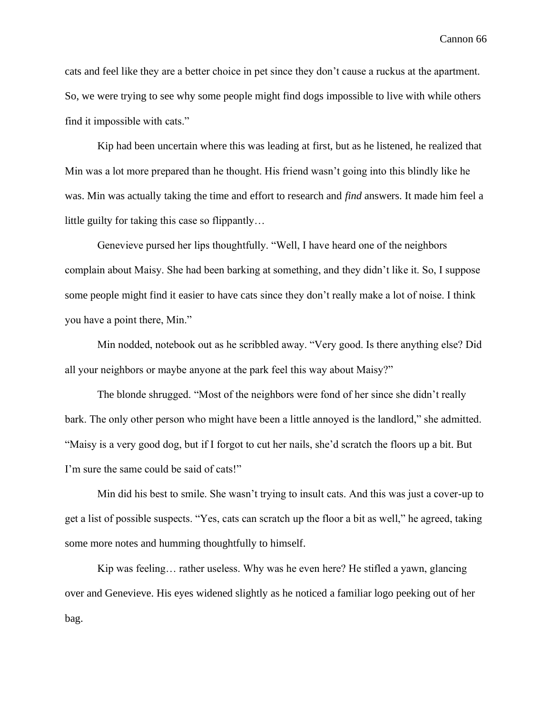cats and feel like they are a better choice in pet since they don't cause a ruckus at the apartment. So, we were trying to see why some people might find dogs impossible to live with while others find it impossible with cats."

Kip had been uncertain where this was leading at first, but as he listened, he realized that Min was a lot more prepared than he thought. His friend wasn't going into this blindly like he was. Min was actually taking the time and effort to research and *find* answers. It made him feel a little guilty for taking this case so flippantly…

Genevieve pursed her lips thoughtfully. "Well, I have heard one of the neighbors complain about Maisy. She had been barking at something, and they didn't like it. So, I suppose some people might find it easier to have cats since they don't really make a lot of noise. I think you have a point there, Min."

Min nodded, notebook out as he scribbled away. "Very good. Is there anything else? Did all your neighbors or maybe anyone at the park feel this way about Maisy?"

The blonde shrugged. "Most of the neighbors were fond of her since she didn't really bark. The only other person who might have been a little annoyed is the landlord," she admitted. "Maisy is a very good dog, but if I forgot to cut her nails, she'd scratch the floors up a bit. But I'm sure the same could be said of cats!"

Min did his best to smile. She wasn't trying to insult cats. And this was just a cover-up to get a list of possible suspects. "Yes, cats can scratch up the floor a bit as well," he agreed, taking some more notes and humming thoughtfully to himself.

Kip was feeling… rather useless. Why was he even here? He stifled a yawn, glancing over and Genevieve. His eyes widened slightly as he noticed a familiar logo peeking out of her bag.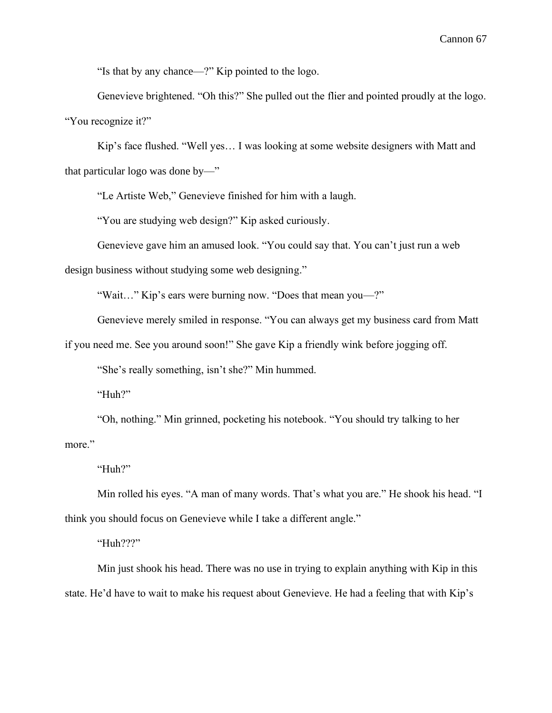"Is that by any chance—?" Kip pointed to the logo.

Genevieve brightened. "Oh this?" She pulled out the flier and pointed proudly at the logo. "You recognize it?"

Kip's face flushed. "Well yes… I was looking at some website designers with Matt and that particular logo was done by—"

"Le Artiste Web," Genevieve finished for him with a laugh.

"You are studying web design?" Kip asked curiously.

Genevieve gave him an amused look. "You could say that. You can't just run a web

design business without studying some web designing."

"Wait…" Kip's ears were burning now. "Does that mean you—?"

Genevieve merely smiled in response. "You can always get my business card from Matt

if you need me. See you around soon!" She gave Kip a friendly wink before jogging off.

"She's really something, isn't she?" Min hummed.

"Huh?"

"Oh, nothing." Min grinned, pocketing his notebook. "You should try talking to her more."

"Huh?"

Min rolled his eyes. "A man of many words. That's what you are." He shook his head. "I think you should focus on Genevieve while I take a different angle."

"Huh???"

Min just shook his head. There was no use in trying to explain anything with Kip in this state. He'd have to wait to make his request about Genevieve. He had a feeling that with Kip's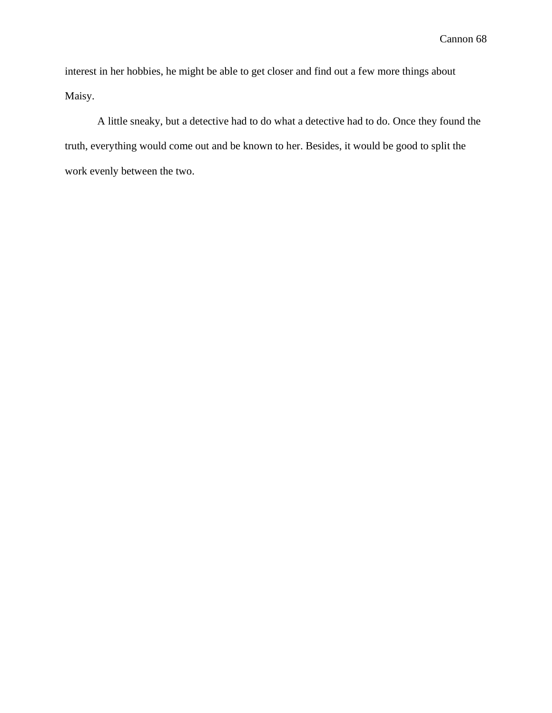interest in her hobbies, he might be able to get closer and find out a few more things about Maisy.

A little sneaky, but a detective had to do what a detective had to do. Once they found the truth, everything would come out and be known to her. Besides, it would be good to split the work evenly between the two.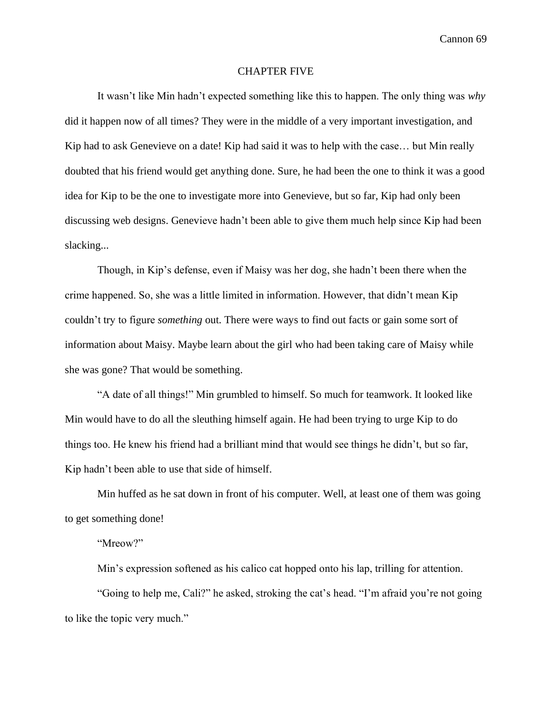## CHAPTER FIVE

It wasn't like Min hadn't expected something like this to happen. The only thing was *why* did it happen now of all times? They were in the middle of a very important investigation, and Kip had to ask Genevieve on a date! Kip had said it was to help with the case… but Min really doubted that his friend would get anything done. Sure, he had been the one to think it was a good idea for Kip to be the one to investigate more into Genevieve, but so far, Kip had only been discussing web designs. Genevieve hadn't been able to give them much help since Kip had been slacking...

Though, in Kip's defense, even if Maisy was her dog, she hadn't been there when the crime happened. So, she was a little limited in information. However, that didn't mean Kip couldn't try to figure *something* out. There were ways to find out facts or gain some sort of information about Maisy. Maybe learn about the girl who had been taking care of Maisy while she was gone? That would be something.

"A date of all things!" Min grumbled to himself. So much for teamwork. It looked like Min would have to do all the sleuthing himself again. He had been trying to urge Kip to do things too. He knew his friend had a brilliant mind that would see things he didn't, but so far, Kip hadn't been able to use that side of himself.

Min huffed as he sat down in front of his computer. Well, at least one of them was going to get something done!

### "Mreow?"

Min's expression softened as his calico cat hopped onto his lap, trilling for attention.

"Going to help me, Cali?" he asked, stroking the cat's head. "I'm afraid you're not going to like the topic very much."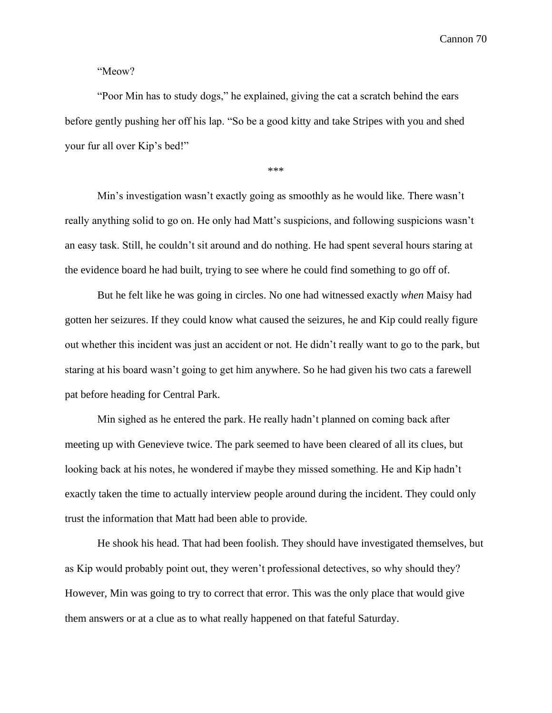"Meow?

"Poor Min has to study dogs," he explained, giving the cat a scratch behind the ears before gently pushing her off his lap. "So be a good kitty and take Stripes with you and shed your fur all over Kip's bed!"

\*\*\*

Min's investigation wasn't exactly going as smoothly as he would like. There wasn't really anything solid to go on. He only had Matt's suspicions, and following suspicions wasn't an easy task. Still, he couldn't sit around and do nothing. He had spent several hours staring at the evidence board he had built, trying to see where he could find something to go off of.

But he felt like he was going in circles. No one had witnessed exactly *when* Maisy had gotten her seizures. If they could know what caused the seizures, he and Kip could really figure out whether this incident was just an accident or not. He didn't really want to go to the park, but staring at his board wasn't going to get him anywhere. So he had given his two cats a farewell pat before heading for Central Park.

Min sighed as he entered the park. He really hadn't planned on coming back after meeting up with Genevieve twice. The park seemed to have been cleared of all its clues, but looking back at his notes, he wondered if maybe they missed something. He and Kip hadn't exactly taken the time to actually interview people around during the incident. They could only trust the information that Matt had been able to provide.

He shook his head. That had been foolish. They should have investigated themselves, but as Kip would probably point out, they weren't professional detectives, so why should they? However, Min was going to try to correct that error. This was the only place that would give them answers or at a clue as to what really happened on that fateful Saturday.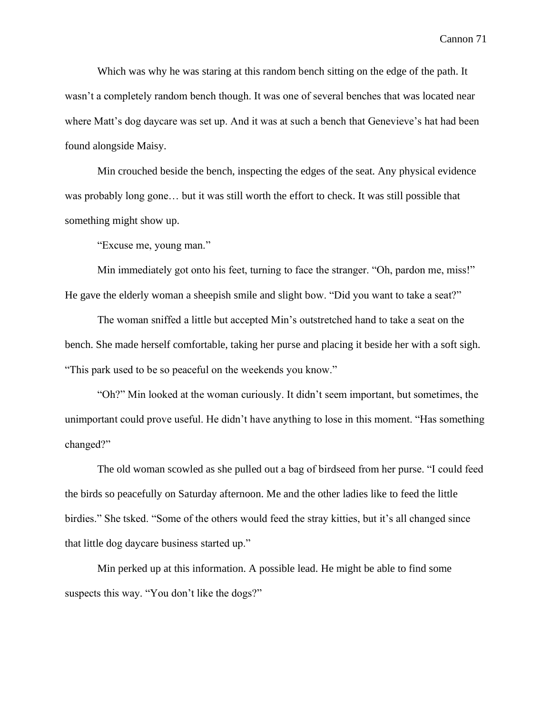Which was why he was staring at this random bench sitting on the edge of the path. It wasn't a completely random bench though. It was one of several benches that was located near where Matt's dog daycare was set up. And it was at such a bench that Genevieve's hat had been found alongside Maisy.

Min crouched beside the bench, inspecting the edges of the seat. Any physical evidence was probably long gone… but it was still worth the effort to check. It was still possible that something might show up.

"Excuse me, young man."

Min immediately got onto his feet, turning to face the stranger. "Oh, pardon me, miss!" He gave the elderly woman a sheepish smile and slight bow. "Did you want to take a seat?"

The woman sniffed a little but accepted Min's outstretched hand to take a seat on the bench. She made herself comfortable, taking her purse and placing it beside her with a soft sigh. "This park used to be so peaceful on the weekends you know."

"Oh?" Min looked at the woman curiously. It didn't seem important, but sometimes, the unimportant could prove useful. He didn't have anything to lose in this moment. "Has something changed?"

The old woman scowled as she pulled out a bag of birdseed from her purse. "I could feed the birds so peacefully on Saturday afternoon. Me and the other ladies like to feed the little birdies." She tsked. "Some of the others would feed the stray kitties, but it's all changed since that little dog daycare business started up."

Min perked up at this information. A possible lead. He might be able to find some suspects this way. "You don't like the dogs?"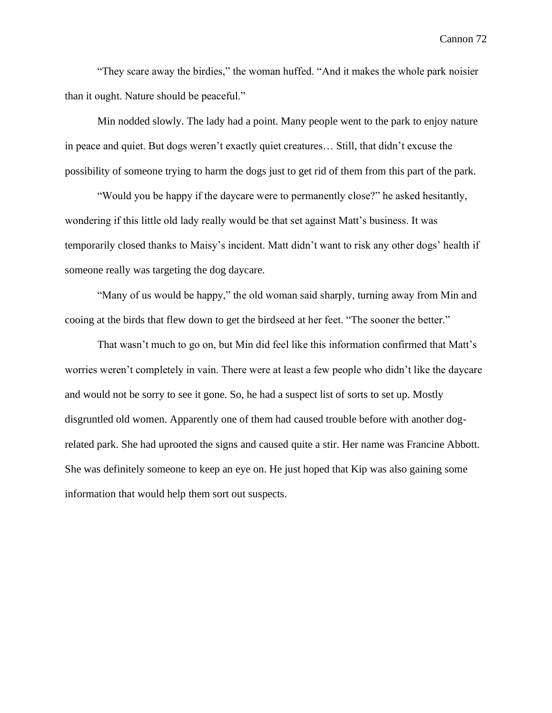"They scare away the birdies," the woman huffed. "And it makes the whole park noisier than it ought. Nature should be peaceful."

Min nodded slowly. The lady had a point. Many people went to the park to enjoy nature in peace and quiet. But dogs weren't exactly quiet creatures… Still, that didn't excuse the possibility of someone trying to harm the dogs just to get rid of them from this part of the park.

"Would you be happy if the daycare were to permanently close?" he asked hesitantly, wondering if this little old lady really would be that set against Matt's business. It was temporarily closed thanks to Maisy's incident. Matt didn't want to risk any other dogs' health if someone really was targeting the dog daycare.

"Many of us would be happy," the old woman said sharply, turning away from Min and cooing at the birds that flew down to get the birdseed at her feet. "The sooner the better."

That wasn't much to go on, but Min did feel like this information confirmed that Matt's worries weren't completely in vain. There were at least a few people who didn't like the daycare and would not be sorry to see it gone. So, he had a suspect list of sorts to set up. Mostly disgruntled old women. Apparently one of them had caused trouble before with another dogrelated park. She had uprooted the signs and caused quite a stir. Her name was Francine Abbott. She was definitely someone to keep an eye on. He just hoped that Kip was also gaining some information that would help them sort out suspects.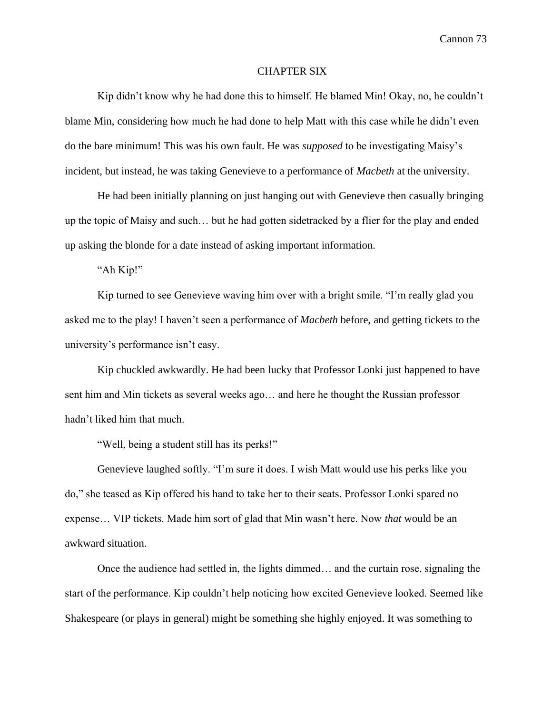## CHAPTER SIX

Kip didn't know why he had done this to himself. He blamed Min! Okay, no, he couldn't blame Min, considering how much he had done to help Matt with this case while he didn't even do the bare minimum! This was his own fault. He was *supposed* to be investigating Maisy's incident, but instead, he was taking Genevieve to a performance of *Macbeth* at the university.

He had been initially planning on just hanging out with Genevieve then casually bringing up the topic of Maisy and such… but he had gotten sidetracked by a flier for the play and ended up asking the blonde for a date instead of asking important information.

"Ah Kip!"

Kip turned to see Genevieve waving him over with a bright smile. "I'm really glad you asked me to the play! I haven't seen a performance of *Macbeth* before, and getting tickets to the university's performance isn't easy.

Kip chuckled awkwardly. He had been lucky that Professor Lonki just happened to have sent him and Min tickets as several weeks ago… and here he thought the Russian professor hadn't liked him that much.

"Well, being a student still has its perks!"

Genevieve laughed softly. "I'm sure it does. I wish Matt would use his perks like you do," she teased as Kip offered his hand to take her to their seats. Professor Lonki spared no expense… VIP tickets. Made him sort of glad that Min wasn't here. Now *that* would be an awkward situation.

Once the audience had settled in, the lights dimmed… and the curtain rose, signaling the start of the performance. Kip couldn't help noticing how excited Genevieve looked. Seemed like Shakespeare (or plays in general) might be something she highly enjoyed. It was something to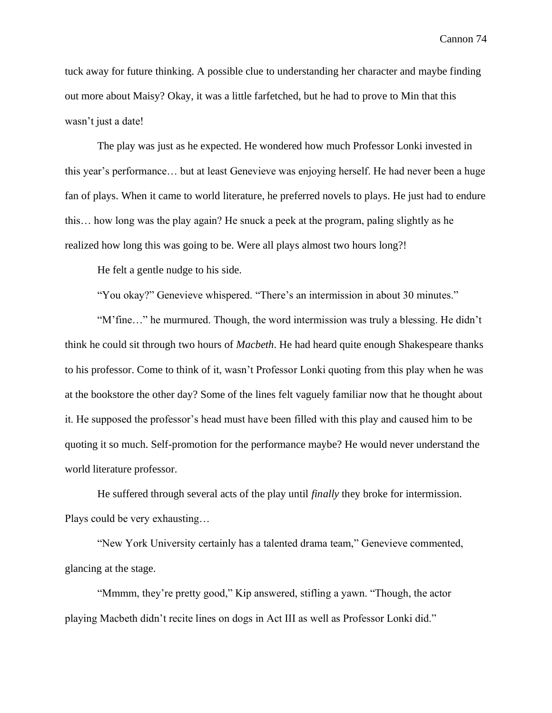tuck away for future thinking. A possible clue to understanding her character and maybe finding out more about Maisy? Okay, it was a little farfetched, but he had to prove to Min that this wasn't just a date!

The play was just as he expected. He wondered how much Professor Lonki invested in this year's performance… but at least Genevieve was enjoying herself. He had never been a huge fan of plays. When it came to world literature, he preferred novels to plays. He just had to endure this… how long was the play again? He snuck a peek at the program, paling slightly as he realized how long this was going to be. Were all plays almost two hours long?!

He felt a gentle nudge to his side.

"You okay?" Genevieve whispered. "There's an intermission in about 30 minutes."

"M'fine…" he murmured. Though, the word intermission was truly a blessing. He didn't think he could sit through two hours of *Macbeth*. He had heard quite enough Shakespeare thanks to his professor. Come to think of it, wasn't Professor Lonki quoting from this play when he was at the bookstore the other day? Some of the lines felt vaguely familiar now that he thought about it. He supposed the professor's head must have been filled with this play and caused him to be quoting it so much. Self-promotion for the performance maybe? He would never understand the world literature professor.

He suffered through several acts of the play until *finally* they broke for intermission. Plays could be very exhausting…

"New York University certainly has a talented drama team," Genevieve commented, glancing at the stage.

"Mmmm, they're pretty good," Kip answered, stifling a yawn. "Though, the actor playing Macbeth didn't recite lines on dogs in Act III as well as Professor Lonki did."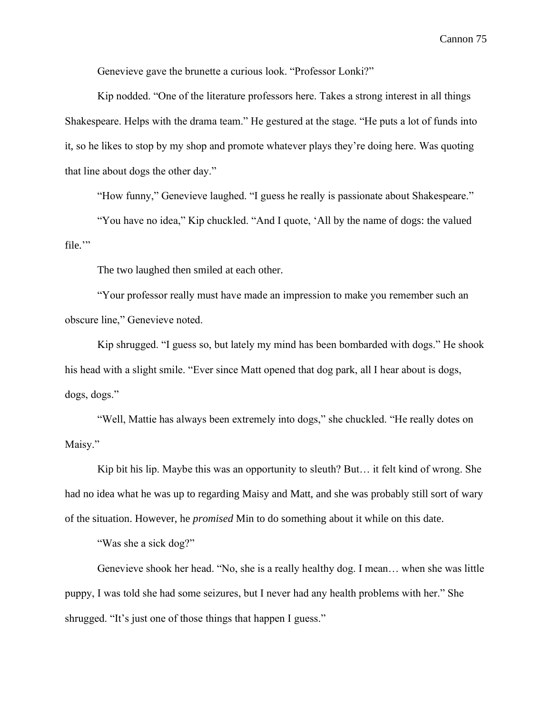Genevieve gave the brunette a curious look. "Professor Lonki?"

Kip nodded. "One of the literature professors here. Takes a strong interest in all things Shakespeare. Helps with the drama team." He gestured at the stage. "He puts a lot of funds into it, so he likes to stop by my shop and promote whatever plays they're doing here. Was quoting that line about dogs the other day."

"How funny," Genevieve laughed. "I guess he really is passionate about Shakespeare."

"You have no idea," Kip chuckled. "And I quote, 'All by the name of dogs: the valued file."

The two laughed then smiled at each other.

"Your professor really must have made an impression to make you remember such an obscure line," Genevieve noted.

Kip shrugged. "I guess so, but lately my mind has been bombarded with dogs." He shook his head with a slight smile. "Ever since Matt opened that dog park, all I hear about is dogs, dogs, dogs."

"Well, Mattie has always been extremely into dogs," she chuckled. "He really dotes on Maisy."

Kip bit his lip. Maybe this was an opportunity to sleuth? But… it felt kind of wrong. She had no idea what he was up to regarding Maisy and Matt, and she was probably still sort of wary of the situation. However, he *promised* Min to do something about it while on this date.

"Was she a sick dog?"

Genevieve shook her head. "No, she is a really healthy dog. I mean… when she was little puppy, I was told she had some seizures, but I never had any health problems with her." She shrugged. "It's just one of those things that happen I guess."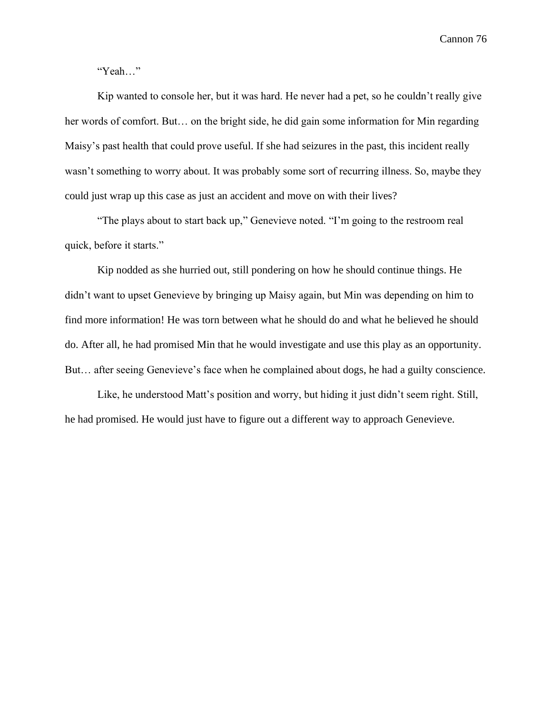"Yeah…"

Kip wanted to console her, but it was hard. He never had a pet, so he couldn't really give her words of comfort. But… on the bright side, he did gain some information for Min regarding Maisy's past health that could prove useful. If she had seizures in the past, this incident really wasn't something to worry about. It was probably some sort of recurring illness. So, maybe they could just wrap up this case as just an accident and move on with their lives?

"The plays about to start back up," Genevieve noted. "I'm going to the restroom real quick, before it starts."

Kip nodded as she hurried out, still pondering on how he should continue things. He didn't want to upset Genevieve by bringing up Maisy again, but Min was depending on him to find more information! He was torn between what he should do and what he believed he should do. After all, he had promised Min that he would investigate and use this play as an opportunity. But… after seeing Genevieve's face when he complained about dogs, he had a guilty conscience.

Like, he understood Matt's position and worry, but hiding it just didn't seem right. Still, he had promised. He would just have to figure out a different way to approach Genevieve.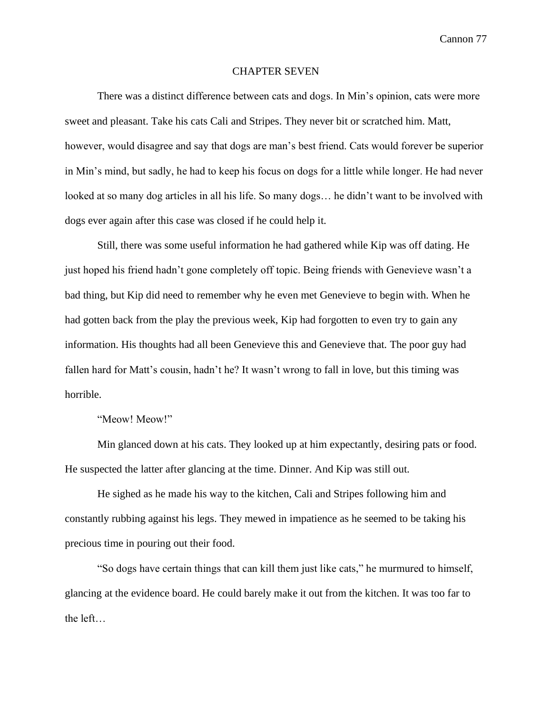### CHAPTER SEVEN

There was a distinct difference between cats and dogs. In Min's opinion, cats were more sweet and pleasant. Take his cats Cali and Stripes. They never bit or scratched him. Matt, however, would disagree and say that dogs are man's best friend. Cats would forever be superior in Min's mind, but sadly, he had to keep his focus on dogs for a little while longer. He had never looked at so many dog articles in all his life. So many dogs… he didn't want to be involved with dogs ever again after this case was closed if he could help it.

Still, there was some useful information he had gathered while Kip was off dating. He just hoped his friend hadn't gone completely off topic. Being friends with Genevieve wasn't a bad thing, but Kip did need to remember why he even met Genevieve to begin with. When he had gotten back from the play the previous week, Kip had forgotten to even try to gain any information. His thoughts had all been Genevieve this and Genevieve that. The poor guy had fallen hard for Matt's cousin, hadn't he? It wasn't wrong to fall in love, but this timing was horrible.

"Meow! Meow!"

Min glanced down at his cats. They looked up at him expectantly, desiring pats or food. He suspected the latter after glancing at the time. Dinner. And Kip was still out.

He sighed as he made his way to the kitchen, Cali and Stripes following him and constantly rubbing against his legs. They mewed in impatience as he seemed to be taking his precious time in pouring out their food.

"So dogs have certain things that can kill them just like cats," he murmured to himself, glancing at the evidence board. He could barely make it out from the kitchen. It was too far to the left…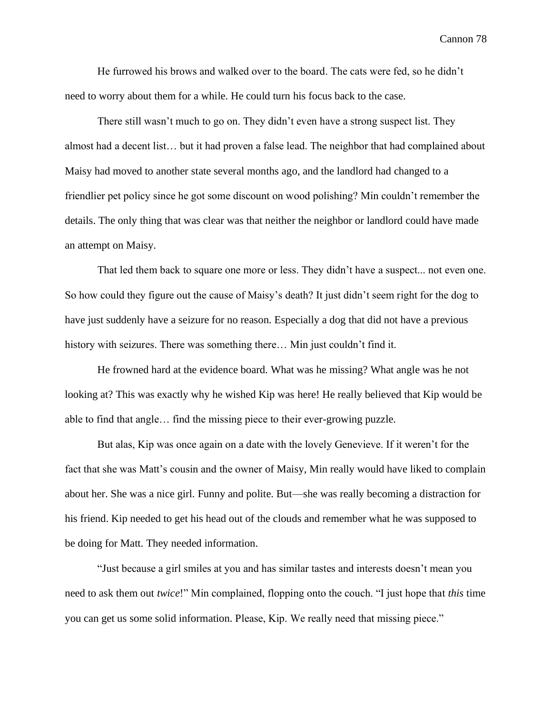He furrowed his brows and walked over to the board. The cats were fed, so he didn't need to worry about them for a while. He could turn his focus back to the case.

There still wasn't much to go on. They didn't even have a strong suspect list. They almost had a decent list… but it had proven a false lead. The neighbor that had complained about Maisy had moved to another state several months ago, and the landlord had changed to a friendlier pet policy since he got some discount on wood polishing? Min couldn't remember the details. The only thing that was clear was that neither the neighbor or landlord could have made an attempt on Maisy.

That led them back to square one more or less. They didn't have a suspect... not even one. So how could they figure out the cause of Maisy's death? It just didn't seem right for the dog to have just suddenly have a seizure for no reason. Especially a dog that did not have a previous history with seizures. There was something there... Min just couldn't find it.

He frowned hard at the evidence board. What was he missing? What angle was he not looking at? This was exactly why he wished Kip was here! He really believed that Kip would be able to find that angle… find the missing piece to their ever-growing puzzle.

But alas, Kip was once again on a date with the lovely Genevieve. If it weren't for the fact that she was Matt's cousin and the owner of Maisy, Min really would have liked to complain about her. She was a nice girl. Funny and polite. But—she was really becoming a distraction for his friend. Kip needed to get his head out of the clouds and remember what he was supposed to be doing for Matt. They needed information.

"Just because a girl smiles at you and has similar tastes and interests doesn't mean you need to ask them out *twice*!" Min complained, flopping onto the couch. "I just hope that *this* time you can get us some solid information. Please, Kip. We really need that missing piece."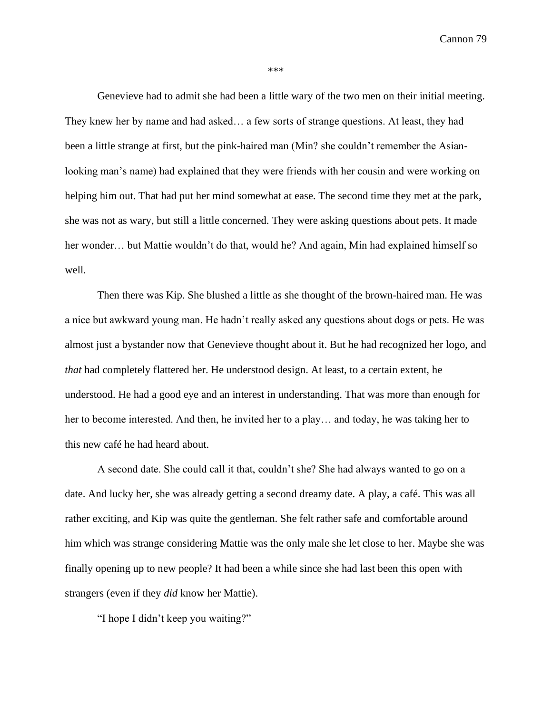\*\*\*

Genevieve had to admit she had been a little wary of the two men on their initial meeting. They knew her by name and had asked… a few sorts of strange questions. At least, they had been a little strange at first, but the pink-haired man (Min? she couldn't remember the Asianlooking man's name) had explained that they were friends with her cousin and were working on helping him out. That had put her mind somewhat at ease. The second time they met at the park, she was not as wary, but still a little concerned. They were asking questions about pets. It made her wonder... but Mattie wouldn't do that, would he? And again, Min had explained himself so well.

Then there was Kip. She blushed a little as she thought of the brown-haired man. He was a nice but awkward young man. He hadn't really asked any questions about dogs or pets. He was almost just a bystander now that Genevieve thought about it. But he had recognized her logo, and *that* had completely flattered her. He understood design. At least, to a certain extent, he understood. He had a good eye and an interest in understanding. That was more than enough for her to become interested. And then, he invited her to a play… and today, he was taking her to this new café he had heard about.

A second date. She could call it that, couldn't she? She had always wanted to go on a date. And lucky her, she was already getting a second dreamy date. A play, a café. This was all rather exciting, and Kip was quite the gentleman. She felt rather safe and comfortable around him which was strange considering Mattie was the only male she let close to her. Maybe she was finally opening up to new people? It had been a while since she had last been this open with strangers (even if they *did* know her Mattie).

"I hope I didn't keep you waiting?"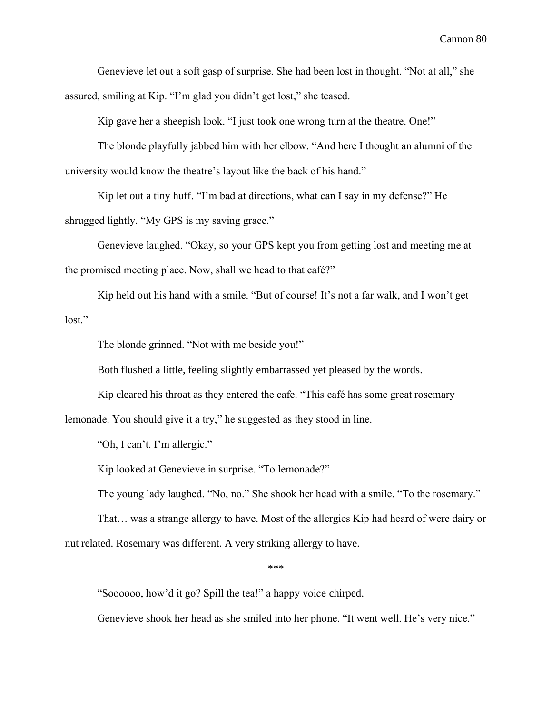Genevieve let out a soft gasp of surprise. She had been lost in thought. "Not at all," she assured, smiling at Kip. "I'm glad you didn't get lost," she teased.

Kip gave her a sheepish look. "I just took one wrong turn at the theatre. One!"

The blonde playfully jabbed him with her elbow. "And here I thought an alumni of the university would know the theatre's layout like the back of his hand."

Kip let out a tiny huff. "I'm bad at directions, what can I say in my defense?" He shrugged lightly. "My GPS is my saving grace."

Genevieve laughed. "Okay, so your GPS kept you from getting lost and meeting me at the promised meeting place. Now, shall we head to that café?"

Kip held out his hand with a smile. "But of course! It's not a far walk, and I won't get lost."

The blonde grinned. "Not with me beside you!"

Both flushed a little, feeling slightly embarrassed yet pleased by the words.

Kip cleared his throat as they entered the cafe. "This café has some great rosemary lemonade. You should give it a try," he suggested as they stood in line.

"Oh, I can't. I'm allergic."

Kip looked at Genevieve in surprise. "To lemonade?"

The young lady laughed. "No, no." She shook her head with a smile. "To the rosemary."

That… was a strange allergy to have. Most of the allergies Kip had heard of were dairy or nut related. Rosemary was different. A very striking allergy to have.

\*\*\*

"Soooooo, how'd it go? Spill the tea!" a happy voice chirped.

Genevieve shook her head as she smiled into her phone. "It went well. He's very nice."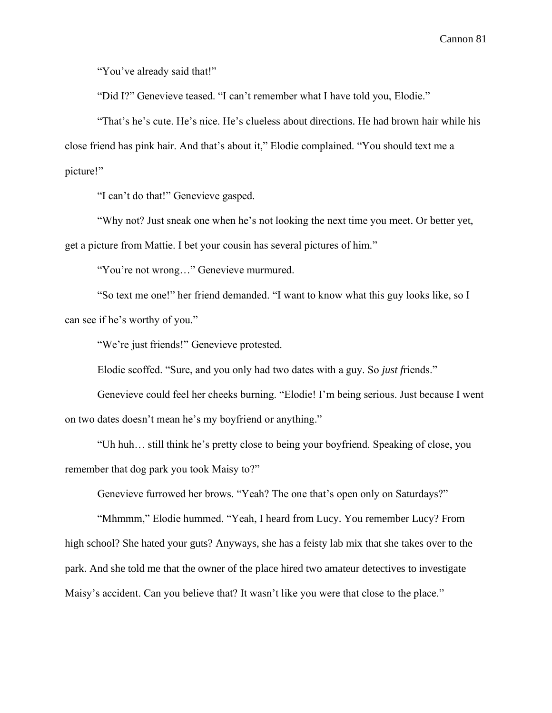"You've already said that!"

"Did I?" Genevieve teased. "I can't remember what I have told you, Elodie."

"That's he's cute. He's nice. He's clueless about directions. He had brown hair while his close friend has pink hair. And that's about it," Elodie complained. "You should text me a picture!"

"I can't do that!" Genevieve gasped.

"Why not? Just sneak one when he's not looking the next time you meet. Or better yet, get a picture from Mattie. I bet your cousin has several pictures of him."

"You're not wrong…" Genevieve murmured.

"So text me one!" her friend demanded. "I want to know what this guy looks like, so I can see if he's worthy of you."

"We're just friends!" Genevieve protested.

Elodie scoffed. "Sure, and you only had two dates with a guy. So *just f*riends."

Genevieve could feel her cheeks burning. "Elodie! I'm being serious. Just because I went on two dates doesn't mean he's my boyfriend or anything."

"Uh huh… still think he's pretty close to being your boyfriend. Speaking of close, you remember that dog park you took Maisy to?"

Genevieve furrowed her brows. "Yeah? The one that's open only on Saturdays?"

"Mhmmm," Elodie hummed. "Yeah, I heard from Lucy. You remember Lucy? From high school? She hated your guts? Anyways, she has a feisty lab mix that she takes over to the park. And she told me that the owner of the place hired two amateur detectives to investigate Maisy's accident. Can you believe that? It wasn't like you were that close to the place."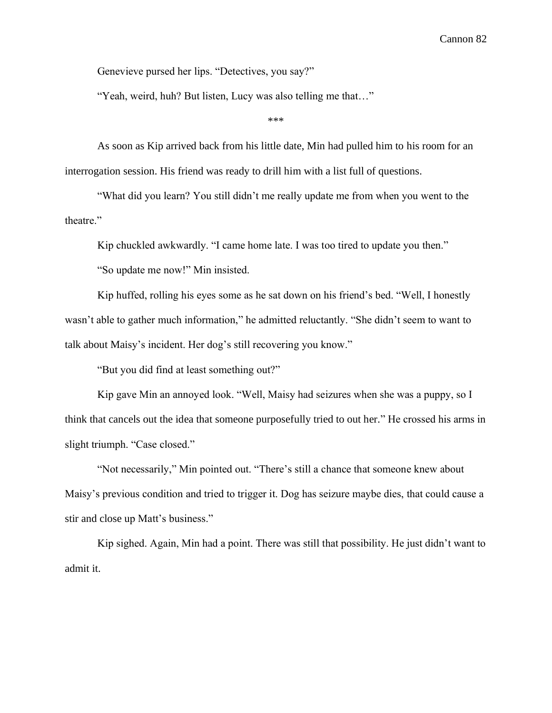Genevieve pursed her lips. "Detectives, you say?"

"Yeah, weird, huh? But listen, Lucy was also telling me that…"

\*\*\*

As soon as Kip arrived back from his little date, Min had pulled him to his room for an interrogation session. His friend was ready to drill him with a list full of questions.

"What did you learn? You still didn't me really update me from when you went to the theatre."

Kip chuckled awkwardly. "I came home late. I was too tired to update you then."

"So update me now!" Min insisted.

Kip huffed, rolling his eyes some as he sat down on his friend's bed. "Well, I honestly wasn't able to gather much information," he admitted reluctantly. "She didn't seem to want to talk about Maisy's incident. Her dog's still recovering you know."

"But you did find at least something out?"

Kip gave Min an annoyed look. "Well, Maisy had seizures when she was a puppy, so I think that cancels out the idea that someone purposefully tried to out her." He crossed his arms in slight triumph. "Case closed."

"Not necessarily," Min pointed out. "There's still a chance that someone knew about Maisy's previous condition and tried to trigger it. Dog has seizure maybe dies, that could cause a stir and close up Matt's business."

Kip sighed. Again, Min had a point. There was still that possibility. He just didn't want to admit it.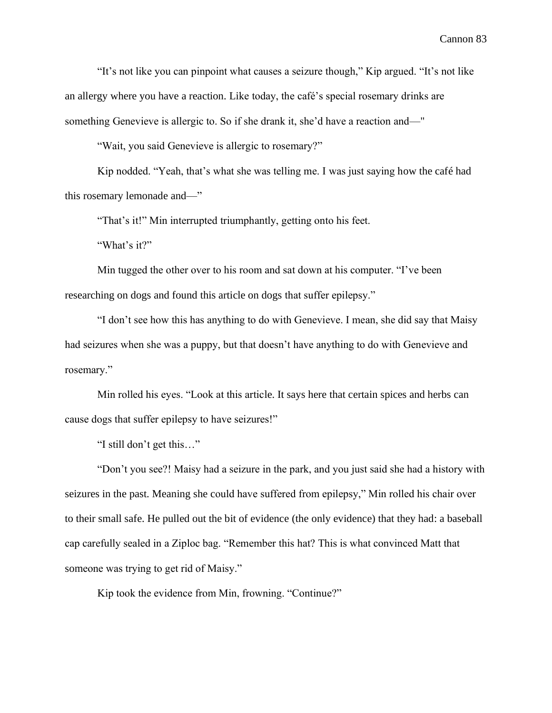"It's not like you can pinpoint what causes a seizure though," Kip argued. "It's not like an allergy where you have a reaction. Like today, the café's special rosemary drinks are something Genevieve is allergic to. So if she drank it, she'd have a reaction and—"

"Wait, you said Genevieve is allergic to rosemary?"

Kip nodded. "Yeah, that's what she was telling me. I was just saying how the café had this rosemary lemonade and—"

"That's it!" Min interrupted triumphantly, getting onto his feet.

"What's it?"

Min tugged the other over to his room and sat down at his computer. "I've been researching on dogs and found this article on dogs that suffer epilepsy."

"I don't see how this has anything to do with Genevieve. I mean, she did say that Maisy had seizures when she was a puppy, but that doesn't have anything to do with Genevieve and rosemary."

Min rolled his eyes. "Look at this article. It says here that certain spices and herbs can cause dogs that suffer epilepsy to have seizures!"

"I still don't get this…"

"Don't you see?! Maisy had a seizure in the park, and you just said she had a history with seizures in the past. Meaning she could have suffered from epilepsy," Min rolled his chair over to their small safe. He pulled out the bit of evidence (the only evidence) that they had: a baseball cap carefully sealed in a Ziploc bag. "Remember this hat? This is what convinced Matt that someone was trying to get rid of Maisy."

Kip took the evidence from Min, frowning. "Continue?"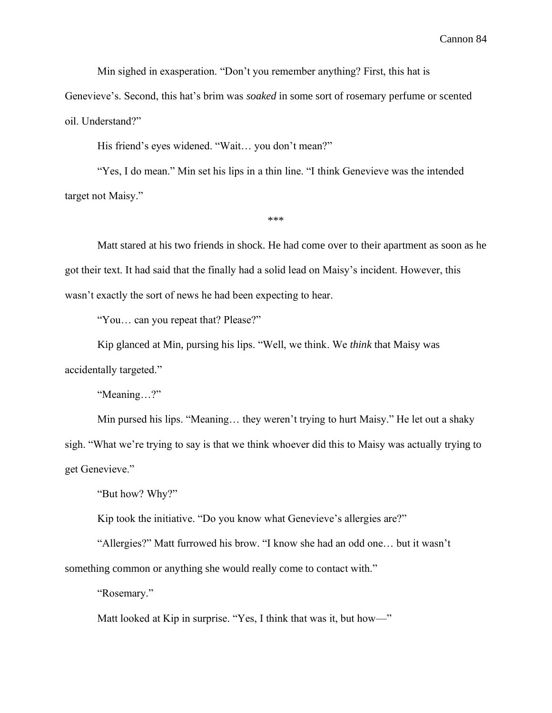Min sighed in exasperation. "Don't you remember anything? First, this hat is

Genevieve's. Second, this hat's brim was *soaked* in some sort of rosemary perfume or scented oil. Understand?"

His friend's eyes widened. "Wait… you don't mean?"

"Yes, I do mean." Min set his lips in a thin line. "I think Genevieve was the intended target not Maisy."

\*\*\*

Matt stared at his two friends in shock. He had come over to their apartment as soon as he got their text. It had said that the finally had a solid lead on Maisy's incident. However, this wasn't exactly the sort of news he had been expecting to hear.

"You… can you repeat that? Please?"

Kip glanced at Min, pursing his lips. "Well, we think. We *think* that Maisy was accidentally targeted."

"Meaning…?"

Min pursed his lips. "Meaning… they weren't trying to hurt Maisy." He let out a shaky sigh. "What we're trying to say is that we think whoever did this to Maisy was actually trying to get Genevieve."

"But how? Why?"

Kip took the initiative. "Do you know what Genevieve's allergies are?"

"Allergies?" Matt furrowed his brow. "I know she had an odd one… but it wasn't something common or anything she would really come to contact with."

"Rosemary."

Matt looked at Kip in surprise. "Yes, I think that was it, but how—"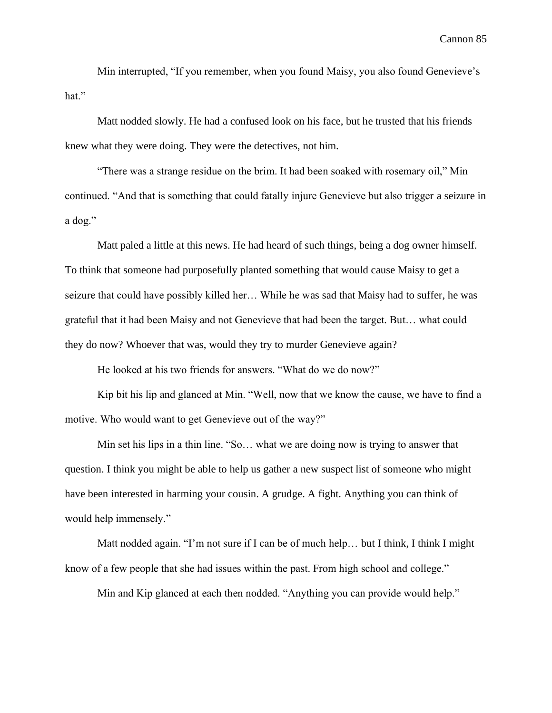Min interrupted, "If you remember, when you found Maisy, you also found Genevieve's hat."

Matt nodded slowly. He had a confused look on his face, but he trusted that his friends knew what they were doing. They were the detectives, not him.

"There was a strange residue on the brim. It had been soaked with rosemary oil," Min continued. "And that is something that could fatally injure Genevieve but also trigger a seizure in a dog."

Matt paled a little at this news. He had heard of such things, being a dog owner himself. To think that someone had purposefully planted something that would cause Maisy to get a seizure that could have possibly killed her… While he was sad that Maisy had to suffer, he was grateful that it had been Maisy and not Genevieve that had been the target. But… what could they do now? Whoever that was, would they try to murder Genevieve again?

He looked at his two friends for answers. "What do we do now?"

Kip bit his lip and glanced at Min. "Well, now that we know the cause, we have to find a motive. Who would want to get Genevieve out of the way?"

Min set his lips in a thin line. "So… what we are doing now is trying to answer that question. I think you might be able to help us gather a new suspect list of someone who might have been interested in harming your cousin. A grudge. A fight. Anything you can think of would help immensely."

Matt nodded again. "I'm not sure if I can be of much help… but I think, I think I might know of a few people that she had issues within the past. From high school and college."

Min and Kip glanced at each then nodded. "Anything you can provide would help."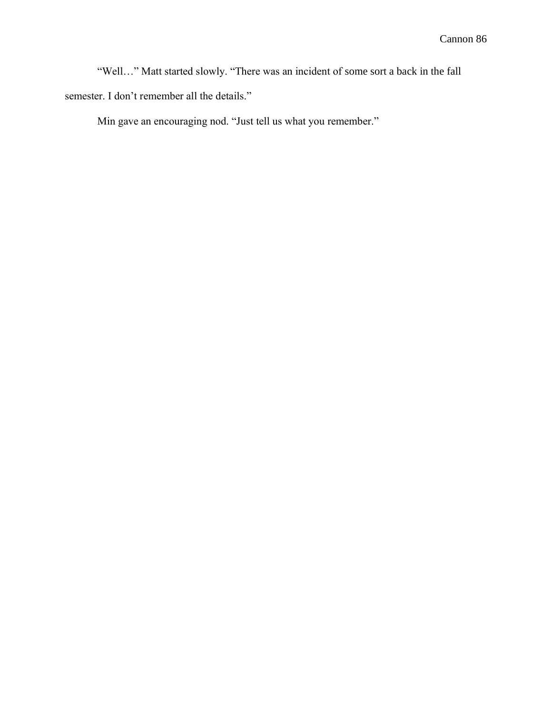"Well…" Matt started slowly. "There was an incident of some sort a back in the fall semester. I don't remember all the details."

Min gave an encouraging nod. "Just tell us what you remember."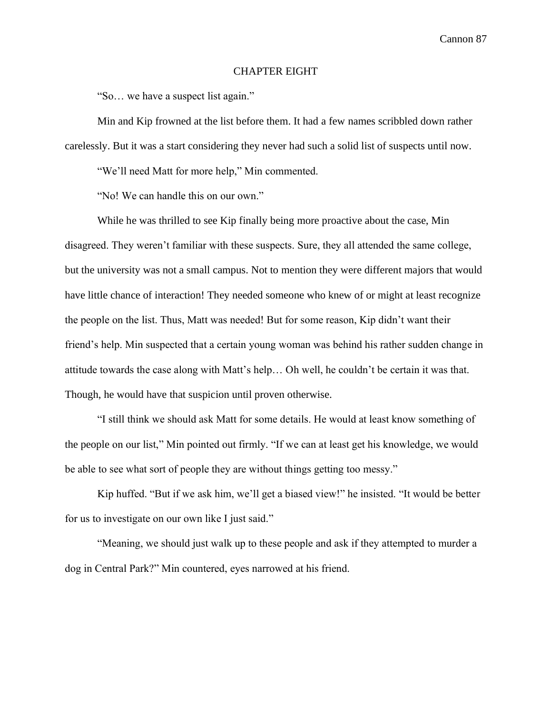## CHAPTER EIGHT

"So… we have a suspect list again."

Min and Kip frowned at the list before them. It had a few names scribbled down rather carelessly. But it was a start considering they never had such a solid list of suspects until now.

"We'll need Matt for more help," Min commented.

"No! We can handle this on our own."

While he was thrilled to see Kip finally being more proactive about the case, Min disagreed. They weren't familiar with these suspects. Sure, they all attended the same college, but the university was not a small campus. Not to mention they were different majors that would have little chance of interaction! They needed someone who knew of or might at least recognize the people on the list. Thus, Matt was needed! But for some reason, Kip didn't want their friend's help. Min suspected that a certain young woman was behind his rather sudden change in attitude towards the case along with Matt's help… Oh well, he couldn't be certain it was that. Though, he would have that suspicion until proven otherwise.

"I still think we should ask Matt for some details. He would at least know something of the people on our list," Min pointed out firmly. "If we can at least get his knowledge, we would be able to see what sort of people they are without things getting too messy."

Kip huffed. "But if we ask him, we'll get a biased view!" he insisted. "It would be better for us to investigate on our own like I just said."

"Meaning, we should just walk up to these people and ask if they attempted to murder a dog in Central Park?" Min countered, eyes narrowed at his friend.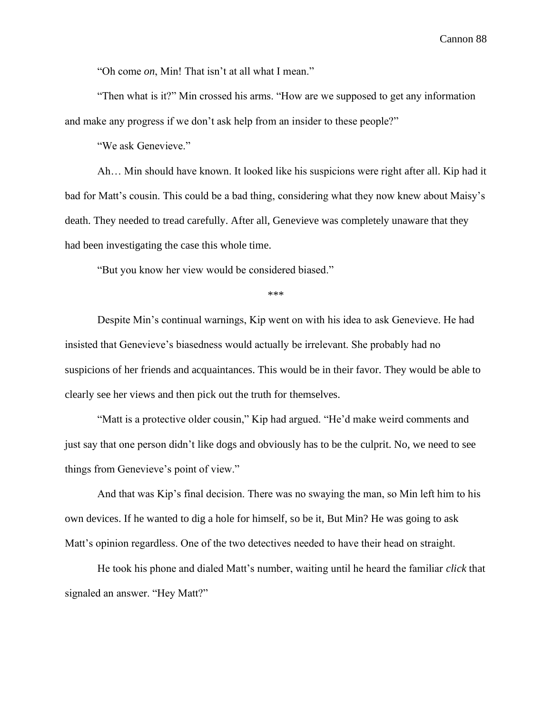"Oh come *on*, Min! That isn't at all what I mean."

"Then what is it?" Min crossed his arms. "How are we supposed to get any information and make any progress if we don't ask help from an insider to these people?"

"We ask Genevieve."

Ah… Min should have known. It looked like his suspicions were right after all. Kip had it bad for Matt's cousin. This could be a bad thing, considering what they now knew about Maisy's death. They needed to tread carefully. After all, Genevieve was completely unaware that they had been investigating the case this whole time.

"But you know her view would be considered biased."

\*\*\*

Despite Min's continual warnings, Kip went on with his idea to ask Genevieve. He had insisted that Genevieve's biasedness would actually be irrelevant. She probably had no suspicions of her friends and acquaintances. This would be in their favor. They would be able to clearly see her views and then pick out the truth for themselves.

"Matt is a protective older cousin," Kip had argued. "He'd make weird comments and just say that one person didn't like dogs and obviously has to be the culprit. No, we need to see things from Genevieve's point of view."

And that was Kip's final decision. There was no swaying the man, so Min left him to his own devices. If he wanted to dig a hole for himself, so be it, But Min? He was going to ask Matt's opinion regardless. One of the two detectives needed to have their head on straight.

He took his phone and dialed Matt's number, waiting until he heard the familiar *click* that signaled an answer. "Hey Matt?"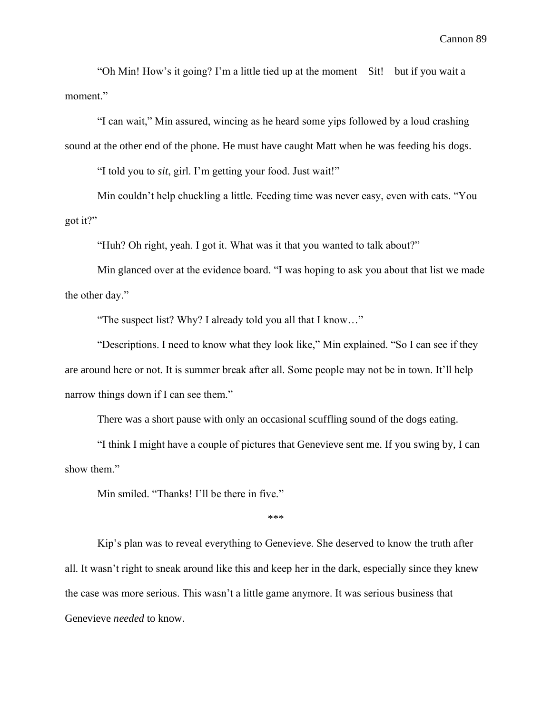"Oh Min! How's it going? I'm a little tied up at the moment—Sit!—but if you wait a moment."

"I can wait," Min assured, wincing as he heard some yips followed by a loud crashing sound at the other end of the phone. He must have caught Matt when he was feeding his dogs.

"I told you to *sit*, girl. I'm getting your food. Just wait!"

Min couldn't help chuckling a little. Feeding time was never easy, even with cats. "You got it?"

"Huh? Oh right, yeah. I got it. What was it that you wanted to talk about?"

Min glanced over at the evidence board. "I was hoping to ask you about that list we made the other day."

"The suspect list? Why? I already told you all that I know…"

"Descriptions. I need to know what they look like," Min explained. "So I can see if they are around here or not. It is summer break after all. Some people may not be in town. It'll help narrow things down if I can see them."

There was a short pause with only an occasional scuffling sound of the dogs eating.

"I think I might have a couple of pictures that Genevieve sent me. If you swing by, I can show them."

Min smiled. "Thanks! I'll be there in five."

\*\*\*

Kip's plan was to reveal everything to Genevieve. She deserved to know the truth after all. It wasn't right to sneak around like this and keep her in the dark, especially since they knew the case was more serious. This wasn't a little game anymore. It was serious business that Genevieve *needed* to know.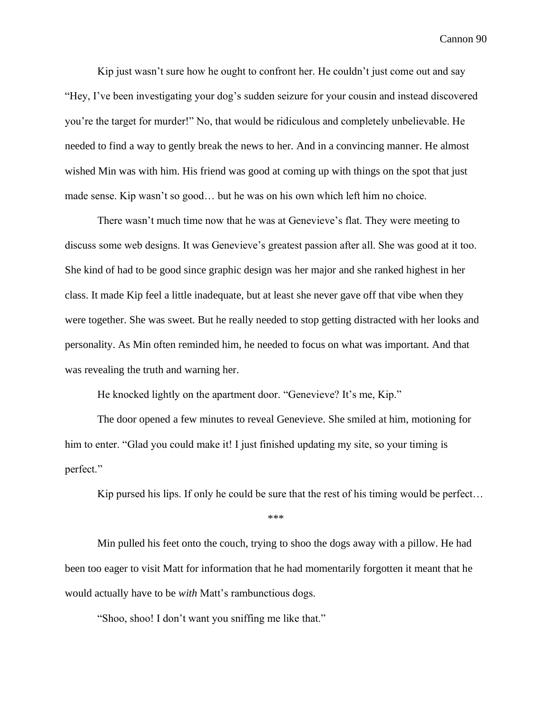Kip just wasn't sure how he ought to confront her. He couldn't just come out and say "Hey, I've been investigating your dog's sudden seizure for your cousin and instead discovered you're the target for murder!" No, that would be ridiculous and completely unbelievable. He needed to find a way to gently break the news to her. And in a convincing manner. He almost wished Min was with him. His friend was good at coming up with things on the spot that just made sense. Kip wasn't so good… but he was on his own which left him no choice.

There wasn't much time now that he was at Genevieve's flat. They were meeting to discuss some web designs. It was Genevieve's greatest passion after all. She was good at it too. She kind of had to be good since graphic design was her major and she ranked highest in her class. It made Kip feel a little inadequate, but at least she never gave off that vibe when they were together. She was sweet. But he really needed to stop getting distracted with her looks and personality. As Min often reminded him, he needed to focus on what was important. And that was revealing the truth and warning her.

He knocked lightly on the apartment door. "Genevieve? It's me, Kip."

The door opened a few minutes to reveal Genevieve. She smiled at him, motioning for him to enter. "Glad you could make it! I just finished updating my site, so your timing is perfect."

Kip pursed his lips. If only he could be sure that the rest of his timing would be perfect…

\*\*\*

Min pulled his feet onto the couch, trying to shoo the dogs away with a pillow. He had been too eager to visit Matt for information that he had momentarily forgotten it meant that he would actually have to be *with* Matt's rambunctious dogs.

"Shoo, shoo! I don't want you sniffing me like that."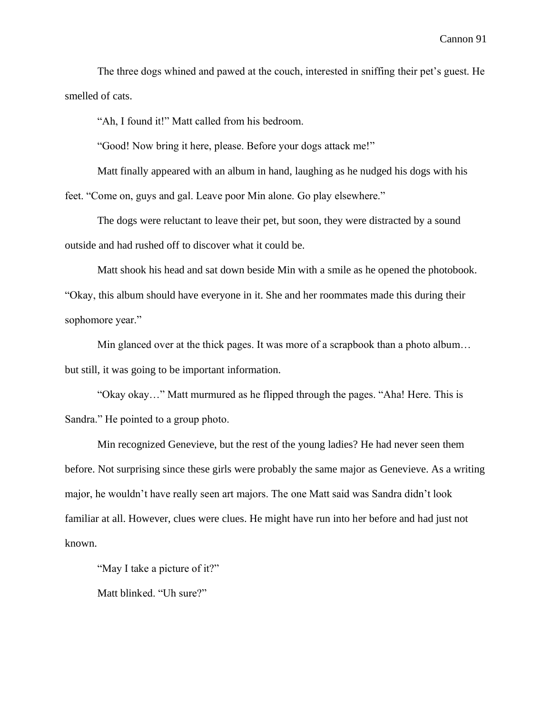The three dogs whined and pawed at the couch, interested in sniffing their pet's guest. He smelled of cats.

"Ah, I found it!" Matt called from his bedroom.

"Good! Now bring it here, please. Before your dogs attack me!"

Matt finally appeared with an album in hand, laughing as he nudged his dogs with his feet. "Come on, guys and gal. Leave poor Min alone. Go play elsewhere."

The dogs were reluctant to leave their pet, but soon, they were distracted by a sound outside and had rushed off to discover what it could be.

Matt shook his head and sat down beside Min with a smile as he opened the photobook. "Okay, this album should have everyone in it. She and her roommates made this during their sophomore year."

Min glanced over at the thick pages. It was more of a scrapbook than a photo album… but still, it was going to be important information.

"Okay okay…" Matt murmured as he flipped through the pages. "Aha! Here. This is Sandra." He pointed to a group photo.

Min recognized Genevieve, but the rest of the young ladies? He had never seen them before. Not surprising since these girls were probably the same major as Genevieve. As a writing major, he wouldn't have really seen art majors. The one Matt said was Sandra didn't look familiar at all. However, clues were clues. He might have run into her before and had just not known.

"May I take a picture of it?"

Matt blinked. "Uh sure?"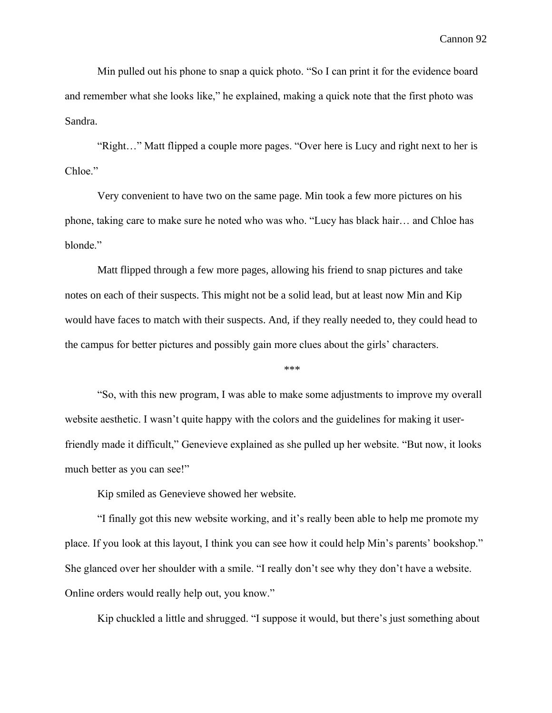Min pulled out his phone to snap a quick photo. "So I can print it for the evidence board and remember what she looks like," he explained, making a quick note that the first photo was Sandra.

"Right…" Matt flipped a couple more pages. "Over here is Lucy and right next to her is Chloe."

Very convenient to have two on the same page. Min took a few more pictures on his phone, taking care to make sure he noted who was who. "Lucy has black hair… and Chloe has blonde."

Matt flipped through a few more pages, allowing his friend to snap pictures and take notes on each of their suspects. This might not be a solid lead, but at least now Min and Kip would have faces to match with their suspects. And, if they really needed to, they could head to the campus for better pictures and possibly gain more clues about the girls' characters.

\*\*\*

"So, with this new program, I was able to make some adjustments to improve my overall website aesthetic. I wasn't quite happy with the colors and the guidelines for making it userfriendly made it difficult," Genevieve explained as she pulled up her website. "But now, it looks much better as you can see!"

Kip smiled as Genevieve showed her website.

"I finally got this new website working, and it's really been able to help me promote my place. If you look at this layout, I think you can see how it could help Min's parents' bookshop." She glanced over her shoulder with a smile. "I really don't see why they don't have a website. Online orders would really help out, you know."

Kip chuckled a little and shrugged. "I suppose it would, but there's just something about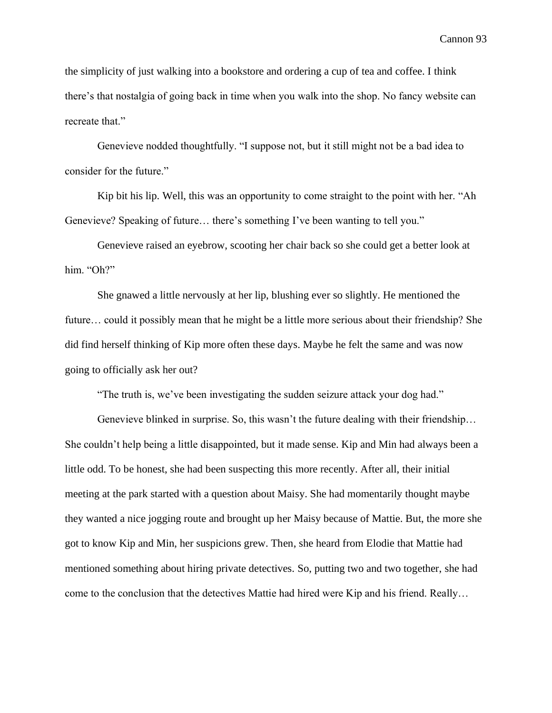the simplicity of just walking into a bookstore and ordering a cup of tea and coffee. I think there's that nostalgia of going back in time when you walk into the shop. No fancy website can recreate that."

Genevieve nodded thoughtfully. "I suppose not, but it still might not be a bad idea to consider for the future."

Kip bit his lip. Well, this was an opportunity to come straight to the point with her. "Ah Genevieve? Speaking of future… there's something I've been wanting to tell you."

Genevieve raised an eyebrow, scooting her chair back so she could get a better look at him. "Oh?"

She gnawed a little nervously at her lip, blushing ever so slightly. He mentioned the future… could it possibly mean that he might be a little more serious about their friendship? She did find herself thinking of Kip more often these days. Maybe he felt the same and was now going to officially ask her out?

"The truth is, we've been investigating the sudden seizure attack your dog had."

Genevieve blinked in surprise. So, this wasn't the future dealing with their friendship... She couldn't help being a little disappointed, but it made sense. Kip and Min had always been a little odd. To be honest, she had been suspecting this more recently. After all, their initial meeting at the park started with a question about Maisy. She had momentarily thought maybe they wanted a nice jogging route and brought up her Maisy because of Mattie. But, the more she got to know Kip and Min, her suspicions grew. Then, she heard from Elodie that Mattie had mentioned something about hiring private detectives. So, putting two and two together, she had come to the conclusion that the detectives Mattie had hired were Kip and his friend. Really…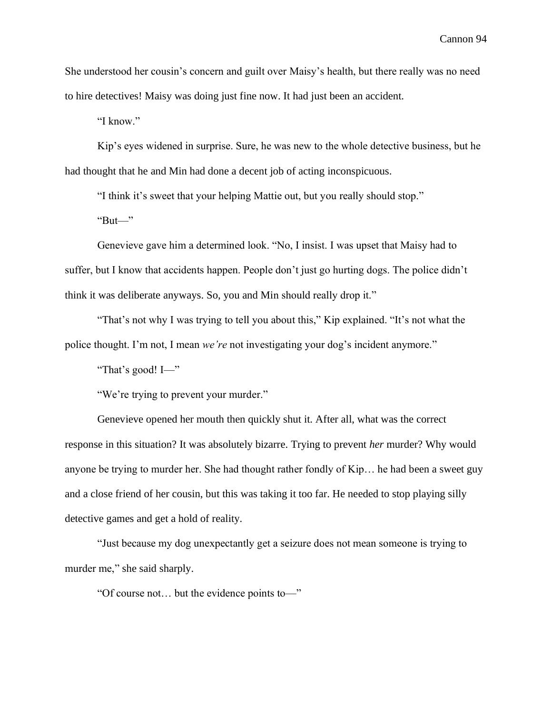She understood her cousin's concern and guilt over Maisy's health, but there really was no need to hire detectives! Maisy was doing just fine now. It had just been an accident.

"I know."

Kip's eyes widened in surprise. Sure, he was new to the whole detective business, but he had thought that he and Min had done a decent job of acting inconspicuous.

"I think it's sweet that your helping Mattie out, but you really should stop."

" $But$ "

Genevieve gave him a determined look. "No, I insist. I was upset that Maisy had to suffer, but I know that accidents happen. People don't just go hurting dogs. The police didn't think it was deliberate anyways. So, you and Min should really drop it."

"That's not why I was trying to tell you about this," Kip explained. "It's not what the police thought. I'm not, I mean *we're* not investigating your dog's incident anymore."

"That's good! I—"

"We're trying to prevent your murder."

Genevieve opened her mouth then quickly shut it. After all, what was the correct response in this situation? It was absolutely bizarre. Trying to prevent *her* murder? Why would anyone be trying to murder her. She had thought rather fondly of Kip… he had been a sweet guy and a close friend of her cousin, but this was taking it too far. He needed to stop playing silly detective games and get a hold of reality.

"Just because my dog unexpectantly get a seizure does not mean someone is trying to murder me," she said sharply.

"Of course not… but the evidence points to—"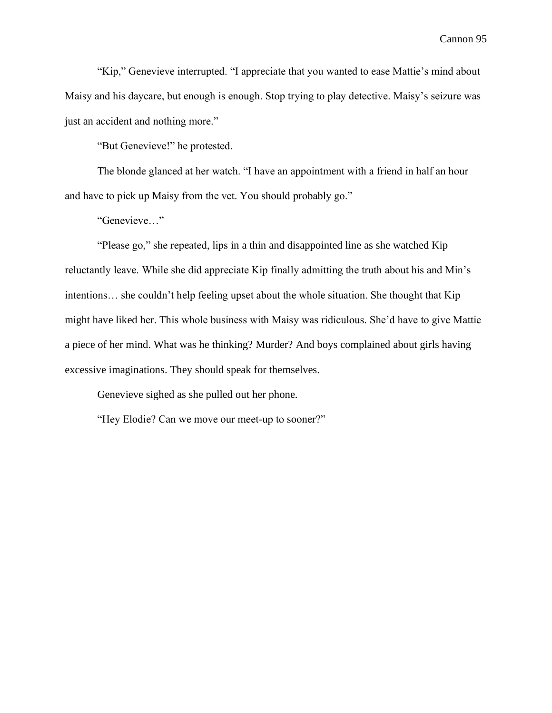"Kip," Genevieve interrupted. "I appreciate that you wanted to ease Mattie's mind about Maisy and his daycare, but enough is enough. Stop trying to play detective. Maisy's seizure was just an accident and nothing more."

"But Genevieve!" he protested.

The blonde glanced at her watch. "I have an appointment with a friend in half an hour and have to pick up Maisy from the vet. You should probably go."

"Genevieve…"

"Please go," she repeated, lips in a thin and disappointed line as she watched Kip reluctantly leave. While she did appreciate Kip finally admitting the truth about his and Min's intentions… she couldn't help feeling upset about the whole situation. She thought that Kip might have liked her. This whole business with Maisy was ridiculous. She'd have to give Mattie a piece of her mind. What was he thinking? Murder? And boys complained about girls having excessive imaginations. They should speak for themselves.

Genevieve sighed as she pulled out her phone.

"Hey Elodie? Can we move our meet-up to sooner?"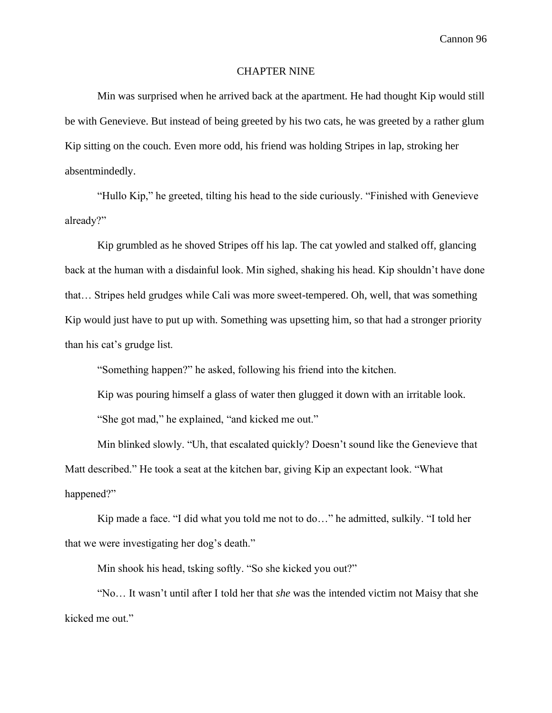# CHAPTER NINE

Min was surprised when he arrived back at the apartment. He had thought Kip would still be with Genevieve. But instead of being greeted by his two cats, he was greeted by a rather glum Kip sitting on the couch. Even more odd, his friend was holding Stripes in lap, stroking her absentmindedly.

"Hullo Kip," he greeted, tilting his head to the side curiously. "Finished with Genevieve already?"

Kip grumbled as he shoved Stripes off his lap. The cat yowled and stalked off, glancing back at the human with a disdainful look. Min sighed, shaking his head. Kip shouldn't have done that… Stripes held grudges while Cali was more sweet-tempered. Oh, well, that was something Kip would just have to put up with. Something was upsetting him, so that had a stronger priority than his cat's grudge list.

"Something happen?" he asked, following his friend into the kitchen.

Kip was pouring himself a glass of water then glugged it down with an irritable look. "She got mad," he explained, "and kicked me out."

Min blinked slowly. "Uh, that escalated quickly? Doesn't sound like the Genevieve that Matt described." He took a seat at the kitchen bar, giving Kip an expectant look. "What happened?"

Kip made a face. "I did what you told me not to do…" he admitted, sulkily. "I told her that we were investigating her dog's death."

Min shook his head, tsking softly. "So she kicked you out?"

"No… It wasn't until after I told her that *she* was the intended victim not Maisy that she kicked me out."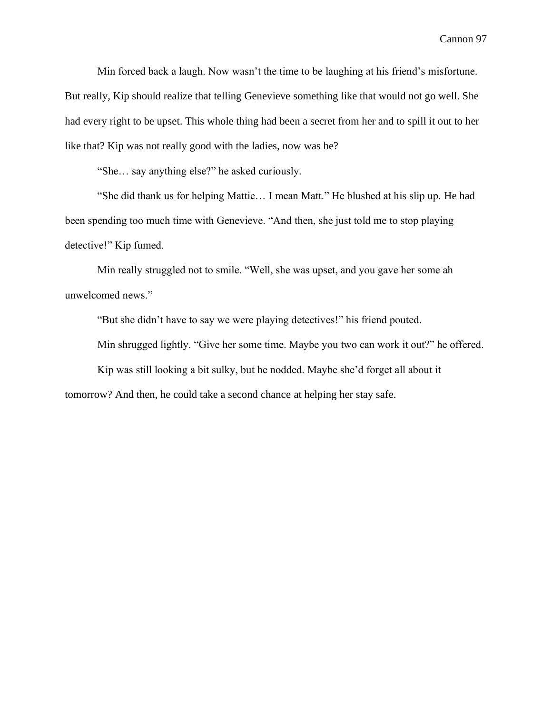Min forced back a laugh. Now wasn't the time to be laughing at his friend's misfortune. But really, Kip should realize that telling Genevieve something like that would not go well. She had every right to be upset. This whole thing had been a secret from her and to spill it out to her like that? Kip was not really good with the ladies, now was he?

"She… say anything else?" he asked curiously.

"She did thank us for helping Mattie… I mean Matt." He blushed at his slip up. He had been spending too much time with Genevieve. "And then, she just told me to stop playing detective!" Kip fumed.

Min really struggled not to smile. "Well, she was upset, and you gave her some ah unwelcomed news."

"But she didn't have to say we were playing detectives!" his friend pouted.

Min shrugged lightly. "Give her some time. Maybe you two can work it out?" he offered.

Kip was still looking a bit sulky, but he nodded. Maybe she'd forget all about it

tomorrow? And then, he could take a second chance at helping her stay safe.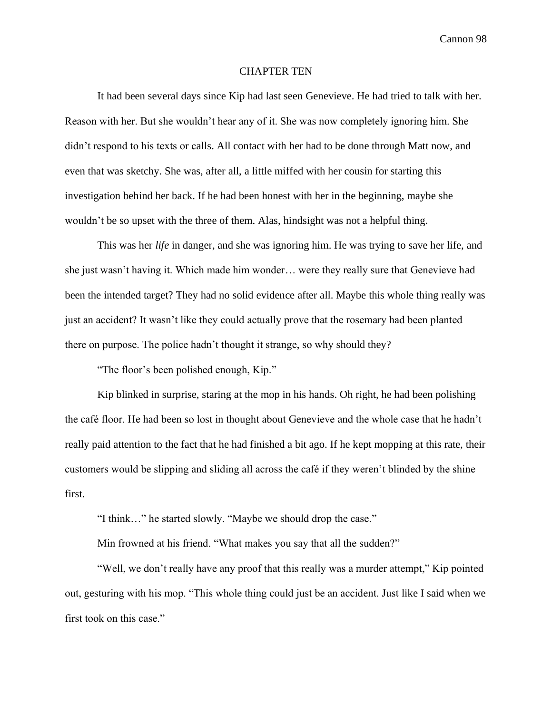## CHAPTER TEN

It had been several days since Kip had last seen Genevieve. He had tried to talk with her. Reason with her. But she wouldn't hear any of it. She was now completely ignoring him. She didn't respond to his texts or calls. All contact with her had to be done through Matt now, and even that was sketchy. She was, after all, a little miffed with her cousin for starting this investigation behind her back. If he had been honest with her in the beginning, maybe she wouldn't be so upset with the three of them. Alas, hindsight was not a helpful thing.

This was her *life* in danger, and she was ignoring him. He was trying to save her life, and she just wasn't having it. Which made him wonder… were they really sure that Genevieve had been the intended target? They had no solid evidence after all. Maybe this whole thing really was just an accident? It wasn't like they could actually prove that the rosemary had been planted there on purpose. The police hadn't thought it strange, so why should they?

"The floor's been polished enough, Kip."

Kip blinked in surprise, staring at the mop in his hands. Oh right, he had been polishing the café floor. He had been so lost in thought about Genevieve and the whole case that he hadn't really paid attention to the fact that he had finished a bit ago. If he kept mopping at this rate, their customers would be slipping and sliding all across the café if they weren't blinded by the shine first.

"I think…" he started slowly. "Maybe we should drop the case."

Min frowned at his friend. "What makes you say that all the sudden?"

"Well, we don't really have any proof that this really was a murder attempt," Kip pointed out, gesturing with his mop. "This whole thing could just be an accident. Just like I said when we first took on this case."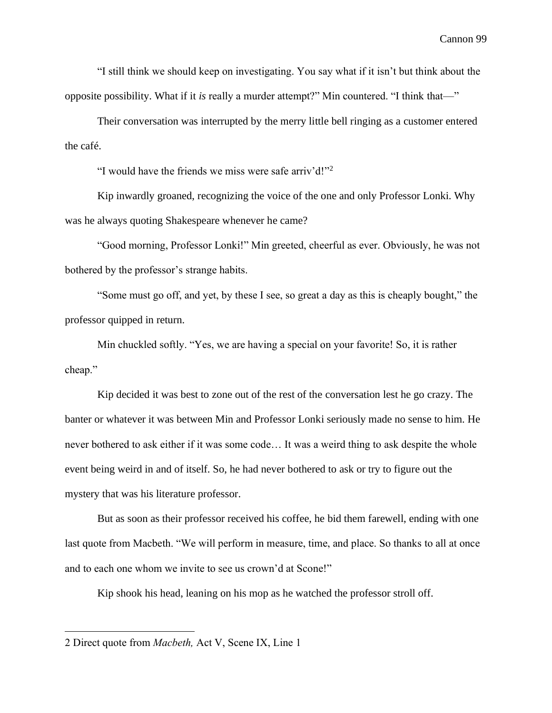"I still think we should keep on investigating. You say what if it isn't but think about the opposite possibility. What if it *is* really a murder attempt?" Min countered. "I think that—"

Their conversation was interrupted by the merry little bell ringing as a customer entered the café.

"I would have the friends we miss were safe arriv'd!"<sup>2</sup>

Kip inwardly groaned, recognizing the voice of the one and only Professor Lonki. Why was he always quoting Shakespeare whenever he came?

"Good morning, Professor Lonki!" Min greeted, cheerful as ever. Obviously, he was not bothered by the professor's strange habits.

"Some must go off, and yet, by these I see, so great a day as this is cheaply bought," the professor quipped in return.

Min chuckled softly. "Yes, we are having a special on your favorite! So, it is rather cheap."

Kip decided it was best to zone out of the rest of the conversation lest he go crazy. The banter or whatever it was between Min and Professor Lonki seriously made no sense to him. He never bothered to ask either if it was some code… It was a weird thing to ask despite the whole event being weird in and of itself. So, he had never bothered to ask or try to figure out the mystery that was his literature professor.

But as soon as their professor received his coffee, he bid them farewell, ending with one last quote from Macbeth. "We will perform in measure, time, and place. So thanks to all at once and to each one whom we invite to see us crown'd at Scone!"

Kip shook his head, leaning on his mop as he watched the professor stroll off.

<sup>2</sup> Direct quote from *Macbeth,* Act V, Scene IX, Line 1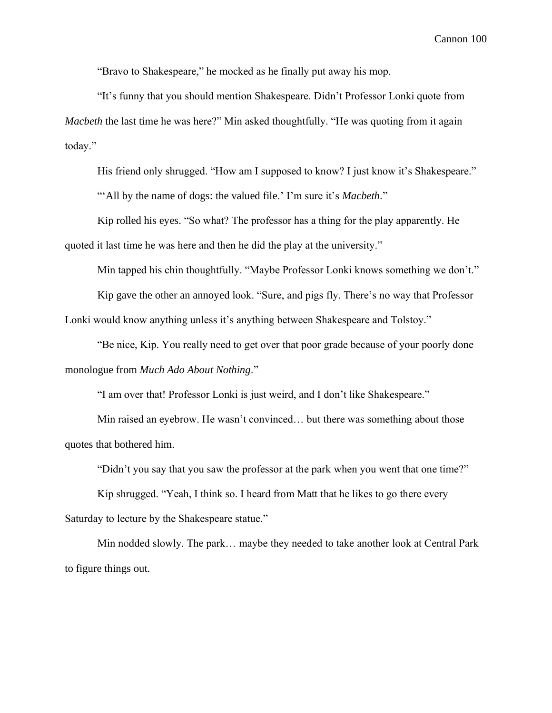"Bravo to Shakespeare," he mocked as he finally put away his mop.

"It's funny that you should mention Shakespeare. Didn't Professor Lonki quote from *Macbeth* the last time he was here?" Min asked thoughtfully. "He was quoting from it again today."

His friend only shrugged. "How am I supposed to know? I just know it's Shakespeare."

"'All by the name of dogs: the valued file.' I'm sure it's *Macbeth*."

Kip rolled his eyes. "So what? The professor has a thing for the play apparently. He quoted it last time he was here and then he did the play at the university."

Min tapped his chin thoughtfully. "Maybe Professor Lonki knows something we don't."

Kip gave the other an annoyed look. "Sure, and pigs fly. There's no way that Professor Lonki would know anything unless it's anything between Shakespeare and Tolstoy."

"Be nice, Kip. You really need to get over that poor grade because of your poorly done monologue from *Much Ado About Nothing*."

"I am over that! Professor Lonki is just weird, and I don't like Shakespeare."

Min raised an eyebrow. He wasn't convinced… but there was something about those quotes that bothered him.

"Didn't you say that you saw the professor at the park when you went that one time?"

Kip shrugged. "Yeah, I think so. I heard from Matt that he likes to go there every Saturday to lecture by the Shakespeare statue."

Min nodded slowly. The park… maybe they needed to take another look at Central Park to figure things out.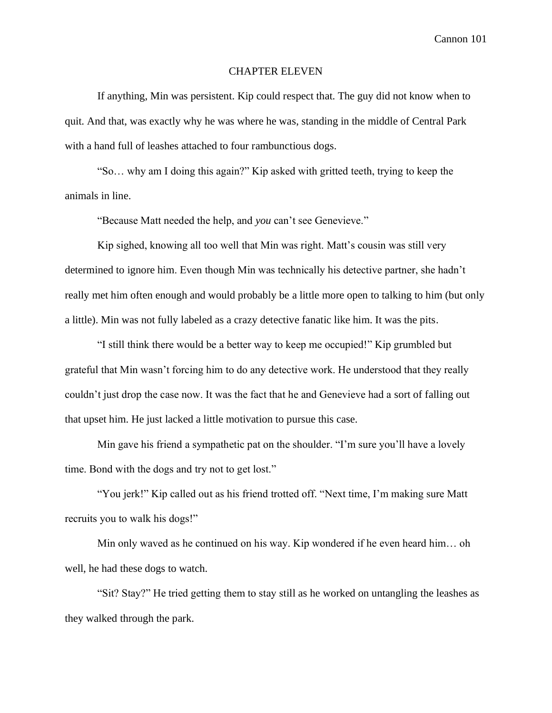## CHAPTER ELEVEN

If anything, Min was persistent. Kip could respect that. The guy did not know when to quit. And that, was exactly why he was where he was, standing in the middle of Central Park with a hand full of leashes attached to four rambunctious dogs.

"So… why am I doing this again?" Kip asked with gritted teeth, trying to keep the animals in line.

"Because Matt needed the help, and *you* can't see Genevieve."

Kip sighed, knowing all too well that Min was right. Matt's cousin was still very determined to ignore him. Even though Min was technically his detective partner, she hadn't really met him often enough and would probably be a little more open to talking to him (but only a little). Min was not fully labeled as a crazy detective fanatic like him. It was the pits.

"I still think there would be a better way to keep me occupied!" Kip grumbled but grateful that Min wasn't forcing him to do any detective work. He understood that they really couldn't just drop the case now. It was the fact that he and Genevieve had a sort of falling out that upset him. He just lacked a little motivation to pursue this case.

Min gave his friend a sympathetic pat on the shoulder. "I'm sure you'll have a lovely time. Bond with the dogs and try not to get lost."

"You jerk!" Kip called out as his friend trotted off. "Next time, I'm making sure Matt recruits you to walk his dogs!"

Min only waved as he continued on his way. Kip wondered if he even heard him… oh well, he had these dogs to watch.

"Sit? Stay?" He tried getting them to stay still as he worked on untangling the leashes as they walked through the park.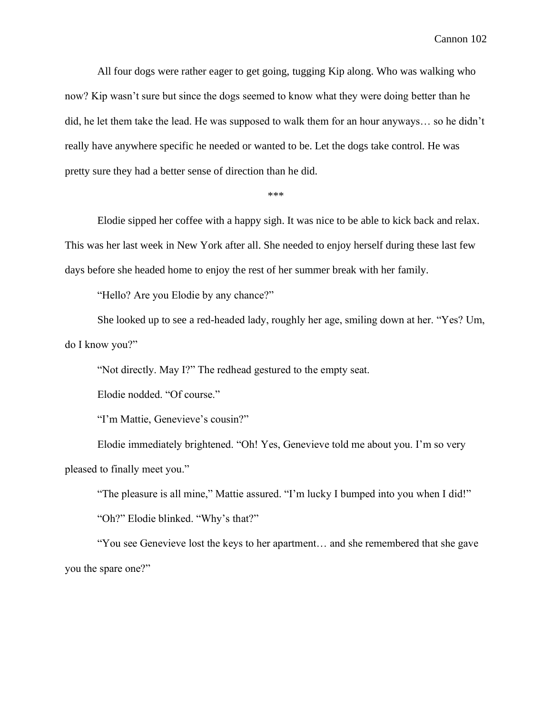All four dogs were rather eager to get going, tugging Kip along. Who was walking who now? Kip wasn't sure but since the dogs seemed to know what they were doing better than he did, he let them take the lead. He was supposed to walk them for an hour anyways… so he didn't really have anywhere specific he needed or wanted to be. Let the dogs take control. He was pretty sure they had a better sense of direction than he did.

\*\*\*

Elodie sipped her coffee with a happy sigh. It was nice to be able to kick back and relax. This was her last week in New York after all. She needed to enjoy herself during these last few days before she headed home to enjoy the rest of her summer break with her family.

"Hello? Are you Elodie by any chance?"

She looked up to see a red-headed lady, roughly her age, smiling down at her. "Yes? Um, do I know you?"

"Not directly. May I?" The redhead gestured to the empty seat.

Elodie nodded. "Of course."

"I'm Mattie, Genevieve's cousin?"

Elodie immediately brightened. "Oh! Yes, Genevieve told me about you. I'm so very pleased to finally meet you."

"The pleasure is all mine," Mattie assured. "I'm lucky I bumped into you when I did!" "Oh?" Elodie blinked. "Why's that?"

"You see Genevieve lost the keys to her apartment… and she remembered that she gave you the spare one?"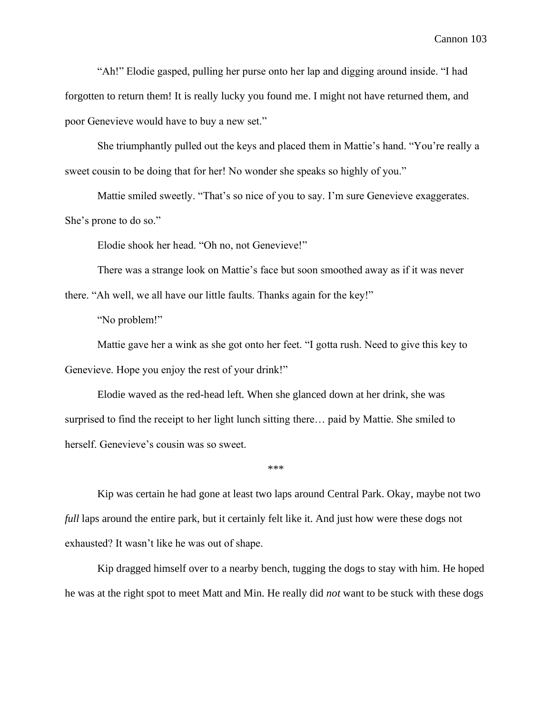"Ah!" Elodie gasped, pulling her purse onto her lap and digging around inside. "I had forgotten to return them! It is really lucky you found me. I might not have returned them, and poor Genevieve would have to buy a new set."

She triumphantly pulled out the keys and placed them in Mattie's hand. "You're really a sweet cousin to be doing that for her! No wonder she speaks so highly of you."

Mattie smiled sweetly. "That's so nice of you to say. I'm sure Genevieve exaggerates. She's prone to do so."

Elodie shook her head. "Oh no, not Genevieve!"

There was a strange look on Mattie's face but soon smoothed away as if it was never

there. "Ah well, we all have our little faults. Thanks again for the key!"

"No problem!"

Mattie gave her a wink as she got onto her feet. "I gotta rush. Need to give this key to Genevieve. Hope you enjoy the rest of your drink!"

Elodie waved as the red-head left. When she glanced down at her drink, she was surprised to find the receipt to her light lunch sitting there… paid by Mattie. She smiled to herself. Genevieve's cousin was so sweet.

\*\*\*

Kip was certain he had gone at least two laps around Central Park. Okay, maybe not two *full* laps around the entire park, but it certainly felt like it. And just how were these dogs not exhausted? It wasn't like he was out of shape.

Kip dragged himself over to a nearby bench, tugging the dogs to stay with him. He hoped he was at the right spot to meet Matt and Min. He really did *not* want to be stuck with these dogs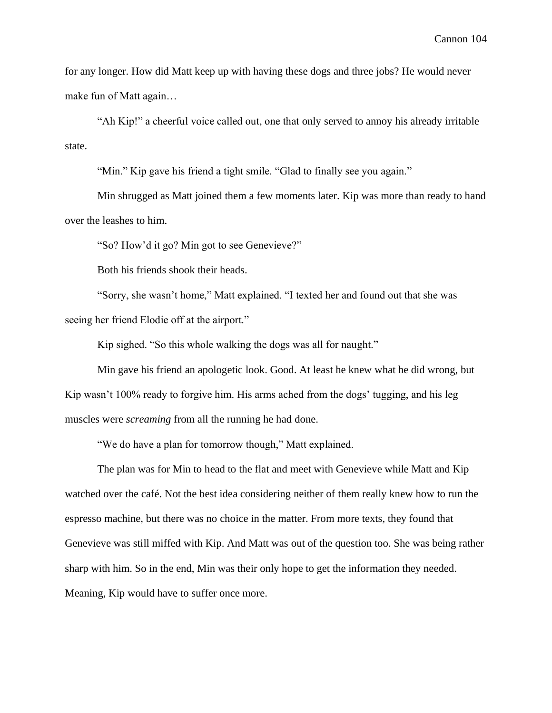for any longer. How did Matt keep up with having these dogs and three jobs? He would never make fun of Matt again…

"Ah Kip!" a cheerful voice called out, one that only served to annoy his already irritable state.

"Min." Kip gave his friend a tight smile. "Glad to finally see you again."

Min shrugged as Matt joined them a few moments later. Kip was more than ready to hand over the leashes to him.

"So? How'd it go? Min got to see Genevieve?"

Both his friends shook their heads.

"Sorry, she wasn't home," Matt explained. "I texted her and found out that she was seeing her friend Elodie off at the airport."

Kip sighed. "So this whole walking the dogs was all for naught."

Min gave his friend an apologetic look. Good. At least he knew what he did wrong, but Kip wasn't 100% ready to forgive him. His arms ached from the dogs' tugging, and his leg muscles were *screaming* from all the running he had done.

"We do have a plan for tomorrow though," Matt explained.

The plan was for Min to head to the flat and meet with Genevieve while Matt and Kip watched over the café. Not the best idea considering neither of them really knew how to run the espresso machine, but there was no choice in the matter. From more texts, they found that Genevieve was still miffed with Kip. And Matt was out of the question too. She was being rather sharp with him. So in the end, Min was their only hope to get the information they needed. Meaning, Kip would have to suffer once more.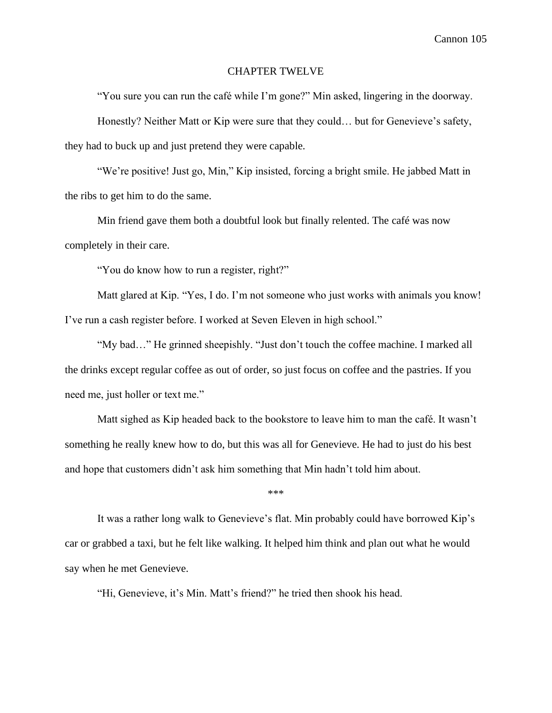### CHAPTER TWELVE

"You sure you can run the café while I'm gone?" Min asked, lingering in the doorway.

Honestly? Neither Matt or Kip were sure that they could… but for Genevieve's safety, they had to buck up and just pretend they were capable.

"We're positive! Just go, Min," Kip insisted, forcing a bright smile. He jabbed Matt in the ribs to get him to do the same.

Min friend gave them both a doubtful look but finally relented. The café was now completely in their care.

"You do know how to run a register, right?"

Matt glared at Kip. "Yes, I do. I'm not someone who just works with animals you know! I've run a cash register before. I worked at Seven Eleven in high school."

"My bad…" He grinned sheepishly. "Just don't touch the coffee machine. I marked all the drinks except regular coffee as out of order, so just focus on coffee and the pastries. If you need me, just holler or text me."

Matt sighed as Kip headed back to the bookstore to leave him to man the café. It wasn't something he really knew how to do, but this was all for Genevieve. He had to just do his best and hope that customers didn't ask him something that Min hadn't told him about.

\*\*\*

It was a rather long walk to Genevieve's flat. Min probably could have borrowed Kip's car or grabbed a taxi, but he felt like walking. It helped him think and plan out what he would say when he met Genevieve.

"Hi, Genevieve, it's Min. Matt's friend?" he tried then shook his head.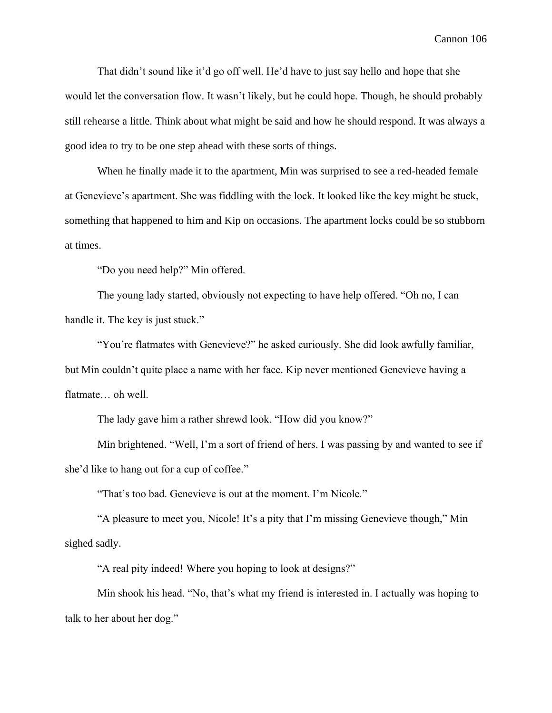That didn't sound like it'd go off well. He'd have to just say hello and hope that she would let the conversation flow. It wasn't likely, but he could hope. Though, he should probably still rehearse a little. Think about what might be said and how he should respond. It was always a good idea to try to be one step ahead with these sorts of things.

When he finally made it to the apartment, Min was surprised to see a red-headed female at Genevieve's apartment. She was fiddling with the lock. It looked like the key might be stuck, something that happened to him and Kip on occasions. The apartment locks could be so stubborn at times.

"Do you need help?" Min offered.

The young lady started, obviously not expecting to have help offered. "Oh no, I can handle it. The key is just stuck."

"You're flatmates with Genevieve?" he asked curiously. She did look awfully familiar, but Min couldn't quite place a name with her face. Kip never mentioned Genevieve having a flatmate… oh well.

The lady gave him a rather shrewd look. "How did you know?"

Min brightened. "Well, I'm a sort of friend of hers. I was passing by and wanted to see if she'd like to hang out for a cup of coffee."

"That's too bad. Genevieve is out at the moment. I'm Nicole."

"A pleasure to meet you, Nicole! It's a pity that I'm missing Genevieve though," Min sighed sadly.

"A real pity indeed! Where you hoping to look at designs?"

Min shook his head. "No, that's what my friend is interested in. I actually was hoping to talk to her about her dog."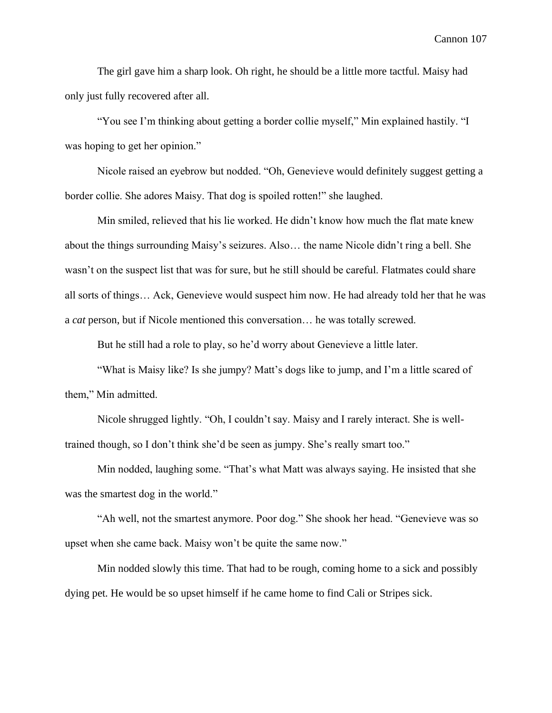The girl gave him a sharp look. Oh right, he should be a little more tactful. Maisy had only just fully recovered after all.

"You see I'm thinking about getting a border collie myself," Min explained hastily. "I was hoping to get her opinion."

Nicole raised an eyebrow but nodded. "Oh, Genevieve would definitely suggest getting a border collie. She adores Maisy. That dog is spoiled rotten!" she laughed.

Min smiled, relieved that his lie worked. He didn't know how much the flat mate knew about the things surrounding Maisy's seizures. Also… the name Nicole didn't ring a bell. She wasn't on the suspect list that was for sure, but he still should be careful. Flatmates could share all sorts of things… Ack, Genevieve would suspect him now. He had already told her that he was a *cat* person, but if Nicole mentioned this conversation… he was totally screwed.

But he still had a role to play, so he'd worry about Genevieve a little later.

"What is Maisy like? Is she jumpy? Matt's dogs like to jump, and I'm a little scared of them," Min admitted.

Nicole shrugged lightly. "Oh, I couldn't say. Maisy and I rarely interact. She is welltrained though, so I don't think she'd be seen as jumpy. She's really smart too."

Min nodded, laughing some. "That's what Matt was always saying. He insisted that she was the smartest dog in the world."

"Ah well, not the smartest anymore. Poor dog." She shook her head. "Genevieve was so upset when she came back. Maisy won't be quite the same now."

Min nodded slowly this time. That had to be rough, coming home to a sick and possibly dying pet. He would be so upset himself if he came home to find Cali or Stripes sick.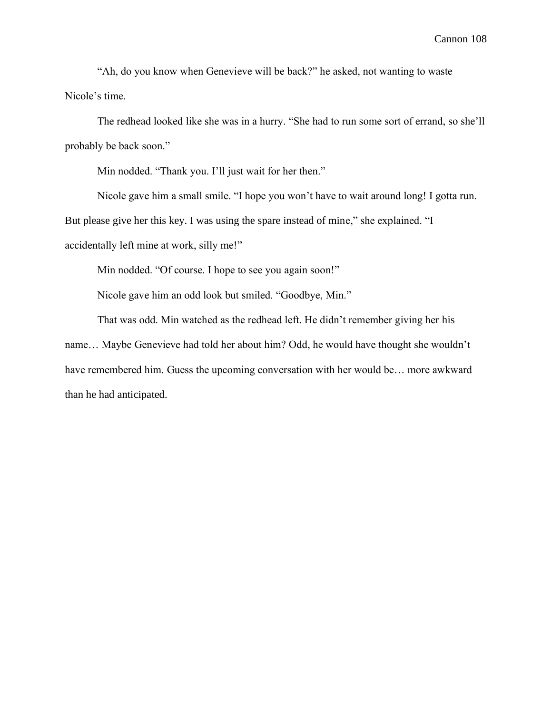"Ah, do you know when Genevieve will be back?" he asked, not wanting to waste Nicole's time.

The redhead looked like she was in a hurry. "She had to run some sort of errand, so she'll probably be back soon."

Min nodded. "Thank you. I'll just wait for her then."

Nicole gave him a small smile. "I hope you won't have to wait around long! I gotta run.

But please give her this key. I was using the spare instead of mine," she explained. "I

accidentally left mine at work, silly me!"

Min nodded. "Of course. I hope to see you again soon!"

Nicole gave him an odd look but smiled. "Goodbye, Min."

That was odd. Min watched as the redhead left. He didn't remember giving her his name… Maybe Genevieve had told her about him? Odd, he would have thought she wouldn't have remembered him. Guess the upcoming conversation with her would be... more awkward than he had anticipated.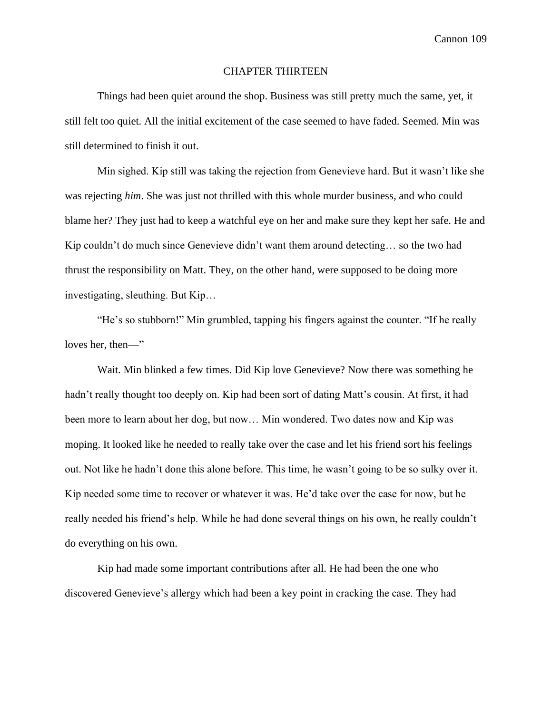# CHAPTER THIRTEEN

Things had been quiet around the shop. Business was still pretty much the same, yet, it still felt too quiet. All the initial excitement of the case seemed to have faded. Seemed. Min was still determined to finish it out.

Min sighed. Kip still was taking the rejection from Genevieve hard. But it wasn't like she was rejecting *him*. She was just not thrilled with this whole murder business, and who could blame her? They just had to keep a watchful eye on her and make sure they kept her safe. He and Kip couldn't do much since Genevieve didn't want them around detecting… so the two had thrust the responsibility on Matt. They, on the other hand, were supposed to be doing more investigating, sleuthing. But Kip…

"He's so stubborn!" Min grumbled, tapping his fingers against the counter. "If he really loves her, then—"

Wait. Min blinked a few times. Did Kip love Genevieve? Now there was something he hadn't really thought too deeply on. Kip had been sort of dating Matt's cousin. At first, it had been more to learn about her dog, but now… Min wondered. Two dates now and Kip was moping. It looked like he needed to really take over the case and let his friend sort his feelings out. Not like he hadn't done this alone before. This time, he wasn't going to be so sulky over it. Kip needed some time to recover or whatever it was. He'd take over the case for now, but he really needed his friend's help. While he had done several things on his own, he really couldn't do everything on his own.

Kip had made some important contributions after all. He had been the one who discovered Genevieve's allergy which had been a key point in cracking the case. They had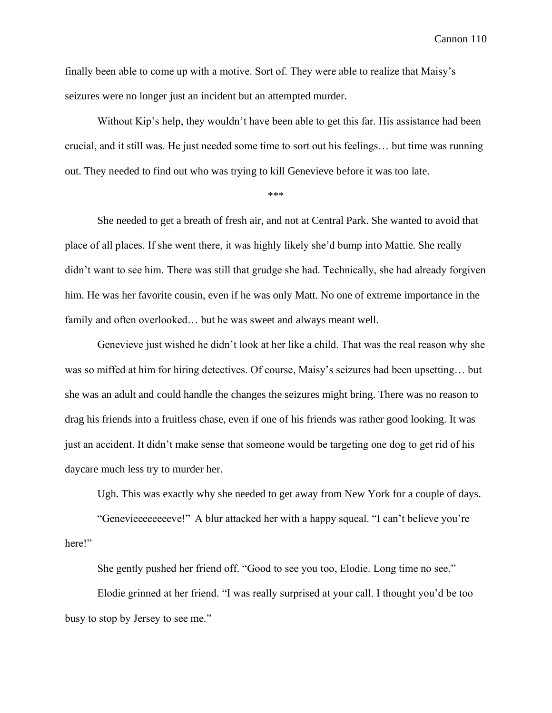finally been able to come up with a motive. Sort of. They were able to realize that Maisy's seizures were no longer just an incident but an attempted murder.

Without Kip's help, they wouldn't have been able to get this far. His assistance had been crucial, and it still was. He just needed some time to sort out his feelings… but time was running out. They needed to find out who was trying to kill Genevieve before it was too late.

\*\*\*

She needed to get a breath of fresh air, and not at Central Park. She wanted to avoid that place of all places. If she went there, it was highly likely she'd bump into Mattie. She really didn't want to see him. There was still that grudge she had. Technically, she had already forgiven him. He was her favorite cousin, even if he was only Matt. No one of extreme importance in the family and often overlooked… but he was sweet and always meant well.

Genevieve just wished he didn't look at her like a child. That was the real reason why she was so miffed at him for hiring detectives. Of course, Maisy's seizures had been upsetting… but she was an adult and could handle the changes the seizures might bring. There was no reason to drag his friends into a fruitless chase, even if one of his friends was rather good looking. It was just an accident. It didn't make sense that someone would be targeting one dog to get rid of his daycare much less try to murder her.

Ugh. This was exactly why she needed to get away from New York for a couple of days.

"Genevieeeeeeeeve!" A blur attacked her with a happy squeal. "I can't believe you're here!"

She gently pushed her friend off. "Good to see you too, Elodie. Long time no see."

Elodie grinned at her friend. "I was really surprised at your call. I thought you'd be too busy to stop by Jersey to see me."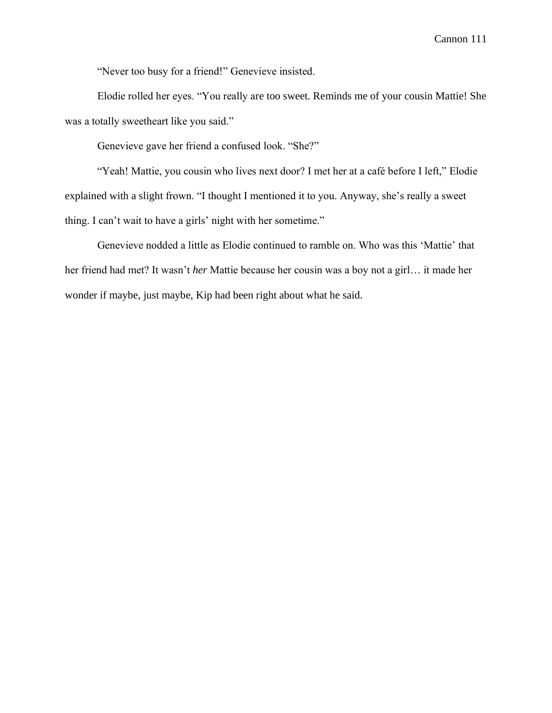"Never too busy for a friend!" Genevieve insisted.

Elodie rolled her eyes. "You really are too sweet. Reminds me of your cousin Mattie! She was a totally sweetheart like you said."

Genevieve gave her friend a confused look. "She?"

"Yeah! Mattie, you cousin who lives next door? I met her at a café before I left," Elodie explained with a slight frown. "I thought I mentioned it to you. Anyway, she's really a sweet thing. I can't wait to have a girls' night with her sometime."

Genevieve nodded a little as Elodie continued to ramble on. Who was this 'Mattie' that her friend had met? It wasn't *her* Mattie because her cousin was a boy not a girl… it made her wonder if maybe, just maybe, Kip had been right about what he said.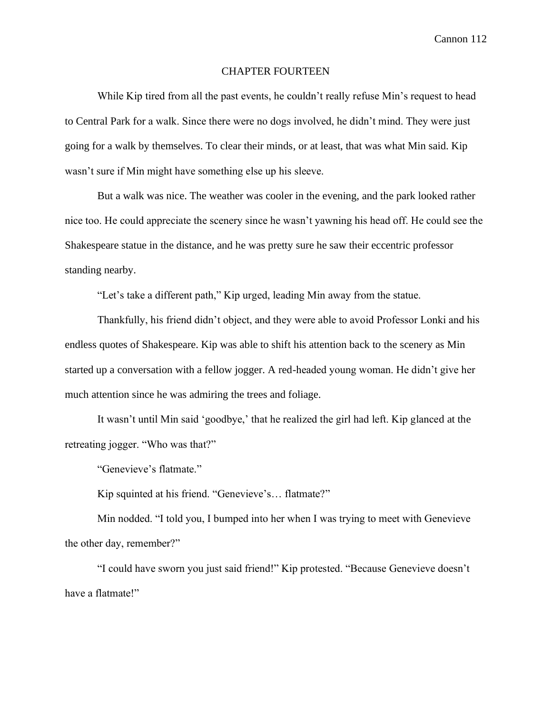#### CHAPTER FOURTEEN

While Kip tired from all the past events, he couldn't really refuse Min's request to head to Central Park for a walk. Since there were no dogs involved, he didn't mind. They were just going for a walk by themselves. To clear their minds, or at least, that was what Min said. Kip wasn't sure if Min might have something else up his sleeve.

But a walk was nice. The weather was cooler in the evening, and the park looked rather nice too. He could appreciate the scenery since he wasn't yawning his head off. He could see the Shakespeare statue in the distance, and he was pretty sure he saw their eccentric professor standing nearby.

"Let's take a different path," Kip urged, leading Min away from the statue.

Thankfully, his friend didn't object, and they were able to avoid Professor Lonki and his endless quotes of Shakespeare. Kip was able to shift his attention back to the scenery as Min started up a conversation with a fellow jogger. A red-headed young woman. He didn't give her much attention since he was admiring the trees and foliage.

It wasn't until Min said 'goodbye,' that he realized the girl had left. Kip glanced at the retreating jogger. "Who was that?"

"Genevieve's flatmate."

Kip squinted at his friend. "Genevieve's… flatmate?"

Min nodded. "I told you, I bumped into her when I was trying to meet with Genevieve the other day, remember?"

"I could have sworn you just said friend!" Kip protested. "Because Genevieve doesn't have a flatmate!"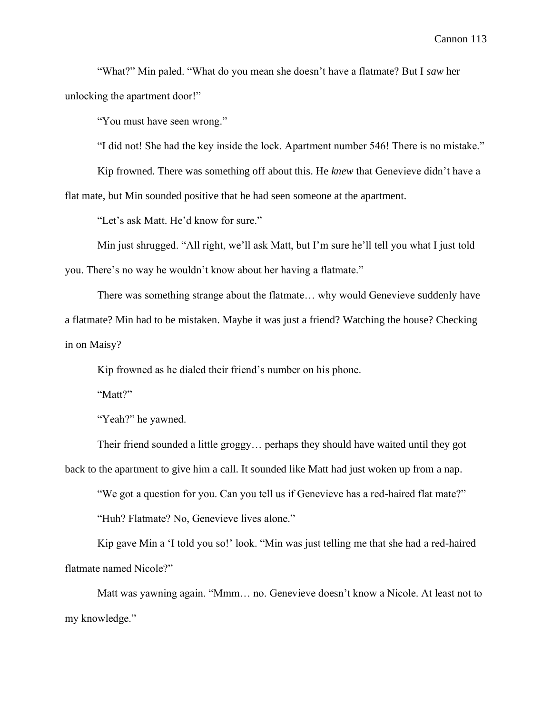"What?" Min paled. "What do you mean she doesn't have a flatmate? But I *saw* her unlocking the apartment door!"

"You must have seen wrong."

"I did not! She had the key inside the lock. Apartment number 546! There is no mistake."

Kip frowned. There was something off about this. He *knew* that Genevieve didn't have a

flat mate, but Min sounded positive that he had seen someone at the apartment.

"Let's ask Matt. He'd know for sure."

Min just shrugged. "All right, we'll ask Matt, but I'm sure he'll tell you what I just told you. There's no way he wouldn't know about her having a flatmate."

There was something strange about the flatmate… why would Genevieve suddenly have a flatmate? Min had to be mistaken. Maybe it was just a friend? Watching the house? Checking in on Maisy?

Kip frowned as he dialed their friend's number on his phone.

"Matt?"

"Yeah?" he yawned.

Their friend sounded a little groggy… perhaps they should have waited until they got back to the apartment to give him a call. It sounded like Matt had just woken up from a nap.

"We got a question for you. Can you tell us if Genevieve has a red-haired flat mate?" "Huh? Flatmate? No, Genevieve lives alone."

Kip gave Min a 'I told you so!' look. "Min was just telling me that she had a red-haired flatmate named Nicole?"

Matt was yawning again. "Mmm… no. Genevieve doesn't know a Nicole. At least not to my knowledge."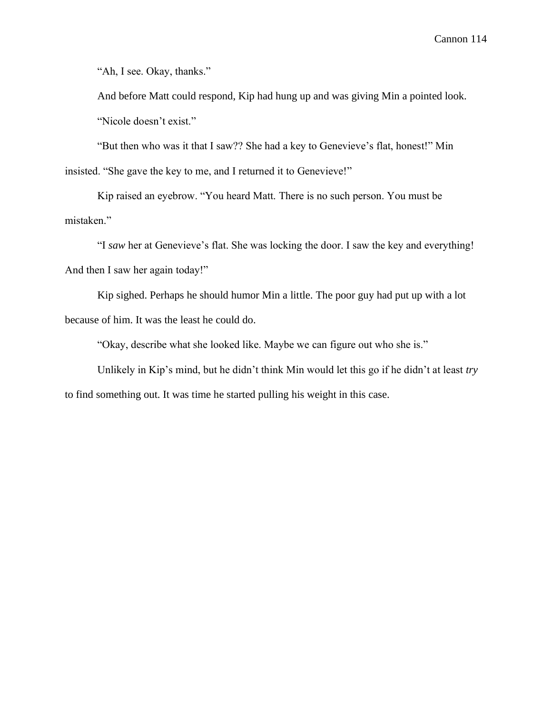"Ah, I see. Okay, thanks."

And before Matt could respond, Kip had hung up and was giving Min a pointed look. "Nicole doesn't exist."

"But then who was it that I saw?? She had a key to Genevieve's flat, honest!" Min insisted. "She gave the key to me, and I returned it to Genevieve!"

Kip raised an eyebrow. "You heard Matt. There is no such person. You must be mistaken."

"I *saw* her at Genevieve's flat. She was locking the door. I saw the key and everything! And then I saw her again today!"

Kip sighed. Perhaps he should humor Min a little. The poor guy had put up with a lot because of him. It was the least he could do.

"Okay, describe what she looked like. Maybe we can figure out who she is."

Unlikely in Kip's mind, but he didn't think Min would let this go if he didn't at least *try* to find something out. It was time he started pulling his weight in this case.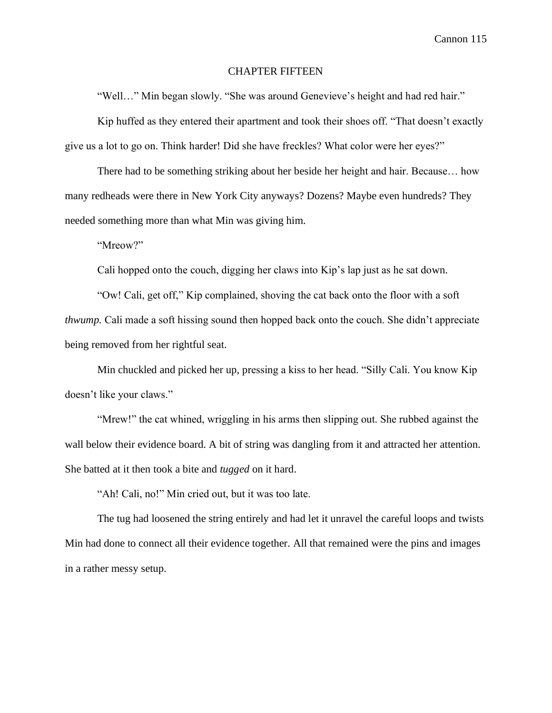#### CHAPTER FIFTEEN

"Well…" Min began slowly. "She was around Genevieve's height and had red hair."

Kip huffed as they entered their apartment and took their shoes off. "That doesn't exactly give us a lot to go on. Think harder! Did she have freckles? What color were her eyes?"

There had to be something striking about her beside her height and hair. Because… how many redheads were there in New York City anyways? Dozens? Maybe even hundreds? They needed something more than what Min was giving him.

"Mreow?"

Cali hopped onto the couch, digging her claws into Kip's lap just as he sat down.

"Ow! Cali, get off," Kip complained, shoving the cat back onto the floor with a soft *thwump.* Cali made a soft hissing sound then hopped back onto the couch. She didn't appreciate being removed from her rightful seat.

Min chuckled and picked her up, pressing a kiss to her head. "Silly Cali. You know Kip doesn't like your claws."

"Mrew!" the cat whined, wriggling in his arms then slipping out. She rubbed against the wall below their evidence board. A bit of string was dangling from it and attracted her attention. She batted at it then took a bite and *tugged* on it hard.

"Ah! Cali, no!" Min cried out, but it was too late.

The tug had loosened the string entirely and had let it unravel the careful loops and twists Min had done to connect all their evidence together. All that remained were the pins and images in a rather messy setup.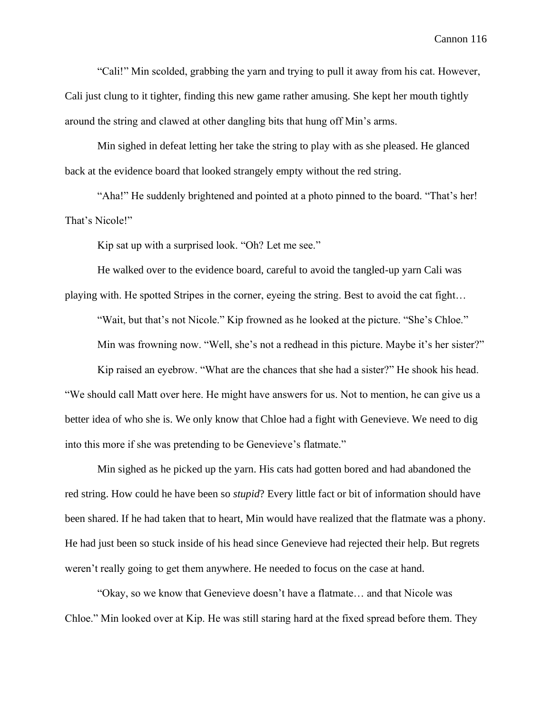"Cali!" Min scolded, grabbing the yarn and trying to pull it away from his cat. However, Cali just clung to it tighter, finding this new game rather amusing. She kept her mouth tightly around the string and clawed at other dangling bits that hung off Min's arms.

Min sighed in defeat letting her take the string to play with as she pleased. He glanced back at the evidence board that looked strangely empty without the red string.

"Aha!" He suddenly brightened and pointed at a photo pinned to the board. "That's her! That's Nicole!"

Kip sat up with a surprised look. "Oh? Let me see."

He walked over to the evidence board, careful to avoid the tangled-up yarn Cali was playing with. He spotted Stripes in the corner, eyeing the string. Best to avoid the cat fight…

"Wait, but that's not Nicole." Kip frowned as he looked at the picture. "She's Chloe." Min was frowning now. "Well, she's not a redhead in this picture. Maybe it's her sister?"

Kip raised an eyebrow. "What are the chances that she had a sister?" He shook his head. "We should call Matt over here. He might have answers for us. Not to mention, he can give us a better idea of who she is. We only know that Chloe had a fight with Genevieve. We need to dig into this more if she was pretending to be Genevieve's flatmate."

Min sighed as he picked up the yarn. His cats had gotten bored and had abandoned the red string. How could he have been so *stupid*? Every little fact or bit of information should have been shared. If he had taken that to heart, Min would have realized that the flatmate was a phony. He had just been so stuck inside of his head since Genevieve had rejected their help. But regrets weren't really going to get them anywhere. He needed to focus on the case at hand.

"Okay, so we know that Genevieve doesn't have a flatmate… and that Nicole was Chloe." Min looked over at Kip. He was still staring hard at the fixed spread before them. They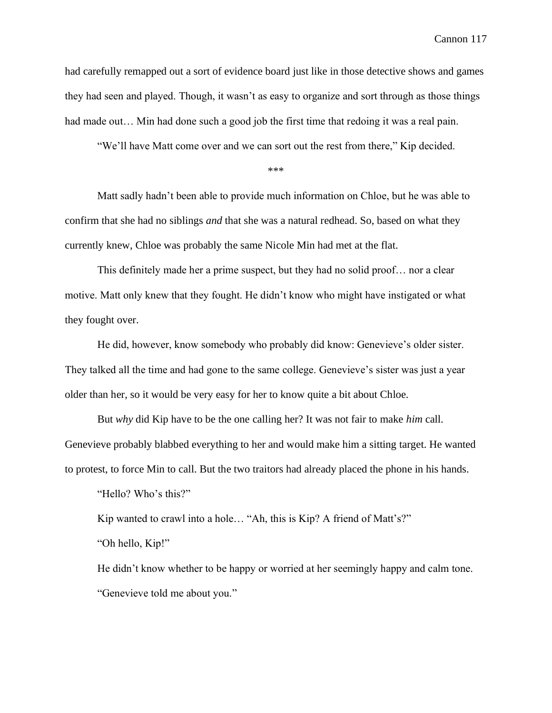had carefully remapped out a sort of evidence board just like in those detective shows and games they had seen and played. Though, it wasn't as easy to organize and sort through as those things had made out... Min had done such a good job the first time that redoing it was a real pain.

"We'll have Matt come over and we can sort out the rest from there," Kip decided.

\*\*\*

Matt sadly hadn't been able to provide much information on Chloe, but he was able to confirm that she had no siblings *and* that she was a natural redhead. So, based on what they currently knew, Chloe was probably the same Nicole Min had met at the flat.

This definitely made her a prime suspect, but they had no solid proof… nor a clear motive. Matt only knew that they fought. He didn't know who might have instigated or what they fought over.

He did, however, know somebody who probably did know: Genevieve's older sister. They talked all the time and had gone to the same college. Genevieve's sister was just a year older than her, so it would be very easy for her to know quite a bit about Chloe.

But *why* did Kip have to be the one calling her? It was not fair to make *him* call. Genevieve probably blabbed everything to her and would make him a sitting target. He wanted to protest, to force Min to call. But the two traitors had already placed the phone in his hands.

"Hello? Who's this?"

Kip wanted to crawl into a hole… "Ah, this is Kip? A friend of Matt's?"

"Oh hello, Kip!"

He didn't know whether to be happy or worried at her seemingly happy and calm tone. "Genevieve told me about you."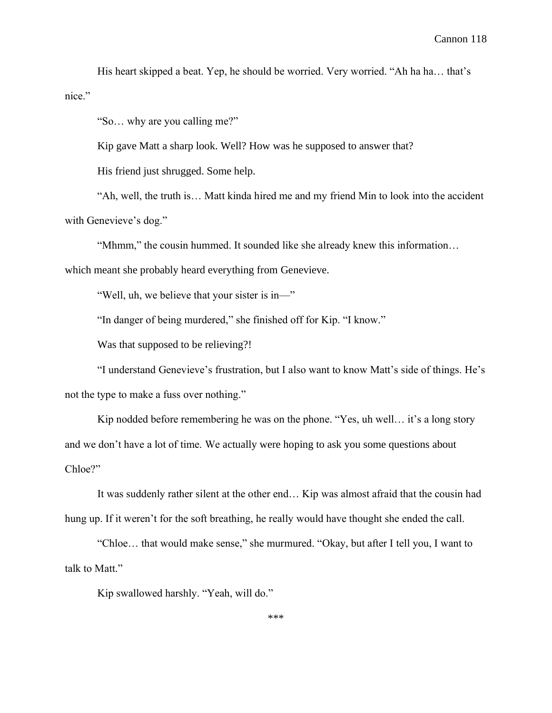His heart skipped a beat. Yep, he should be worried. Very worried. "Ah ha ha… that's nice."

"So… why are you calling me?"

Kip gave Matt a sharp look. Well? How was he supposed to answer that?

His friend just shrugged. Some help.

"Ah, well, the truth is… Matt kinda hired me and my friend Min to look into the accident with Genevieve's dog."

"Mhmm," the cousin hummed. It sounded like she already knew this information…

which meant she probably heard everything from Genevieve.

"Well, uh, we believe that your sister is in—"

"In danger of being murdered," she finished off for Kip. "I know."

Was that supposed to be relieving?!

"I understand Genevieve's frustration, but I also want to know Matt's side of things. He's not the type to make a fuss over nothing."

Kip nodded before remembering he was on the phone. "Yes, uh well… it's a long story and we don't have a lot of time. We actually were hoping to ask you some questions about Chloe?"

It was suddenly rather silent at the other end… Kip was almost afraid that the cousin had hung up. If it weren't for the soft breathing, he really would have thought she ended the call.

"Chloe… that would make sense," she murmured. "Okay, but after I tell you, I want to talk to Matt."

Kip swallowed harshly. "Yeah, will do."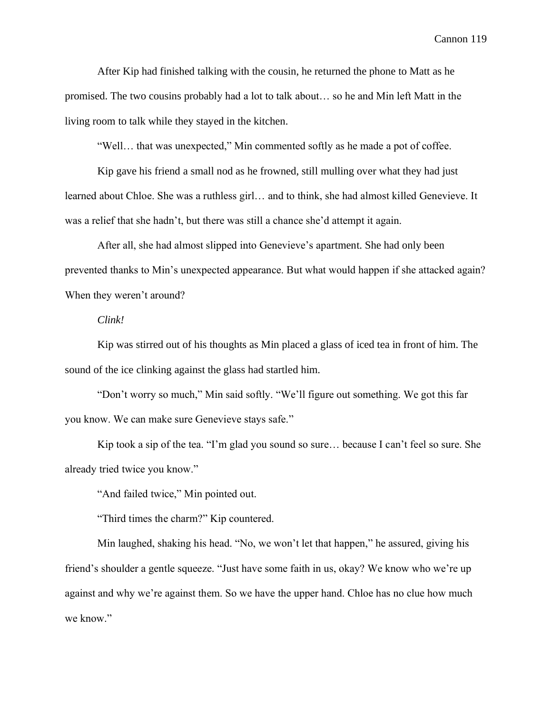After Kip had finished talking with the cousin, he returned the phone to Matt as he promised. The two cousins probably had a lot to talk about… so he and Min left Matt in the living room to talk while they stayed in the kitchen.

"Well… that was unexpected," Min commented softly as he made a pot of coffee.

Kip gave his friend a small nod as he frowned, still mulling over what they had just learned about Chloe. She was a ruthless girl… and to think, she had almost killed Genevieve. It was a relief that she hadn't, but there was still a chance she'd attempt it again.

After all, she had almost slipped into Genevieve's apartment. She had only been prevented thanks to Min's unexpected appearance. But what would happen if she attacked again? When they weren't around?

# *Clink!*

Kip was stirred out of his thoughts as Min placed a glass of iced tea in front of him. The sound of the ice clinking against the glass had startled him.

"Don't worry so much," Min said softly. "We'll figure out something. We got this far you know. We can make sure Genevieve stays safe."

Kip took a sip of the tea. "I'm glad you sound so sure… because I can't feel so sure. She already tried twice you know."

"And failed twice," Min pointed out.

"Third times the charm?" Kip countered.

Min laughed, shaking his head. "No, we won't let that happen," he assured, giving his friend's shoulder a gentle squeeze. "Just have some faith in us, okay? We know who we're up against and why we're against them. So we have the upper hand. Chloe has no clue how much we know."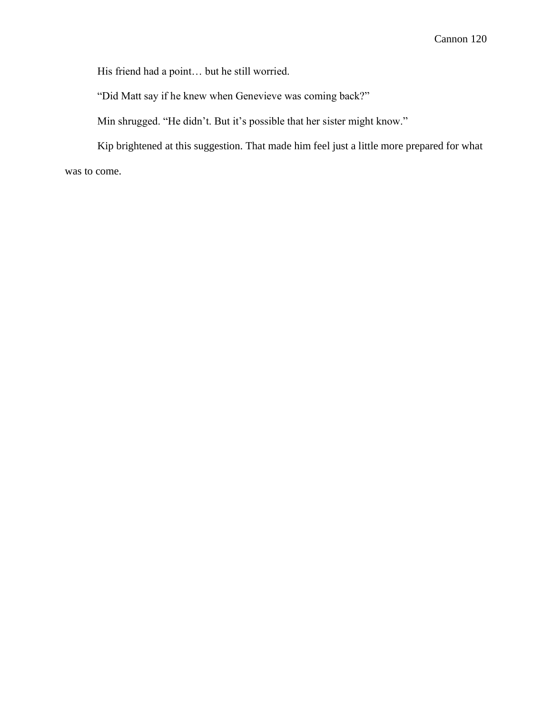His friend had a point… but he still worried.

"Did Matt say if he knew when Genevieve was coming back?"

Min shrugged. "He didn't. But it's possible that her sister might know."

Kip brightened at this suggestion. That made him feel just a little more prepared for what

was to come.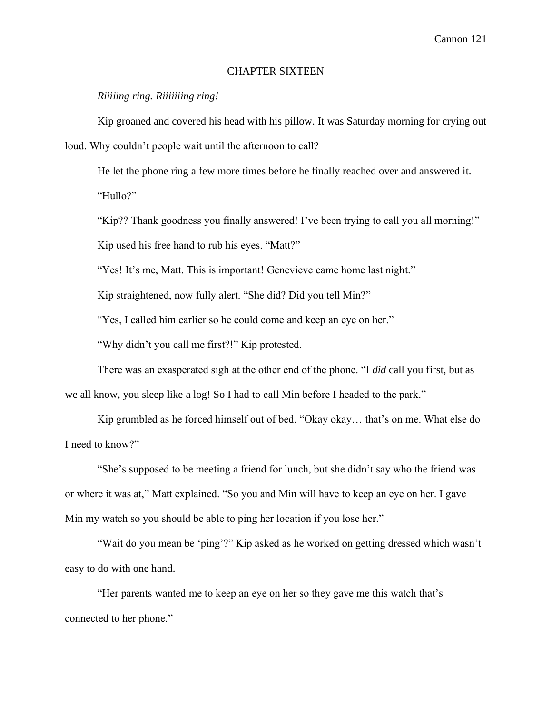# CHAPTER SIXTEEN

*Riiiiing ring. Riiiiiiing ring!*

Kip groaned and covered his head with his pillow. It was Saturday morning for crying out

loud. Why couldn't people wait until the afternoon to call?

He let the phone ring a few more times before he finally reached over and answered it. "Hullo?"

"Kip?? Thank goodness you finally answered! I've been trying to call you all morning!"

Kip used his free hand to rub his eyes. "Matt?"

"Yes! It's me, Matt. This is important! Genevieve came home last night."

Kip straightened, now fully alert. "She did? Did you tell Min?"

"Yes, I called him earlier so he could come and keep an eye on her."

"Why didn't you call me first?!" Kip protested.

There was an exasperated sigh at the other end of the phone. "I *did* call you first, but as we all know, you sleep like a log! So I had to call Min before I headed to the park."

Kip grumbled as he forced himself out of bed. "Okay okay… that's on me. What else do I need to know?"

"She's supposed to be meeting a friend for lunch, but she didn't say who the friend was or where it was at," Matt explained. "So you and Min will have to keep an eye on her. I gave Min my watch so you should be able to ping her location if you lose her."

"Wait do you mean be 'ping'?" Kip asked as he worked on getting dressed which wasn't easy to do with one hand.

"Her parents wanted me to keep an eye on her so they gave me this watch that's connected to her phone."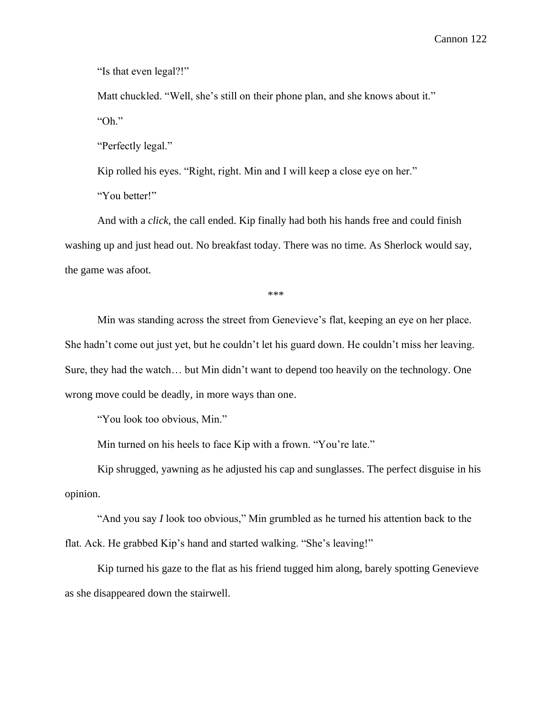"Is that even legal?!"

Matt chuckled. "Well, she's still on their phone plan, and she knows about it." "Oh."

"Perfectly legal."

Kip rolled his eyes. "Right, right. Min and I will keep a close eye on her."

"You better!"

And with a *click,* the call ended. Kip finally had both his hands free and could finish washing up and just head out. No breakfast today. There was no time. As Sherlock would say, the game was afoot.

\*\*\*

Min was standing across the street from Genevieve's flat, keeping an eye on her place. She hadn't come out just yet, but he couldn't let his guard down. He couldn't miss her leaving. Sure, they had the watch… but Min didn't want to depend too heavily on the technology. One wrong move could be deadly, in more ways than one.

"You look too obvious, Min."

Min turned on his heels to face Kip with a frown. "You're late."

Kip shrugged, yawning as he adjusted his cap and sunglasses. The perfect disguise in his opinion.

"And you say *I* look too obvious," Min grumbled as he turned his attention back to the flat. Ack. He grabbed Kip's hand and started walking. "She's leaving!"

Kip turned his gaze to the flat as his friend tugged him along, barely spotting Genevieve as she disappeared down the stairwell.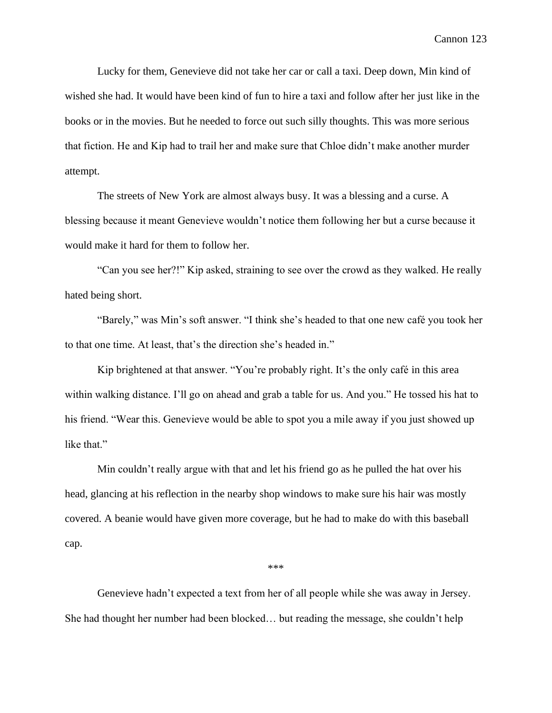Lucky for them, Genevieve did not take her car or call a taxi. Deep down, Min kind of wished she had. It would have been kind of fun to hire a taxi and follow after her just like in the books or in the movies. But he needed to force out such silly thoughts. This was more serious that fiction. He and Kip had to trail her and make sure that Chloe didn't make another murder attempt.

The streets of New York are almost always busy. It was a blessing and a curse. A blessing because it meant Genevieve wouldn't notice them following her but a curse because it would make it hard for them to follow her.

"Can you see her?!" Kip asked, straining to see over the crowd as they walked. He really hated being short.

"Barely," was Min's soft answer. "I think she's headed to that one new café you took her to that one time. At least, that's the direction she's headed in."

Kip brightened at that answer. "You're probably right. It's the only café in this area within walking distance. I'll go on ahead and grab a table for us. And you." He tossed his hat to his friend. "Wear this. Genevieve would be able to spot you a mile away if you just showed up like that."

Min couldn't really argue with that and let his friend go as he pulled the hat over his head, glancing at his reflection in the nearby shop windows to make sure his hair was mostly covered. A beanie would have given more coverage, but he had to make do with this baseball cap.

\*\*\*

Genevieve hadn't expected a text from her of all people while she was away in Jersey. She had thought her number had been blocked… but reading the message, she couldn't help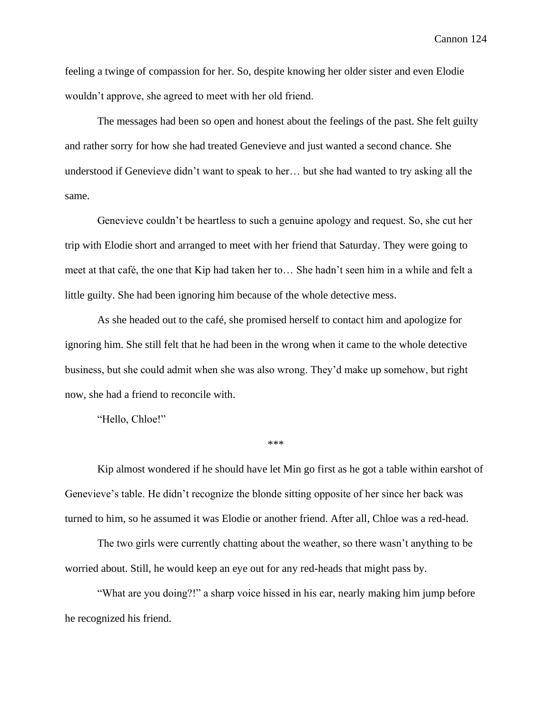feeling a twinge of compassion for her. So, despite knowing her older sister and even Elodie wouldn't approve, she agreed to meet with her old friend.

The messages had been so open and honest about the feelings of the past. She felt guilty and rather sorry for how she had treated Genevieve and just wanted a second chance. She understood if Genevieve didn't want to speak to her… but she had wanted to try asking all the same.

Genevieve couldn't be heartless to such a genuine apology and request. So, she cut her trip with Elodie short and arranged to meet with her friend that Saturday. They were going to meet at that café, the one that Kip had taken her to… She hadn't seen him in a while and felt a little guilty. She had been ignoring him because of the whole detective mess.

As she headed out to the café, she promised herself to contact him and apologize for ignoring him. She still felt that he had been in the wrong when it came to the whole detective business, but she could admit when she was also wrong. They'd make up somehow, but right now, she had a friend to reconcile with.

"Hello, Chloe!"

\*\*\*

Kip almost wondered if he should have let Min go first as he got a table within earshot of Genevieve's table. He didn't recognize the blonde sitting opposite of her since her back was turned to him, so he assumed it was Elodie or another friend. After all, Chloe was a red-head.

The two girls were currently chatting about the weather, so there wasn't anything to be worried about. Still, he would keep an eye out for any red-heads that might pass by.

"What are you doing?!" a sharp voice hissed in his ear, nearly making him jump before he recognized his friend.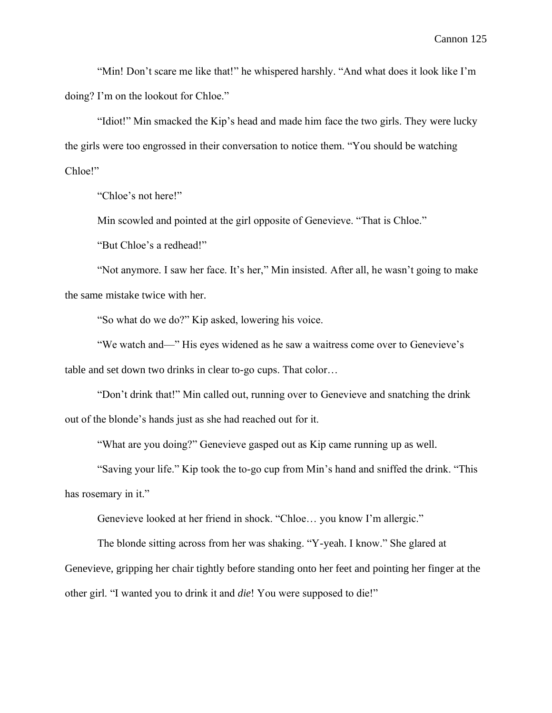"Min! Don't scare me like that!" he whispered harshly. "And what does it look like I'm doing? I'm on the lookout for Chloe."

"Idiot!" Min smacked the Kip's head and made him face the two girls. They were lucky the girls were too engrossed in their conversation to notice them. "You should be watching Chloe!"

"Chloe's not here!"

Min scowled and pointed at the girl opposite of Genevieve. "That is Chloe."

"But Chloe's a redhead!"

"Not anymore. I saw her face. It's her," Min insisted. After all, he wasn't going to make the same mistake twice with her.

"So what do we do?" Kip asked, lowering his voice.

"We watch and—" His eyes widened as he saw a waitress come over to Genevieve's table and set down two drinks in clear to-go cups. That color…

"Don't drink that!" Min called out, running over to Genevieve and snatching the drink out of the blonde's hands just as she had reached out for it.

"What are you doing?" Genevieve gasped out as Kip came running up as well.

"Saving your life." Kip took the to-go cup from Min's hand and sniffed the drink. "This has rosemary in it."

Genevieve looked at her friend in shock. "Chloe… you know I'm allergic."

The blonde sitting across from her was shaking. "Y-yeah. I know." She glared at Genevieve, gripping her chair tightly before standing onto her feet and pointing her finger at the other girl. "I wanted you to drink it and *die*! You were supposed to die!"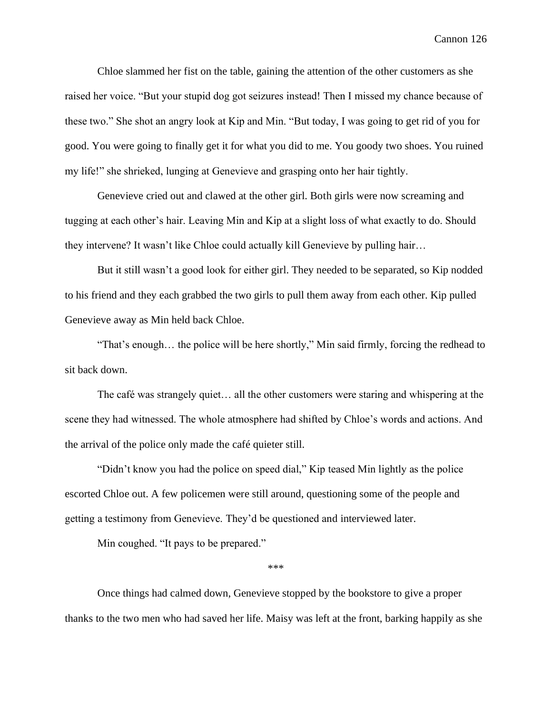Chloe slammed her fist on the table, gaining the attention of the other customers as she raised her voice. "But your stupid dog got seizures instead! Then I missed my chance because of these two." She shot an angry look at Kip and Min. "But today, I was going to get rid of you for good. You were going to finally get it for what you did to me. You goody two shoes. You ruined my life!" she shrieked, lunging at Genevieve and grasping onto her hair tightly.

Genevieve cried out and clawed at the other girl. Both girls were now screaming and tugging at each other's hair. Leaving Min and Kip at a slight loss of what exactly to do. Should they intervene? It wasn't like Chloe could actually kill Genevieve by pulling hair…

But it still wasn't a good look for either girl. They needed to be separated, so Kip nodded to his friend and they each grabbed the two girls to pull them away from each other. Kip pulled Genevieve away as Min held back Chloe.

"That's enough… the police will be here shortly," Min said firmly, forcing the redhead to sit back down.

The café was strangely quiet… all the other customers were staring and whispering at the scene they had witnessed. The whole atmosphere had shifted by Chloe's words and actions. And the arrival of the police only made the café quieter still.

"Didn't know you had the police on speed dial," Kip teased Min lightly as the police escorted Chloe out. A few policemen were still around, questioning some of the people and getting a testimony from Genevieve. They'd be questioned and interviewed later.

Min coughed. "It pays to be prepared."

\*\*\*

Once things had calmed down, Genevieve stopped by the bookstore to give a proper thanks to the two men who had saved her life. Maisy was left at the front, barking happily as she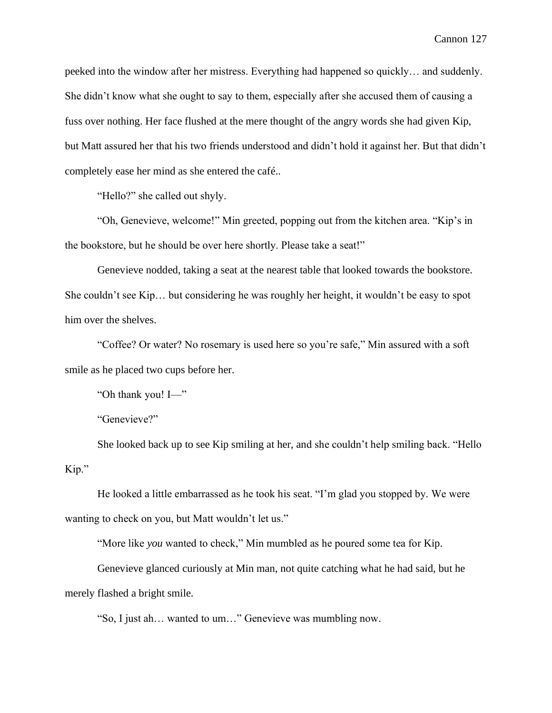peeked into the window after her mistress. Everything had happened so quickly… and suddenly. She didn't know what she ought to say to them, especially after she accused them of causing a fuss over nothing. Her face flushed at the mere thought of the angry words she had given Kip, but Matt assured her that his two friends understood and didn't hold it against her. But that didn't completely ease her mind as she entered the café..

"Hello?" she called out shyly.

"Oh, Genevieve, welcome!" Min greeted, popping out from the kitchen area. "Kip's in the bookstore, but he should be over here shortly. Please take a seat!"

Genevieve nodded, taking a seat at the nearest table that looked towards the bookstore. She couldn't see Kip… but considering he was roughly her height, it wouldn't be easy to spot him over the shelves.

"Coffee? Or water? No rosemary is used here so you're safe," Min assured with a soft smile as he placed two cups before her.

"Oh thank you! I—"

"Genevieve?"

She looked back up to see Kip smiling at her, and she couldn't help smiling back. "Hello Kip."

He looked a little embarrassed as he took his seat. "I'm glad you stopped by. We were wanting to check on you, but Matt wouldn't let us."

"More like *you* wanted to check," Min mumbled as he poured some tea for Kip.

Genevieve glanced curiously at Min man, not quite catching what he had said, but he merely flashed a bright smile.

"So, I just ah… wanted to um…" Genevieve was mumbling now.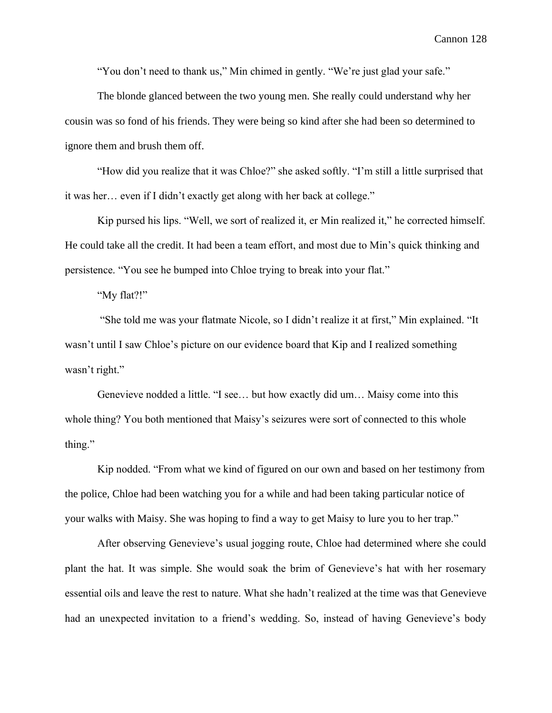"You don't need to thank us," Min chimed in gently. "We're just glad your safe."

The blonde glanced between the two young men. She really could understand why her cousin was so fond of his friends. They were being so kind after she had been so determined to ignore them and brush them off.

"How did you realize that it was Chloe?" she asked softly. "I'm still a little surprised that it was her… even if I didn't exactly get along with her back at college."

Kip pursed his lips. "Well, we sort of realized it, er Min realized it," he corrected himself. He could take all the credit. It had been a team effort, and most due to Min's quick thinking and persistence. "You see he bumped into Chloe trying to break into your flat."

"My flat?!"

"She told me was your flatmate Nicole, so I didn't realize it at first," Min explained. "It wasn't until I saw Chloe's picture on our evidence board that Kip and I realized something wasn't right."

Genevieve nodded a little. "I see… but how exactly did um… Maisy come into this whole thing? You both mentioned that Maisy's seizures were sort of connected to this whole thing."

Kip nodded. "From what we kind of figured on our own and based on her testimony from the police, Chloe had been watching you for a while and had been taking particular notice of your walks with Maisy. She was hoping to find a way to get Maisy to lure you to her trap."

After observing Genevieve's usual jogging route, Chloe had determined where she could plant the hat. It was simple. She would soak the brim of Genevieve's hat with her rosemary essential oils and leave the rest to nature. What she hadn't realized at the time was that Genevieve had an unexpected invitation to a friend's wedding. So, instead of having Genevieve's body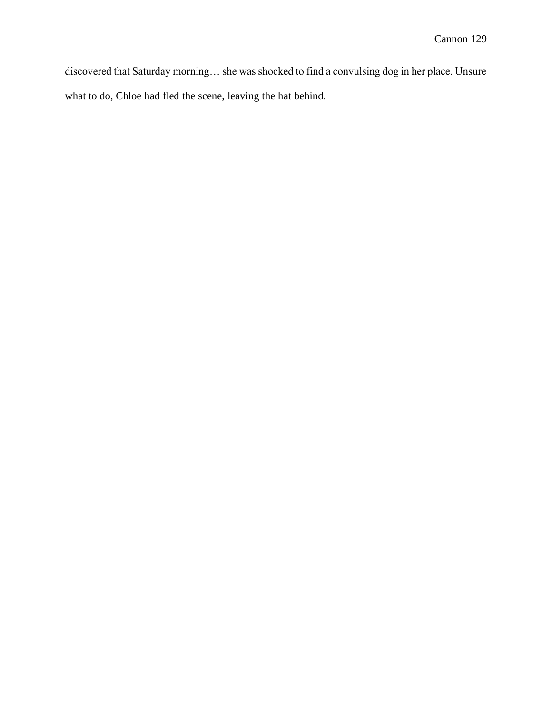discovered that Saturday morning… she was shocked to find a convulsing dog in her place. Unsure what to do, Chloe had fled the scene, leaving the hat behind.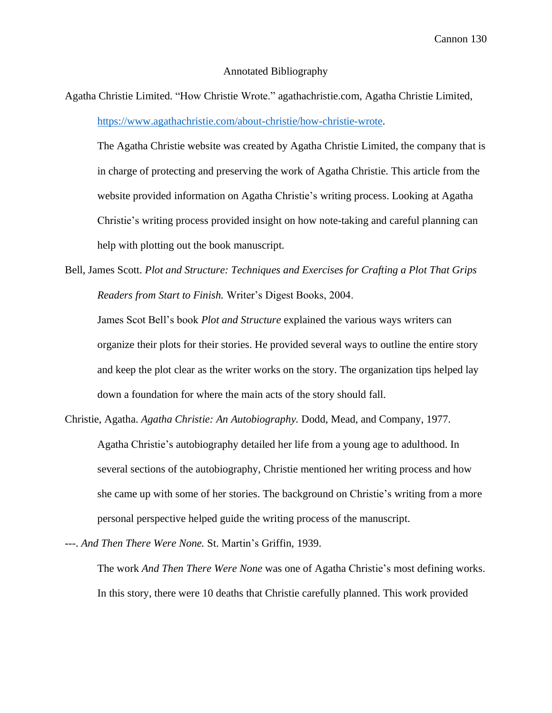#### Annotated Bibliography

Agatha Christie Limited. "How Christie Wrote." agathachristie.com, Agatha Christie Limited, [https://www.agathachristie.com/about-christie/how-christie-wrote.](https://www.agathachristie.com/about-christie/how-christie-wrote)

The Agatha Christie website was created by Agatha Christie Limited, the company that is in charge of protecting and preserving the work of Agatha Christie. This article from the website provided information on Agatha Christie's writing process. Looking at Agatha Christie's writing process provided insight on how note-taking and careful planning can help with plotting out the book manuscript.

Bell, James Scott. *Plot and Structure: Techniques and Exercises for Crafting a Plot That Grips Readers from Start to Finish.* Writer's Digest Books, 2004.

James Scot Bell's book *Plot and Structure* explained the various ways writers can organize their plots for their stories. He provided several ways to outline the entire story and keep the plot clear as the writer works on the story. The organization tips helped lay down a foundation for where the main acts of the story should fall.

Christie, Agatha. *Agatha Christie: An Autobiography.* Dodd, Mead, and Company, 1977. Agatha Christie's autobiography detailed her life from a young age to adulthood. In several sections of the autobiography, Christie mentioned her writing process and how she came up with some of her stories. The background on Christie's writing from a more personal perspective helped guide the writing process of the manuscript.

---. *And Then There Were None.* St. Martin's Griffin, 1939.

The work *And Then There Were None* was one of Agatha Christie's most defining works. In this story, there were 10 deaths that Christie carefully planned. This work provided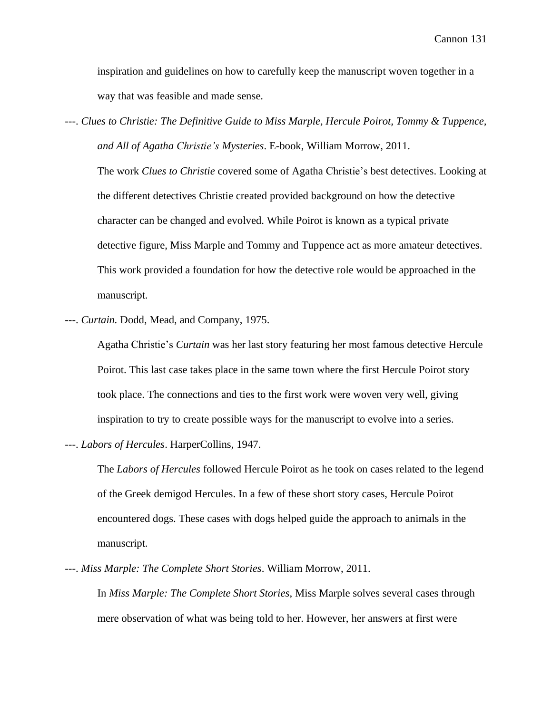inspiration and guidelines on how to carefully keep the manuscript woven together in a way that was feasible and made sense.

---. *Clues to Christie: The Definitive Guide to Miss Marple, Hercule Poirot, Tommy & Tuppence, and All of Agatha Christie's Mysteries*. E-book, William Morrow, 2011.

The work *Clues to Christie* covered some of Agatha Christie's best detectives. Looking at the different detectives Christie created provided background on how the detective character can be changed and evolved. While Poirot is known as a typical private detective figure, Miss Marple and Tommy and Tuppence act as more amateur detectives. This work provided a foundation for how the detective role would be approached in the manuscript.

---. *Curtain.* Dodd, Mead, and Company, 1975.

Agatha Christie's *Curtain* was her last story featuring her most famous detective Hercule Poirot. This last case takes place in the same town where the first Hercule Poirot story took place. The connections and ties to the first work were woven very well, giving inspiration to try to create possible ways for the manuscript to evolve into a series.

---. *Labors of Hercules*. HarperCollins, 1947.

The *Labors of Hercules* followed Hercule Poirot as he took on cases related to the legend of the Greek demigod Hercules. In a few of these short story cases, Hercule Poirot encountered dogs. These cases with dogs helped guide the approach to animals in the manuscript.

---. *Miss Marple: The Complete Short Stories*. William Morrow, 2011.

In *Miss Marple: The Complete Short Stories*, Miss Marple solves several cases through mere observation of what was being told to her. However, her answers at first were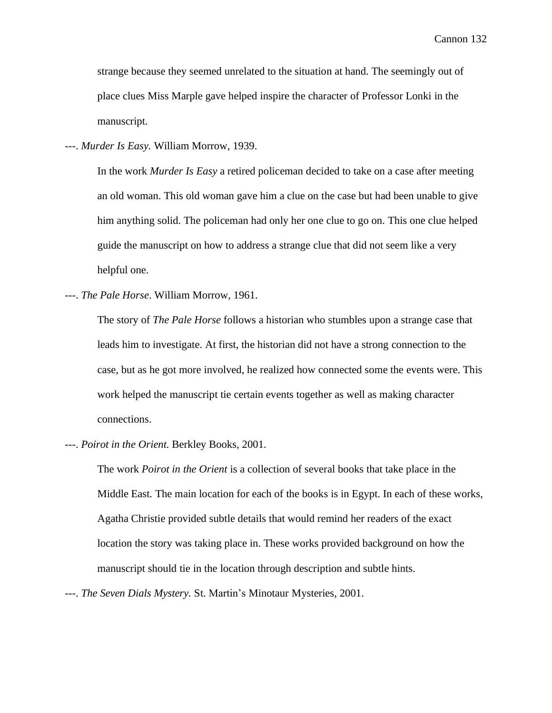strange because they seemed unrelated to the situation at hand. The seemingly out of place clues Miss Marple gave helped inspire the character of Professor Lonki in the manuscript.

---. *Murder Is Easy.* William Morrow, 1939.

In the work *Murder Is Easy* a retired policeman decided to take on a case after meeting an old woman. This old woman gave him a clue on the case but had been unable to give him anything solid. The policeman had only her one clue to go on. This one clue helped guide the manuscript on how to address a strange clue that did not seem like a very helpful one.

---. *The Pale Horse*. William Morrow, 1961.

The story of *The Pale Horse* follows a historian who stumbles upon a strange case that leads him to investigate. At first, the historian did not have a strong connection to the case, but as he got more involved, he realized how connected some the events were. This work helped the manuscript tie certain events together as well as making character connections.

---. *Poirot in the Orient.* Berkley Books, 2001.

The work *Poirot in the Orient* is a collection of several books that take place in the Middle East. The main location for each of the books is in Egypt. In each of these works, Agatha Christie provided subtle details that would remind her readers of the exact location the story was taking place in. These works provided background on how the manuscript should tie in the location through description and subtle hints.

---. *The Seven Dials Mystery.* St. Martin's Minotaur Mysteries, 2001.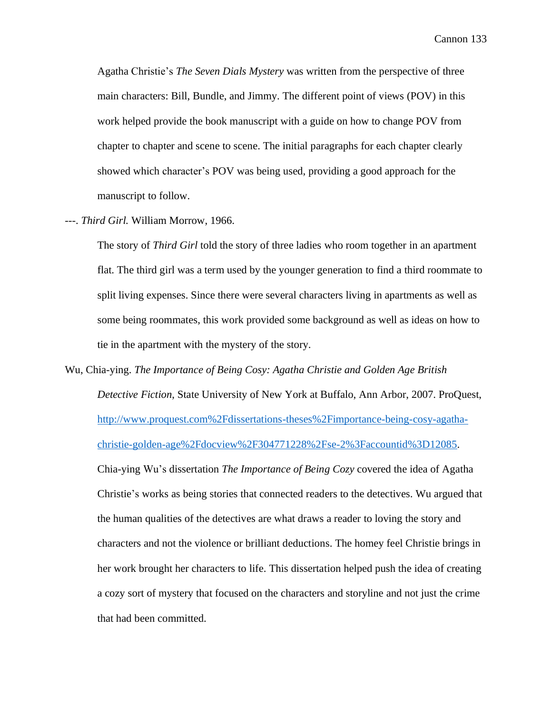Agatha Christie's *The Seven Dials Mystery* was written from the perspective of three main characters: Bill, Bundle, and Jimmy. The different point of views (POV) in this work helped provide the book manuscript with a guide on how to change POV from chapter to chapter and scene to scene. The initial paragraphs for each chapter clearly showed which character's POV was being used, providing a good approach for the manuscript to follow.

---. *Third Girl.* William Morrow, 1966.

The story of *Third Girl* told the story of three ladies who room together in an apartment flat. The third girl was a term used by the younger generation to find a third roommate to split living expenses. Since there were several characters living in apartments as well as some being roommates, this work provided some background as well as ideas on how to tie in the apartment with the mystery of the story.

Wu, Chia-ying. *The Importance of Being Cosy: Agatha Christie and Golden Age British Detective Fiction*, State University of New York at Buffalo, Ann Arbor, 2007. ProQuest, http://www.proquest.com%2Fdissertations-theses%2Fimportance-being-cosy-agathachristie-golden-age%2Fdocview%2F304771228%2Fse-2%3Faccountid%3D12085. Chia-ying Wu's dissertation *The Importance of Being Cozy* covered the idea of Agatha Christie's works as being stories that connected readers to the detectives. Wu argued that the human qualities of the detectives are what draws a reader to loving the story and characters and not the violence or brilliant deductions. The homey feel Christie brings in her work brought her characters to life. This dissertation helped push the idea of creating a cozy sort of mystery that focused on the characters and storyline and not just the crime that had been committed.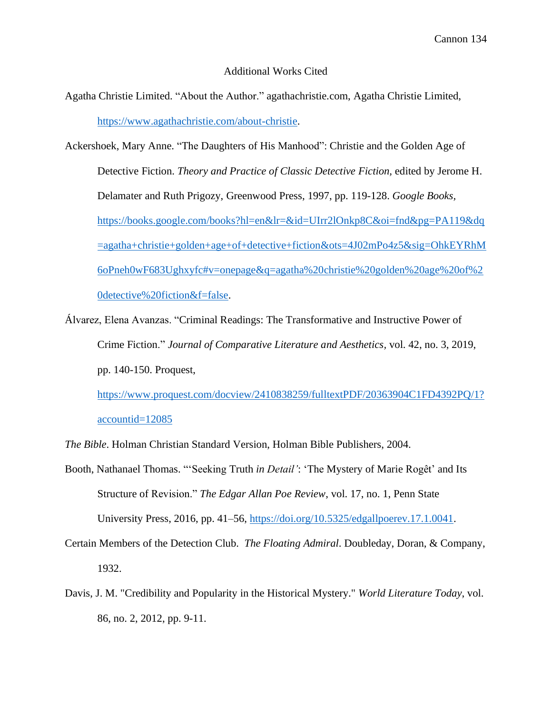# Additional Works Cited

- Agatha Christie Limited. "About the Author." agathachristie.com, Agatha Christie Limited, [https://www.agathachristie.com/about-christie.](https://www.agathachristie.com/about-christie)
- Ackershoek, Mary Anne. "The Daughters of His Manhood": Christie and the Golden Age of Detective Fiction. *Theory and Practice of Classic Detective Fiction,* edited by Jerome H. Delamater and Ruth Prigozy, Greenwood Press, 1997, pp. 119-128. *Google Books,* [https://books.google.com/books?hl=en&lr=&id=UIrr2lOnkp8C&oi=fnd&pg=PA119&dq](https://books.google.com/books?hl=en&lr=&id=UIrr2lOnkp8C&oi=fnd&pg=PA119&dq=agatha+christie+golden+age+of+detective+fiction&ots=4J02mPo4z5&sig=OhkEYRhM6oPneh0wF683Ughxyfc#v=onepage&q=agatha%20christie%20golden%20age%20of%20detective%20fiction&f=false) [=agatha+christie+golden+age+of+detective+fiction&ots=4J02mPo4z5&sig=OhkEYRhM](https://books.google.com/books?hl=en&lr=&id=UIrr2lOnkp8C&oi=fnd&pg=PA119&dq=agatha+christie+golden+age+of+detective+fiction&ots=4J02mPo4z5&sig=OhkEYRhM6oPneh0wF683Ughxyfc#v=onepage&q=agatha%20christie%20golden%20age%20of%20detective%20fiction&f=false) [6oPneh0wF683Ughxyfc#v=onepage&q=agatha%20christie%20golden%20age%20of%2](https://books.google.com/books?hl=en&lr=&id=UIrr2lOnkp8C&oi=fnd&pg=PA119&dq=agatha+christie+golden+age+of+detective+fiction&ots=4J02mPo4z5&sig=OhkEYRhM6oPneh0wF683Ughxyfc#v=onepage&q=agatha%20christie%20golden%20age%20of%20detective%20fiction&f=false) [0detective%20fiction&f=false.](https://books.google.com/books?hl=en&lr=&id=UIrr2lOnkp8C&oi=fnd&pg=PA119&dq=agatha+christie+golden+age+of+detective+fiction&ots=4J02mPo4z5&sig=OhkEYRhM6oPneh0wF683Ughxyfc#v=onepage&q=agatha%20christie%20golden%20age%20of%20detective%20fiction&f=false)
- Álvarez, Elena Avanzas. "Criminal Readings: The Transformative and Instructive Power of Crime Fiction." *Journal of Comparative Literature and Aesthetics,* vol. 42, no. 3, 2019, pp. 140-150. Proquest,

[https://www.proquest.com/docview/2410838259/fulltextPDF/20363904C1FD4392PQ/1?](https://www.proquest.com/docview/2410838259/fulltextPDF/20363904C1FD4392PQ/1?accountid=12085) [accountid=12085](https://www.proquest.com/docview/2410838259/fulltextPDF/20363904C1FD4392PQ/1?accountid=12085)

*The Bible*. Holman Christian Standard Version, Holman Bible Publishers, 2004.

- Booth, Nathanael Thomas. "'Seeking Truth *in Detail'*: 'The Mystery of Marie Rogêt' and Its Structure of Revision." *The Edgar Allan Poe Review*, vol. 17, no. 1, Penn State University Press, 2016, pp. 41–56, [https://doi.org/10.5325/edgallpoerev.17.1.0041.](https://doi.org/10.5325/edgallpoerev.17.1.0041)
- Certain Members of the Detection Club. *The Floating Admiral*. Doubleday, Doran, & Company, 1932.
- Davis, J. M. "Credibility and Popularity in the Historical Mystery." *World Literature Today*, vol. 86, no. 2, 2012, pp. 9-11.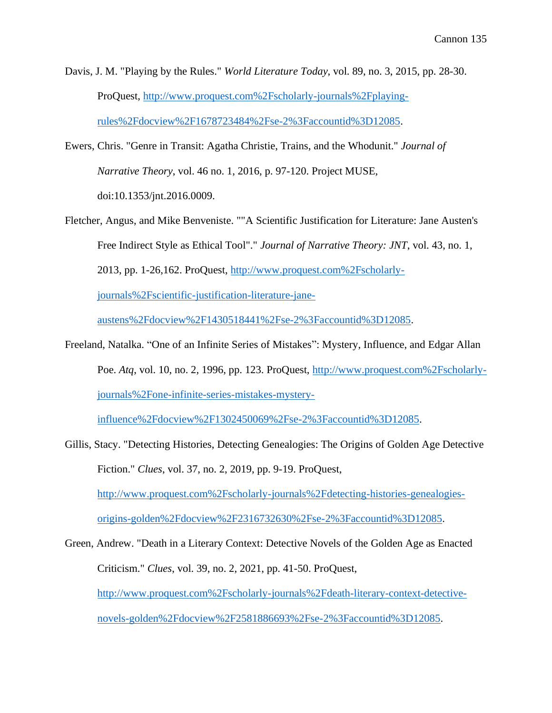- Davis, J. M. "Playing by the Rules." *World Literature Today*, vol. 89, no. 3, 2015, pp. 28-30. ProQuest, http://www.proquest.com%2Fscholarly-journals%2Fplayingrules%2Fdocview%2F1678723484%2Fse-2%3Faccountid%3D12085.
- Ewers, Chris. "Genre in Transit: Agatha Christie, Trains, and the Whodunit." *Journal of Narrative Theory*, vol. 46 no. 1, 2016, p. 97-120. Project MUSE, doi:10.1353/jnt.2016.0009.
- Fletcher, Angus, and Mike Benveniste. ""A Scientific Justification for Literature: Jane Austen's Free Indirect Style as Ethical Tool"." *Journal of Narrative Theory: JNT*, vol. 43, no. 1, 2013, pp. 1-26,162. ProQuest, http://www.proquest.com%2Fscholarlyjournals%2Fscientific-justification-literature-jane-

austens%2Fdocview%2F1430518441%2Fse-2%3Faccountid%3D12085.

Freeland, Natalka. "One of an Infinite Series of Mistakes": Mystery, Influence, and Edgar Allan Poe. *Atq*, vol. 10, no. 2, 1996, pp. 123. ProQuest, http://www.proquest.com%2Fscholarlyjournals%2Fone-infinite-series-mistakes-mystery-

influence%2Fdocview%2F1302450069%2Fse-2%3Faccountid%3D12085.

- Gillis, Stacy. "Detecting Histories, Detecting Genealogies: The Origins of Golden Age Detective Fiction." *Clues*, vol. 37, no. 2, 2019, pp. 9-19. ProQuest, http://www.proquest.com%2Fscholarly-journals%2Fdetecting-histories-genealogiesorigins-golden%2Fdocview%2F2316732630%2Fse-2%3Faccountid%3D12085.
- Green, Andrew. "Death in a Literary Context: Detective Novels of the Golden Age as Enacted Criticism." *Clues*, vol. 39, no. 2, 2021, pp. 41-50. ProQuest, http://www.proquest.com%2Fscholarly-journals%2Fdeath-literary-context-detectivenovels-golden%2Fdocview%2F2581886693%2Fse-2%3Faccountid%3D12085.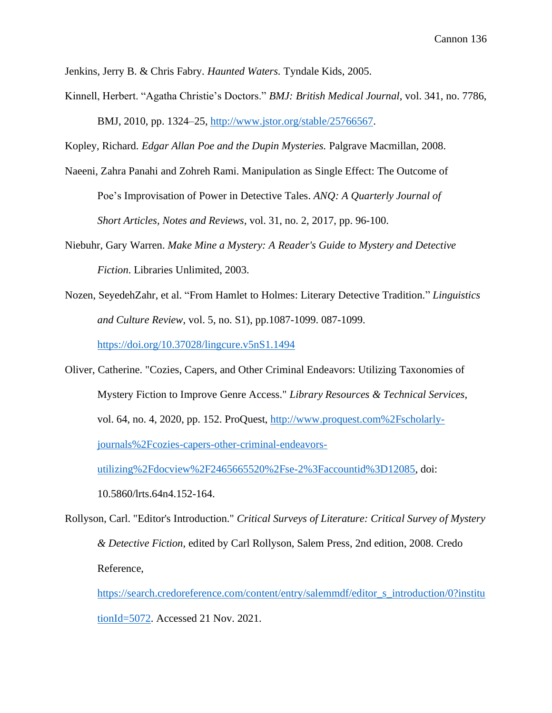Jenkins, Jerry B. & Chris Fabry. *Haunted Waters.* Tyndale Kids, 2005.

Kinnell, Herbert. "Agatha Christie's Doctors." *BMJ: British Medical Journal*, vol. 341, no. 7786, BMJ, 2010, pp. 1324–25, [http://www.jstor.org/stable/25766567.](http://www.jstor.org/stable/25766567)

Kopley, Richard. *Edgar Allan Poe and the Dupin Mysteries.* Palgrave Macmillan, 2008.

- Naeeni, Zahra Panahi and Zohreh Rami. Manipulation as Single Effect: The Outcome of Poe's Improvisation of Power in Detective Tales. *ANQ: A Quarterly Journal of Short Articles, Notes and Reviews*, vol. 31, no. 2, 2017, pp. 96-100.
- Niebuhr, Gary Warren. *Make Mine a Mystery: A Reader's Guide to Mystery and Detective Fiction*. Libraries Unlimited, 2003.
- Nozen, SeyedehZahr, et al. "From Hamlet to Holmes: Literary Detective Tradition." *Linguistics and Culture Review*, vol. 5, no. S1), pp.1087-1099. 087-1099. <https://doi.org/10.37028/lingcure.v5nS1.1494>

Oliver, Catherine. "Cozies, Capers, and Other Criminal Endeavors: Utilizing Taxonomies of Mystery Fiction to Improve Genre Access." *Library Resources & Technical Services*, vol. 64, no. 4, 2020, pp. 152. ProQuest, http://www.proquest.com%2Fscholarlyjournals%2Fcozies-capers-other-criminal-endeavors-

utilizing%2Fdocview%2F2465665520%2Fse-2%3Faccountid%3D12085, doi:

10.5860/lrts.64n4.152-164.

Rollyson, Carl. "Editor's Introduction." *Critical Surveys of Literature: Critical Survey of Mystery & Detective Fiction*, edited by Carl Rollyson, Salem Press, 2nd edition, 2008. Credo Reference,

[https://search.credoreference.com/content/entry/salemmdf/editor\\_s\\_introduction/0?institu](https://search.credoreference.com/content/entry/salemmdf/editor_s_introduction/0?institutionId=5072) [tionId=5072.](https://search.credoreference.com/content/entry/salemmdf/editor_s_introduction/0?institutionId=5072) Accessed 21 Nov. 2021.